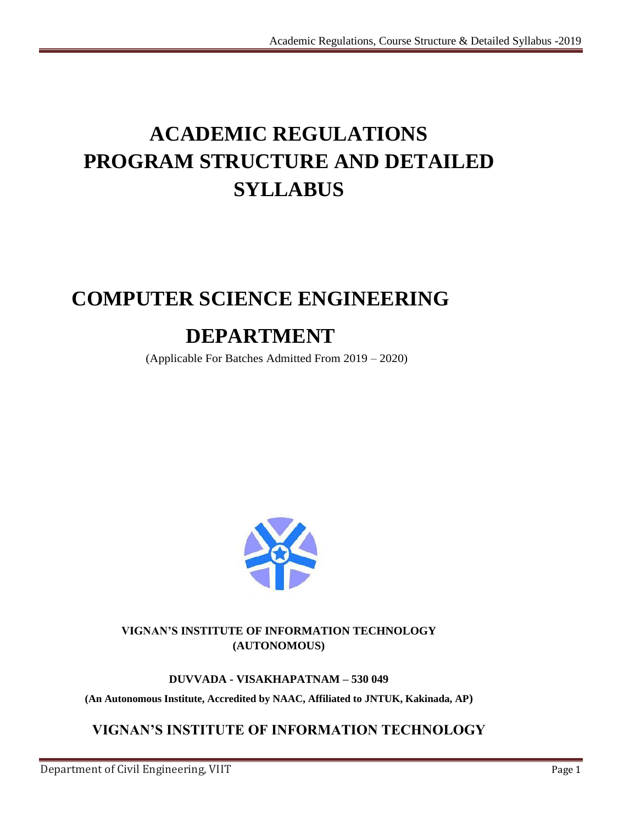# **ACADEMIC REGULATIONS PROGRAM STRUCTURE AND DETAILED SYLLABUS**

# **COMPUTER SCIENCE ENGINEERING**

# **DEPARTMENT**

(Applicable For Batches Admitted From 2019 – 2020)



# **VIGNAN'S INSTITUTE OF INFORMATION TECHNOLOGY (AUTONOMOUS)**

# **DUVVADA - VISAKHAPATNAM – 530 049**

**(An Autonomous Institute, Accredited by NAAC, Affiliated to JNTUK, Kakinada, AP)**

# **VIGNAN'S INSTITUTE OF INFORMATION TECHNOLOGY**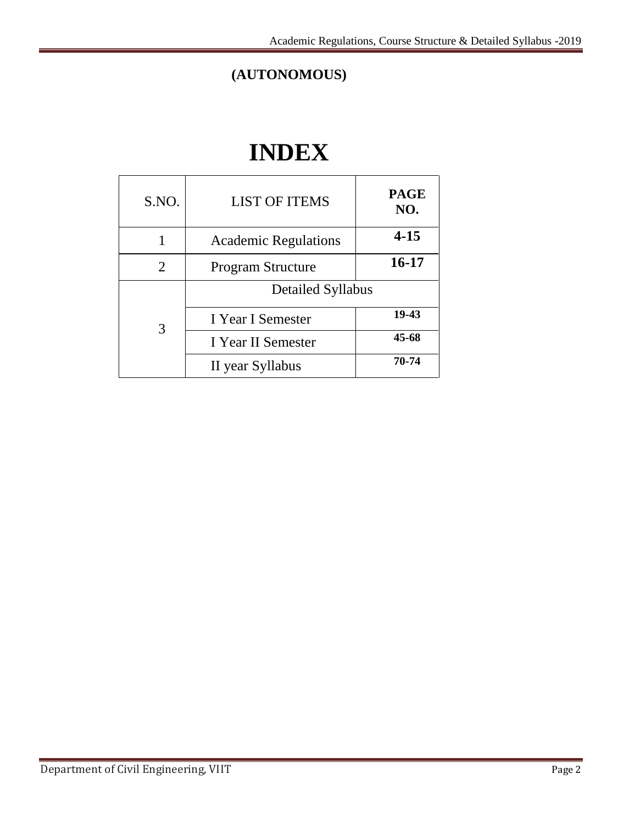# **(AUTONOMOUS)**

# **INDEX**

| S.NO. | <b>LIST OF ITEMS</b>        | <b>PAGE</b><br>NO. |
|-------|-----------------------------|--------------------|
| 1     | <b>Academic Regulations</b> | $4 - 15$           |
| 2     | <b>Program Structure</b>    | 16-17              |
|       | <b>Detailed Syllabus</b>    |                    |
| 3     | I Year I Semester           | 19-43              |
|       | I Year II Semester          | 45-68              |
|       | II year Syllabus            | 70-74              |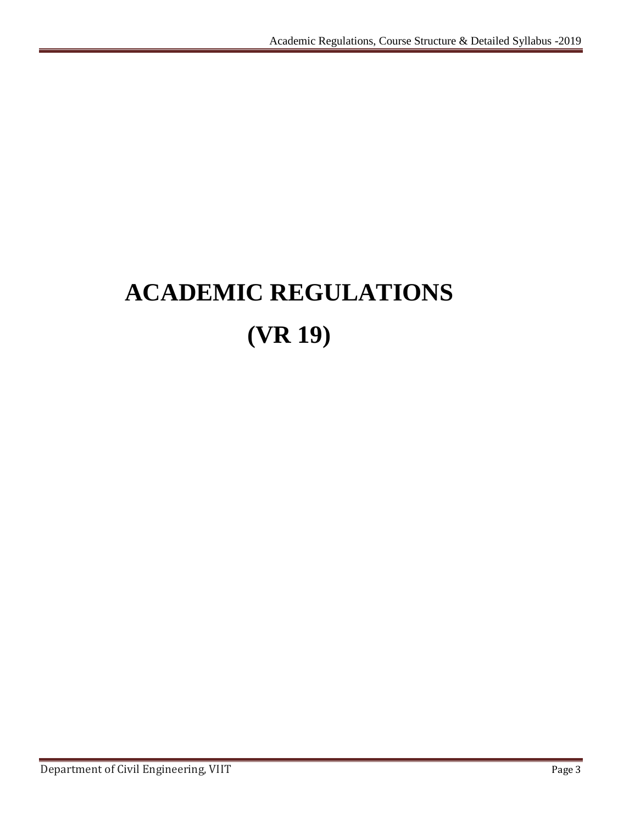# **ACADEMIC REGULATIONS (VR 19)**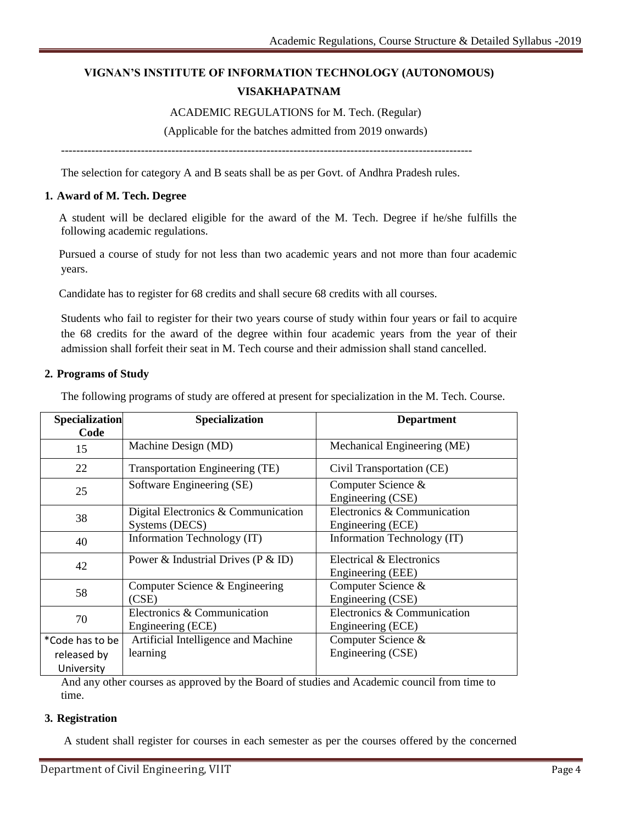# **VIGNAN'S INSTITUTE OF INFORMATION TECHNOLOGY (AUTONOMOUS) VISAKHAPATNAM**

#### ACADEMIC REGULATIONS for M. Tech. (Regular)

(Applicable for the batches admitted from 2019 onwards)

------------------------------------------------------------------------------------------------------------

The selection for category A and B seats shall be as per Govt. of Andhra Pradesh rules.

#### **1. Award of M. Tech. Degree**

A student will be declared eligible for the award of the M. Tech. Degree if he/she fulfills the following academic regulations.

Pursued a course of study for not less than two academic years and not more than four academic years.

Candidate has to register for 68 credits and shall secure 68 credits with all courses.

Students who fail to register for their two years course of study within four years or fail to acquire the 68 credits for the award of the degree within four academic years from the year of their admission shall forfeit their seat in M. Tech course and their admission shall stand cancelled.

#### **2. Programs of Study**

The following programs of study are offered at present for specialization in the M. Tech. Course.

| Specialization<br>Code                       | Specialization                                        | <b>Department</b>                                |
|----------------------------------------------|-------------------------------------------------------|--------------------------------------------------|
| 15                                           | Machine Design (MD)                                   | Mechanical Engineering (ME)                      |
| 22                                           | Transportation Engineering (TE)                       | Civil Transportation (CE)                        |
| 25                                           | Software Engineering (SE)                             | Computer Science &<br>Engineering (CSE)          |
| 38                                           | Digital Electronics & Communication<br>Systems (DECS) | Electronics & Communication<br>Engineering (ECE) |
| 40                                           | Information Technology (IT)                           | Information Technology (IT)                      |
| 42                                           | Power & Industrial Drives ( $P \& ID$ )               | Electrical & Electronics<br>Engineering (EEE)    |
| 58                                           | Computer Science & Engineering<br>(CSE)               | Computer Science &<br>Engineering (CSE)          |
| 70                                           | Electronics & Communication<br>Engineering (ECE)      | Electronics & Communication<br>Engineering (ECE) |
| *Code has to be<br>released by<br>University | Artificial Intelligence and Machine<br>learning       | Computer Science &<br>Engineering (CSE)          |

And any other courses as approved by the Board of studies and Academic council from time to time.

#### **3. Registration**

A student shall register for courses in each semester as per the courses offered by the concerned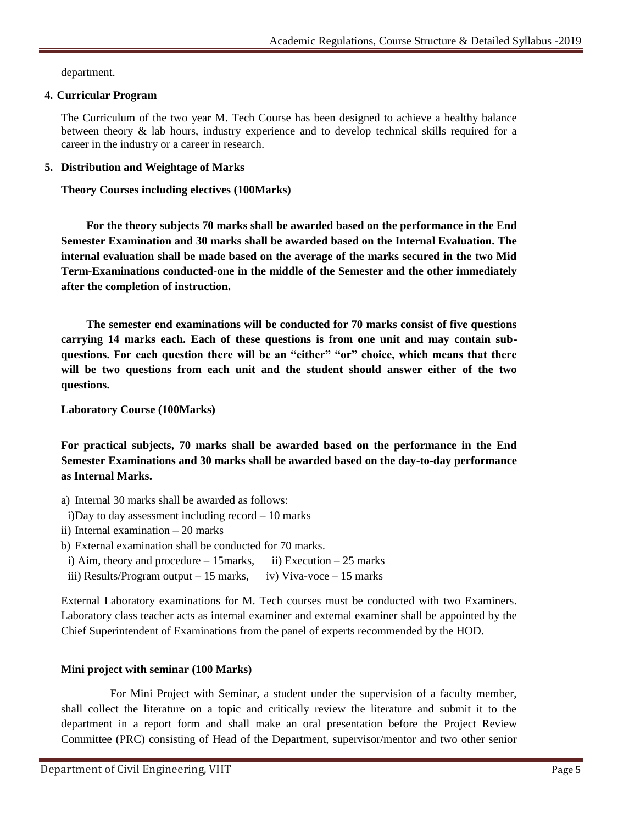department.

# **4. Curricular Program**

The Curriculum of the two year M. Tech Course has been designed to achieve a healthy balance between theory & lab hours, industry experience and to develop technical skills required for a career in the industry or a career in research.

# **5. Distribution and Weightage of Marks**

**Theory Courses including electives (100Marks)**

**For the theory subjects 70 marks shall be awarded based on the performance in the End Semester Examination and 30 marks shall be awarded based on the Internal Evaluation. The internal evaluation shall be made based on the average of the marks secured in the two Mid Term-Examinations conducted-one in the middle of the Semester and the other immediately after the completion of instruction.** 

**The semester end examinations will be conducted for 70 marks consist of five questions carrying 14 marks each. Each of these questions is from one unit and may contain subquestions. For each question there will be an "either" "or" choice, which means that there will be two questions from each unit and the student should answer either of the two questions.**

**Laboratory Course (100Marks)**

**For practical subjects, 70 marks shall be awarded based on the performance in the End Semester Examinations and 30 marks shall be awarded based on the day-to-day performance as Internal Marks.** 

- a) Internal 30 marks shall be awarded as follows:
- i)Day to day assessment including record 10 marks
- ii) Internal examination 20 marks
- b) External examination shall be conducted for 70 marks.
- i) Aim, theory and procedure  $-15$  marks, ii) Execution  $-25$  marks
- iii) Results/Program output  $-15$  marks, iv) Viva-voce  $-15$  marks

External Laboratory examinations for M. Tech courses must be conducted with two Examiners. Laboratory class teacher acts as internal examiner and external examiner shall be appointed by the Chief Superintendent of Examinations from the panel of experts recommended by the HOD.

# **Mini project with seminar (100 Marks)**

For Mini Project with Seminar, a student under the supervision of a faculty member, shall collect the literature on a topic and critically review the literature and submit it to the department in a report form and shall make an oral presentation before the Project Review Committee (PRC) consisting of Head of the Department, supervisor/mentor and two other senior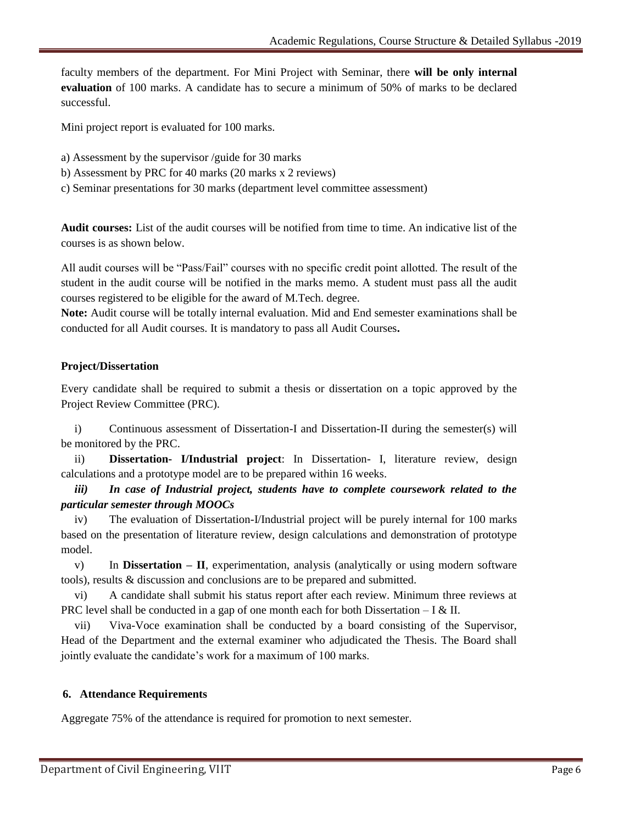faculty members of the department. For Mini Project with Seminar, there **will be only internal evaluation** of 100 marks. A candidate has to secure a minimum of 50% of marks to be declared successful.

Mini project report is evaluated for 100 marks.

- a) Assessment by the supervisor /guide for 30 marks
- b) Assessment by PRC for 40 marks (20 marks x 2 reviews)
- c) Seminar presentations for 30 marks (department level committee assessment)

**Audit courses:** List of the audit courses will be notified from time to time. An indicative list of the courses is as shown below.

All audit courses will be "Pass/Fail" courses with no specific credit point allotted. The result of the student in the audit course will be notified in the marks memo. A student must pass all the audit courses registered to be eligible for the award of M.Tech. degree.

**Note:** Audit course will be totally internal evaluation. Mid and End semester examinations shall be conducted for all Audit courses. It is mandatory to pass all Audit Courses**.**

#### **Project/Dissertation**

Every candidate shall be required to submit a thesis or dissertation on a topic approved by the Project Review Committee (PRC).

i) Continuous assessment of Dissertation-I and Dissertation-II during the semester(s) will be monitored by the PRC.

ii) **Dissertation- I/Industrial project**: In Dissertation- I, literature review, design calculations and a prototype model are to be prepared within 16 weeks.

*iii) In case of Industrial project, students have to complete coursework related to the particular semester through MOOCs* 

iv) The evaluation of Dissertation-I/Industrial project will be purely internal for 100 marks based on the presentation of literature review, design calculations and demonstration of prototype model.

v) In **Dissertation – II**, experimentation, analysis (analytically or using modern software tools), results & discussion and conclusions are to be prepared and submitted.

vi) A candidate shall submit his status report after each review. Minimum three reviews at PRC level shall be conducted in a gap of one month each for both Dissertation  $-I & II$ .

vii) Viva-Voce examination shall be conducted by a board consisting of the Supervisor, Head of the Department and the external examiner who adjudicated the Thesis. The Board shall jointly evaluate the candidate"s work for a maximum of 100 marks.

#### **6. Attendance Requirements**

Aggregate 75% of the attendance is required for promotion to next semester.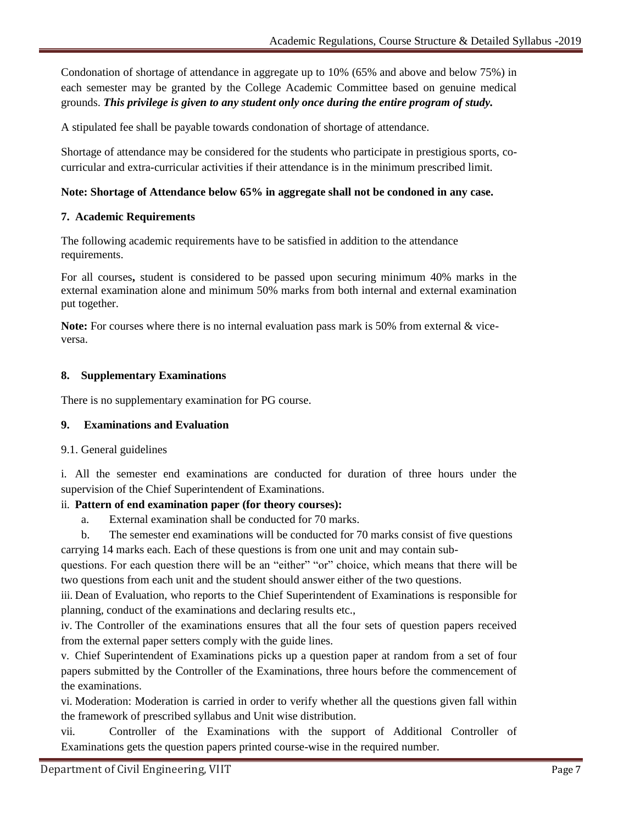Condonation of shortage of attendance in aggregate up to 10% (65% and above and below 75%) in each semester may be granted by the College Academic Committee based on genuine medical grounds. *This privilege is given to any student only once during the entire program of study.*

A stipulated fee shall be payable towards condonation of shortage of attendance.

Shortage of attendance may be considered for the students who participate in prestigious sports, cocurricular and extra-curricular activities if their attendance is in the minimum prescribed limit.

# **Note: Shortage of Attendance below 65% in aggregate shall not be condoned in any case.**

# **7. Academic Requirements**

The following academic requirements have to be satisfied in addition to the attendance requirements.

For all courses**,** student is considered to be passed upon securing minimum 40% marks in the external examination alone and minimum 50% marks from both internal and external examination put together.

**Note:** For courses where there is no internal evaluation pass mark is 50% from external & viceversa.

# **8. Supplementary Examinations**

There is no supplementary examination for PG course.

# **9. Examinations and Evaluation**

# 9.1. General guidelines

i. All the semester end examinations are conducted for duration of three hours under the supervision of the Chief Superintendent of Examinations.

# ii. **Pattern of end examination paper (for theory courses):**

- a. External examination shall be conducted for 70 marks.
- b. The semester end examinations will be conducted for 70 marks consist of five questions carrying 14 marks each. Each of these questions is from one unit and may contain sub-

questions. For each question there will be an "either" "or" choice, which means that there will be two questions from each unit and the student should answer either of the two questions.

iii. Dean of Evaluation, who reports to the Chief Superintendent of Examinations is responsible for planning, conduct of the examinations and declaring results etc.,

iv. The Controller of the examinations ensures that all the four sets of question papers received from the external paper setters comply with the guide lines.

v. Chief Superintendent of Examinations picks up a question paper at random from a set of four papers submitted by the Controller of the Examinations, three hours before the commencement of the examinations.

vi. Moderation: Moderation is carried in order to verify whether all the questions given fall within the framework of prescribed syllabus and Unit wise distribution.

vii. Controller of the Examinations with the support of Additional Controller of Examinations gets the question papers printed course-wise in the required number.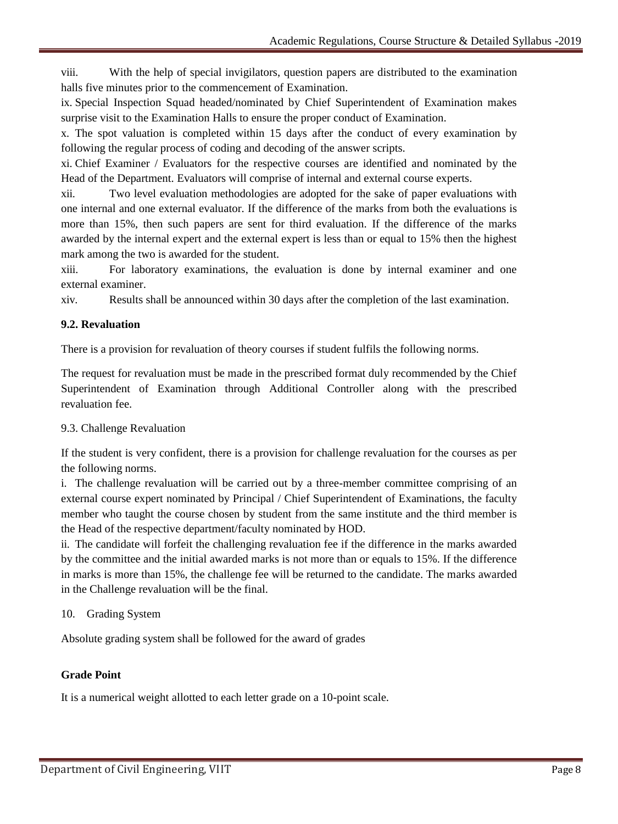viii. With the help of special invigilators, question papers are distributed to the examination halls five minutes prior to the commencement of Examination.

ix. Special Inspection Squad headed/nominated by Chief Superintendent of Examination makes surprise visit to the Examination Halls to ensure the proper conduct of Examination.

x. The spot valuation is completed within 15 days after the conduct of every examination by following the regular process of coding and decoding of the answer scripts.

xi. Chief Examiner / Evaluators for the respective courses are identified and nominated by the Head of the Department. Evaluators will comprise of internal and external course experts.

xii. Two level evaluation methodologies are adopted for the sake of paper evaluations with one internal and one external evaluator. If the difference of the marks from both the evaluations is more than 15%, then such papers are sent for third evaluation. If the difference of the marks awarded by the internal expert and the external expert is less than or equal to 15% then the highest mark among the two is awarded for the student.

xiii. For laboratory examinations, the evaluation is done by internal examiner and one external examiner.

xiv. Results shall be announced within 30 days after the completion of the last examination.

# **9.2. Revaluation**

There is a provision for revaluation of theory courses if student fulfils the following norms.

The request for revaluation must be made in the prescribed format duly recommended by the Chief Superintendent of Examination through Additional Controller along with the prescribed revaluation fee.

# 9.3. Challenge Revaluation

If the student is very confident, there is a provision for challenge revaluation for the courses as per the following norms.

i. The challenge revaluation will be carried out by a three-member committee comprising of an external course expert nominated by Principal / Chief Superintendent of Examinations, the faculty member who taught the course chosen by student from the same institute and the third member is the Head of the respective department/faculty nominated by HOD.

ii. The candidate will forfeit the challenging revaluation fee if the difference in the marks awarded by the committee and the initial awarded marks is not more than or equals to 15%. If the difference in marks is more than 15%, the challenge fee will be returned to the candidate. The marks awarded in the Challenge revaluation will be the final.

# 10. Grading System

Absolute grading system shall be followed for the award of grades

# **Grade Point**

It is a numerical weight allotted to each letter grade on a 10-point scale.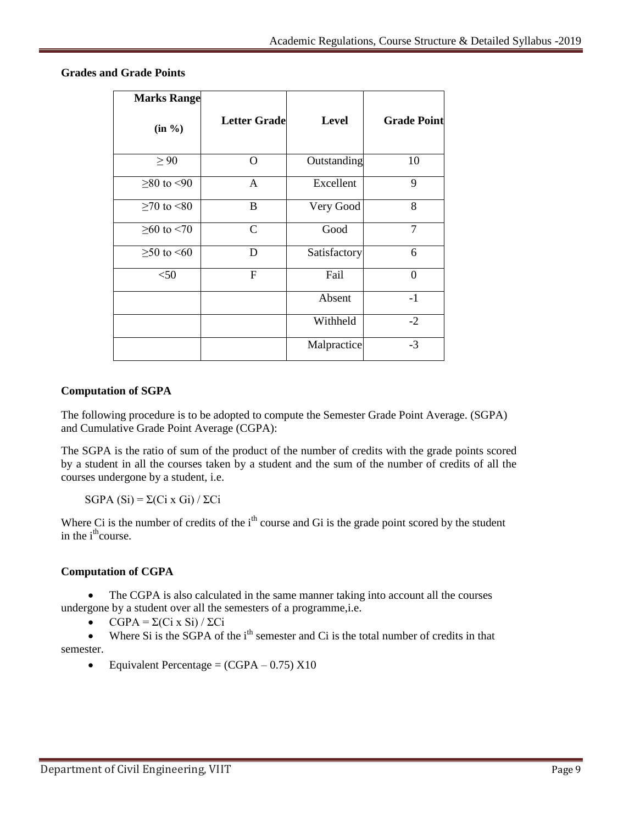| <b>Marks Range</b> |                     |              |                    |
|--------------------|---------------------|--------------|--------------------|
| (in %)             | <b>Letter Grade</b> | <b>Level</b> | <b>Grade Point</b> |
| $\geq 90$          | O                   | Outstanding  | 10                 |
| $≥ 80$ to <90      | $\mathbf{A}$        | Excellent    | 9                  |
| $≥70$ to <80       | B                   | Very Good    | 8                  |
| $≥60$ to <70       | $\mathsf{C}$        | Good         | 7                  |
| $≥ 50$ to <60      | D                   | Satisfactory | 6                  |
| $<$ 50             | $\mathbf{F}$        | Fail         | $\overline{0}$     |
|                    |                     | Absent       | $-1$               |
|                    |                     | Withheld     | $-2$               |
|                    |                     | Malpractice  | $-3$               |

**Grades and Grade Points**

# **Computation of SGPA**

The following procedure is to be adopted to compute the Semester Grade Point Average. (SGPA) and Cumulative Grade Point Average (CGPA):

The SGPA is the ratio of sum of the product of the number of credits with the grade points scored by a student in all the courses taken by a student and the sum of the number of credits of all the courses undergone by a student, i.e.

SGPA  $(Si) = \Sigma(Ci \times Gi) / \Sigma Ci$ 

Where Ci is the number of credits of the  $i<sup>th</sup>$  course and Gi is the grade point scored by the student in the i<sup>th</sup>course.

# **Computation of CGPA**

 The CGPA is also calculated in the same manner taking into account all the courses undergone by a student over all the semesters of a programme,i.e.

CGPA = Σ(Ci x Si) / ΣCi

 $\bullet$  Where Si is the SGPA of the i<sup>th</sup> semester and Ci is the total number of credits in that semester.

Equivalent Percentage =  $(CGPA - 0.75) X10$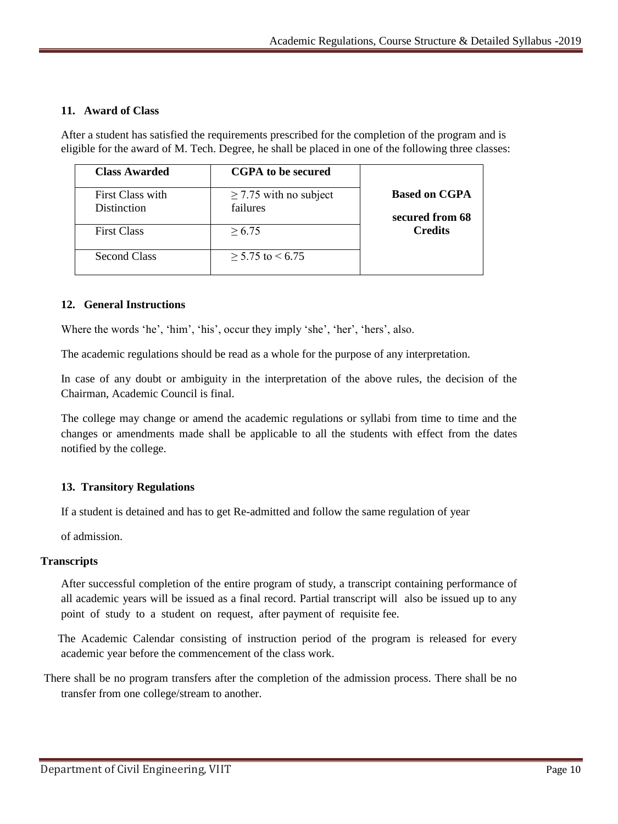# **11. Award of Class**

After a student has satisfied the requirements prescribed for the completion of the program and is eligible for the award of M. Tech. Degree, he shall be placed in one of the following three classes:

| <b>Class Awarded</b>            | <b>CGPA</b> to be secured               |                                         |
|---------------------------------|-----------------------------------------|-----------------------------------------|
| First Class with<br>Distinction | $\geq$ 7.75 with no subject<br>failures | <b>Based on CGPA</b><br>secured from 68 |
| <b>First Class</b>              | > 6.75                                  | <b>Credits</b>                          |
| <b>Second Class</b>             | $> 5.75$ to $< 6.75$                    |                                         |

#### **12. General Instructions**

Where the words 'he', 'him', 'his', occur they imply 'she', 'her', 'hers', also.

The academic regulations should be read as a whole for the purpose of any interpretation.

In case of any doubt or ambiguity in the interpretation of the above rules, the decision of the Chairman, Academic Council is final.

The college may change or amend the academic regulations or syllabi from time to time and the changes or amendments made shall be applicable to all the students with effect from the dates notified by the college.

# **13. Transitory Regulations**

If a student is detained and has to get Re-admitted and follow the same regulation of year

of admission.

#### **Transcripts**

After successful completion of the entire program of study, a transcript containing performance of all academic years will be issued as a final record. Partial transcript will also be issued up to any point of study to a student on request, after payment of requisite fee.

The Academic Calendar consisting of instruction period of the program is released for every academic year before the commencement of the class work.

There shall be no program transfers after the completion of the admission process. There shall be no transfer from one college/stream to another.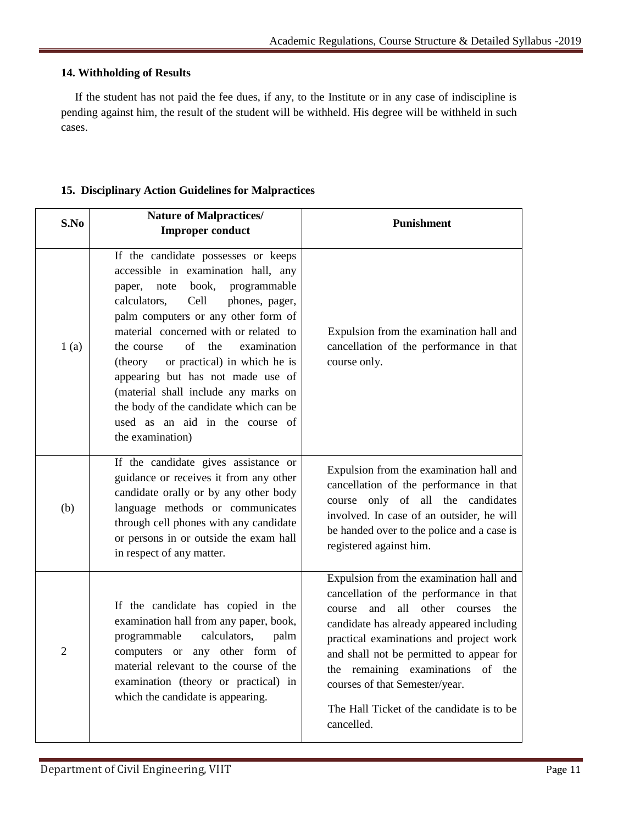# **14. Withholding of Results**

If the student has not paid the fee dues, if any, to the Institute or in any case of indiscipline is pending against him, the result of the student will be withheld. His degree will be withheld in such cases.

| S.No           | <b>Nature of Malpractices/</b><br><b>Improper conduct</b>                                                                                                                                                                                                                                                                                                                                                                                                                                                        | <b>Punishment</b>                                                                                                                                                                                                                                                                                                                                                                                          |  |  |  |  |
|----------------|------------------------------------------------------------------------------------------------------------------------------------------------------------------------------------------------------------------------------------------------------------------------------------------------------------------------------------------------------------------------------------------------------------------------------------------------------------------------------------------------------------------|------------------------------------------------------------------------------------------------------------------------------------------------------------------------------------------------------------------------------------------------------------------------------------------------------------------------------------------------------------------------------------------------------------|--|--|--|--|
| 1(a)           | If the candidate possesses or keeps<br>accessible in examination hall, any<br>book, programmable<br>note<br>paper,<br>calculators,<br>phones, pager,<br>Cell<br>palm computers or any other form of<br>material concerned with or related to<br>of<br>the<br>the course<br>examination<br>or practical) in which he is<br>(theory)<br>appearing but has not made use of<br>(material shall include any marks on<br>the body of the candidate which can be<br>used as an aid in the course of<br>the examination) | Expulsion from the examination hall and<br>cancellation of the performance in that<br>course only.                                                                                                                                                                                                                                                                                                         |  |  |  |  |
| (b)            | If the candidate gives assistance or<br>guidance or receives it from any other<br>candidate orally or by any other body<br>language methods or communicates<br>through cell phones with any candidate<br>or persons in or outside the exam hall<br>in respect of any matter.                                                                                                                                                                                                                                     | Expulsion from the examination hall and<br>cancellation of the performance in that<br>course only of all the candidates<br>involved. In case of an outsider, he will<br>be handed over to the police and a case is<br>registered against him.                                                                                                                                                              |  |  |  |  |
| $\overline{2}$ | If the candidate has copied in the<br>examination hall from any paper, book,<br>calculators,<br>palm<br>programmable<br>computers or any other form of<br>material relevant to the course of the<br>examination (theory or practical) in<br>which the candidate is appearing.                                                                                                                                                                                                                                    | Expulsion from the examination hall and<br>cancellation of the performance in that<br>all<br>other<br>and<br>the<br>courses<br>course<br>candidate has already appeared including<br>practical examinations and project work<br>and shall not be permitted to appear for<br>the remaining examinations of the<br>courses of that Semester/year.<br>The Hall Ticket of the candidate is to be<br>cancelled. |  |  |  |  |

# **15. Disciplinary Action Guidelines for Malpractices**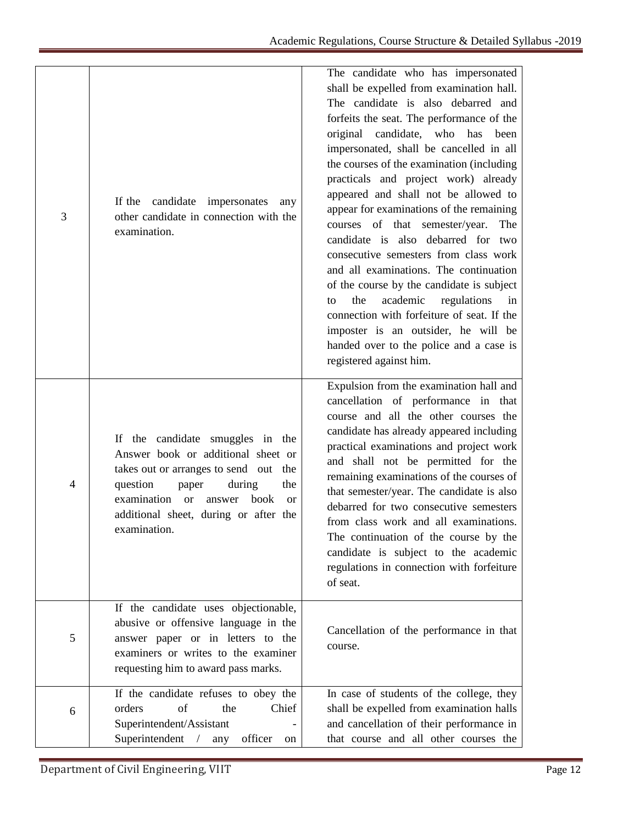| 3 | candidate impersonates<br>If the<br>any<br>other candidate in connection with the<br>examination.                                                                                                                                                                             | The candidate who has impersonated<br>shall be expelled from examination hall.<br>The candidate is also debarred and<br>forfeits the seat. The performance of the<br>original candidate, who has<br>been<br>impersonated, shall be cancelled in all<br>the courses of the examination (including<br>practicals and project work) already<br>appeared and shall not be allowed to<br>appear for examinations of the remaining<br>courses of that semester/year.<br>The<br>candidate is also debarred for two<br>consecutive semesters from class work<br>and all examinations. The continuation<br>of the course by the candidate is subject<br>academic<br>regulations<br>the<br>in<br>to<br>connection with forfeiture of seat. If the<br>imposter is an outsider, he will be<br>handed over to the police and a case is<br>registered against him. |
|---|-------------------------------------------------------------------------------------------------------------------------------------------------------------------------------------------------------------------------------------------------------------------------------|------------------------------------------------------------------------------------------------------------------------------------------------------------------------------------------------------------------------------------------------------------------------------------------------------------------------------------------------------------------------------------------------------------------------------------------------------------------------------------------------------------------------------------------------------------------------------------------------------------------------------------------------------------------------------------------------------------------------------------------------------------------------------------------------------------------------------------------------------|
| 4 | If the candidate smuggles in the<br>Answer book or additional sheet or<br>takes out or arranges to send out the<br>question<br>during<br>the<br>paper<br>examination<br>book<br><b>or</b><br>answer<br><sub>or</sub><br>additional sheet, during or after the<br>examination. | Expulsion from the examination hall and<br>cancellation of performance in that<br>course and all the other courses the<br>candidate has already appeared including<br>practical examinations and project work<br>and shall not be permitted for the<br>remaining examinations of the courses of<br>that semester/year. The candidate is also<br>debarred for two consecutive semesters<br>from class work and all examinations.<br>The continuation of the course by the<br>candidate is subject to the academic<br>regulations in connection with forfeiture<br>of seat.                                                                                                                                                                                                                                                                            |
| 5 | If the candidate uses objectionable,<br>abusive or offensive language in the<br>answer paper or in letters to the<br>examiners or writes to the examiner<br>requesting him to award pass marks.                                                                               | Cancellation of the performance in that<br>course.                                                                                                                                                                                                                                                                                                                                                                                                                                                                                                                                                                                                                                                                                                                                                                                                   |
| 6 | If the candidate refuses to obey the<br>of<br>Chief<br>orders<br>the<br>Superintendent/Assistant<br>Superintendent / any<br>officer<br>on                                                                                                                                     | In case of students of the college, they<br>shall be expelled from examination halls<br>and cancellation of their performance in<br>that course and all other courses the                                                                                                                                                                                                                                                                                                                                                                                                                                                                                                                                                                                                                                                                            |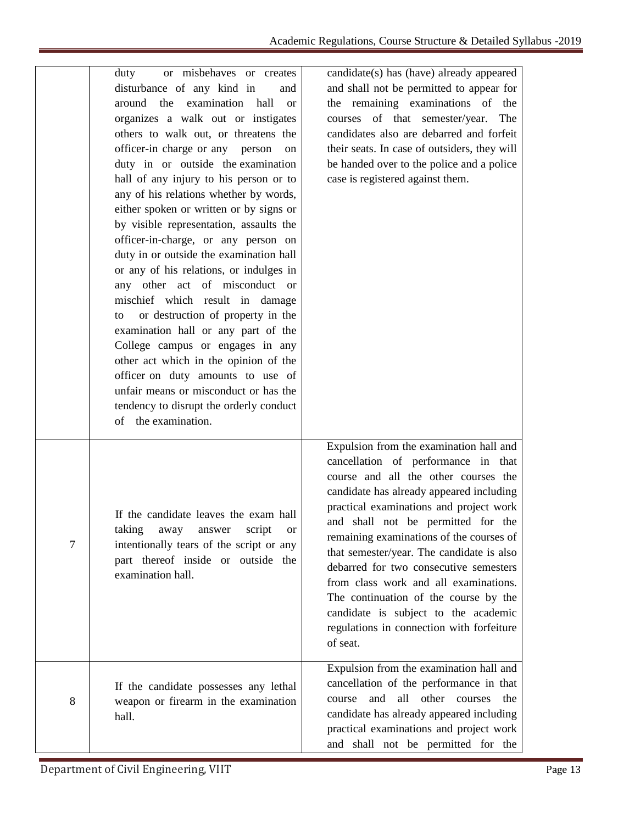|                  | or misbehaves or creates<br>duty<br>disturbance of any kind in<br>and<br>around the examination hall<br><b>or</b><br>organizes a walk out or instigates<br>others to walk out, or threatens the<br>officer-in charge or any person<br>on<br>duty in or outside the examination<br>hall of any injury to his person or to<br>any of his relations whether by words,<br>either spoken or written or by signs or<br>by visible representation, assaults the<br>officer-in-charge, or any person on<br>duty in or outside the examination hall<br>or any of his relations, or indulges in<br>any other act of misconduct or<br>mischief which result in damage<br>or destruction of property in the<br>to<br>examination hall or any part of the<br>College campus or engages in any<br>other act which in the opinion of the<br>officer on duty amounts to use of<br>unfair means or misconduct or has the<br>tendency to disrupt the orderly conduct<br>of the examination. | candidate(s) has (have) already appeared<br>and shall not be permitted to appear for<br>the remaining examinations of the<br>courses of that semester/year.<br>The<br>candidates also are debarred and forfeit<br>their seats. In case of outsiders, they will<br>be handed over to the police and a police<br>case is registered against them.                                                                                                                                                                                                                           |
|------------------|---------------------------------------------------------------------------------------------------------------------------------------------------------------------------------------------------------------------------------------------------------------------------------------------------------------------------------------------------------------------------------------------------------------------------------------------------------------------------------------------------------------------------------------------------------------------------------------------------------------------------------------------------------------------------------------------------------------------------------------------------------------------------------------------------------------------------------------------------------------------------------------------------------------------------------------------------------------------------|---------------------------------------------------------------------------------------------------------------------------------------------------------------------------------------------------------------------------------------------------------------------------------------------------------------------------------------------------------------------------------------------------------------------------------------------------------------------------------------------------------------------------------------------------------------------------|
| $\boldsymbol{7}$ | If the candidate leaves the exam hall<br>taking<br>away<br>script<br>answer<br><b>or</b><br>intentionally tears of the script or any<br>part thereof inside or outside the<br>examination hall.                                                                                                                                                                                                                                                                                                                                                                                                                                                                                                                                                                                                                                                                                                                                                                           | Expulsion from the examination hall and<br>cancellation of performance in that<br>course and all the other courses the<br>candidate has already appeared including<br>practical examinations and project work<br>and shall not be permitted for the<br>remaining examinations of the courses of<br>that semester/year. The candidate is also<br>debarred for two consecutive semesters<br>from class work and all examinations.<br>The continuation of the course by the<br>candidate is subject to the academic<br>regulations in connection with forfeiture<br>of seat. |
| 8                | If the candidate possesses any lethal<br>weapon or firearm in the examination<br>hall.                                                                                                                                                                                                                                                                                                                                                                                                                                                                                                                                                                                                                                                                                                                                                                                                                                                                                    | Expulsion from the examination hall and<br>cancellation of the performance in that<br>and all other courses<br>the<br>course<br>candidate has already appeared including<br>practical examinations and project work<br>and shall not be permitted for the                                                                                                                                                                                                                                                                                                                 |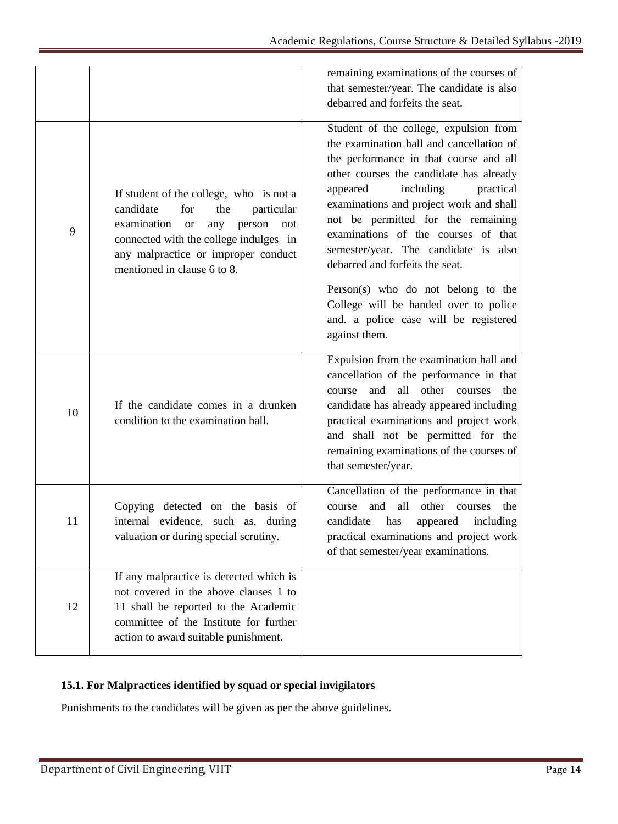|    |                                                                                                                                                                                                                                                      | remaining examinations of the courses of<br>that semester/year. The candidate is also<br>debarred and forfeits the seat.                                                                                                                                                                                                                                                                                                                                                                                                                                  |
|----|------------------------------------------------------------------------------------------------------------------------------------------------------------------------------------------------------------------------------------------------------|-----------------------------------------------------------------------------------------------------------------------------------------------------------------------------------------------------------------------------------------------------------------------------------------------------------------------------------------------------------------------------------------------------------------------------------------------------------------------------------------------------------------------------------------------------------|
| 9  | If student of the college, who is not a<br>candidate<br>particular<br>for<br>the<br>examination<br>person<br><b>or</b><br>any<br>not<br>connected with the college indulges in<br>any malpractice or improper conduct<br>mentioned in clause 6 to 8. | Student of the college, expulsion from<br>the examination hall and cancellation of<br>the performance in that course and all<br>other courses the candidate has already<br>including<br>appeared<br>practical<br>examinations and project work and shall<br>not be permitted for the remaining<br>examinations of the courses of that<br>semester/year. The candidate is also<br>debarred and forfeits the seat.<br>Person(s) who do not belong to the<br>College will be handed over to police<br>and. a police case will be registered<br>against them. |
| 10 | If the candidate comes in a drunken<br>condition to the examination hall.                                                                                                                                                                            | Expulsion from the examination hall and<br>cancellation of the performance in that<br>all other courses<br>and<br>the<br>course<br>candidate has already appeared including<br>practical examinations and project work<br>and shall not be permitted for the<br>remaining examinations of the courses of<br>that semester/year.                                                                                                                                                                                                                           |
| 11 | Copying detected on the basis of<br>internal evidence, such as, during<br>valuation or during special scrutiny.                                                                                                                                      | Cancellation of the performance in that<br>all<br>other<br>and<br>courses<br>the<br>course<br>candidate<br>has<br>including<br>appeared<br>practical examinations and project work<br>of that semester/year examinations.                                                                                                                                                                                                                                                                                                                                 |
| 12 | If any malpractice is detected which is<br>not covered in the above clauses 1 to<br>11 shall be reported to the Academic<br>committee of the Institute for further<br>action to award suitable punishment.                                           |                                                                                                                                                                                                                                                                                                                                                                                                                                                                                                                                                           |

# **15.1. For Malpractices identified by squad or special invigilators**

Punishments to the candidates will be given as per the above guidelines.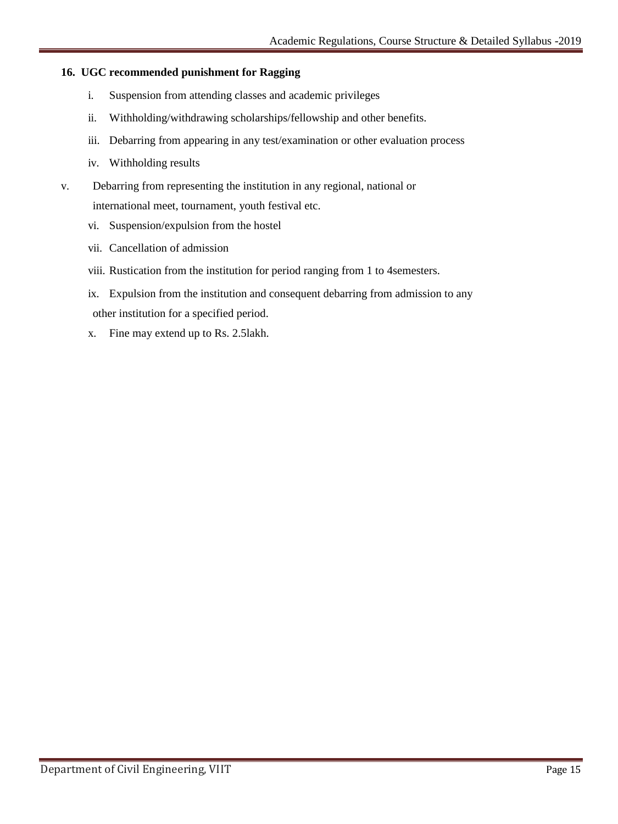# **16. UGC recommended punishment for Ragging**

- i. Suspension from attending classes and academic privileges
- ii. Withholding/withdrawing scholarships/fellowship and other benefits.
- iii. Debarring from appearing in any test/examination or other evaluation process
- iv. Withholding results
- v. Debarring from representing the institution in any regional, national or international meet, tournament, youth festival etc.
	- vi. Suspension/expulsion from the hostel
	- vii. Cancellation of admission
	- viii. Rustication from the institution for period ranging from 1 to 4semesters.
	- ix. Expulsion from the institution and consequent debarring from admission to any other institution for a specified period.
	- x. Fine may extend up to Rs. 2.5lakh.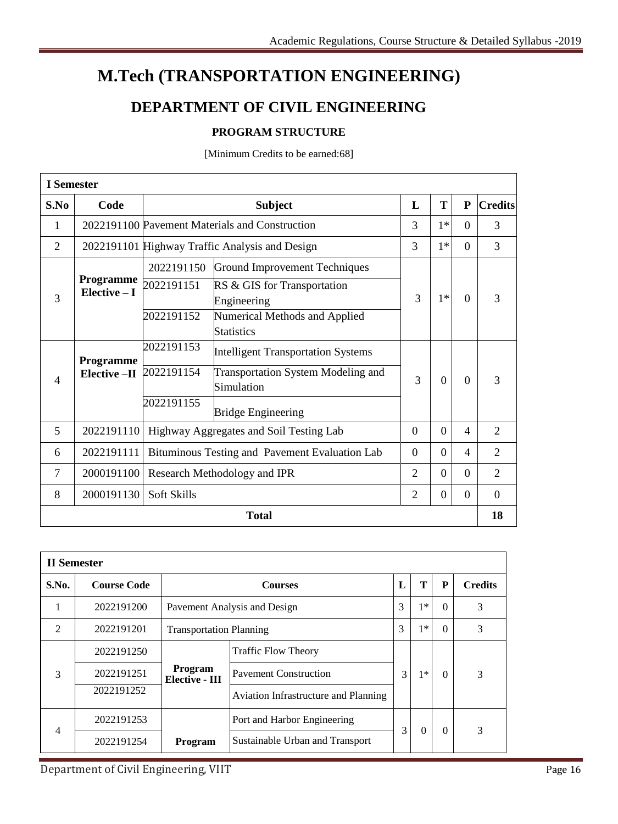# **M.Tech (TRANSPORTATION ENGINEERING)**

# **DEPARTMENT OF CIVIL ENGINEERING**

# **PROGRAM STRUCTURE**

[Minimum Credits to be earned:68]

| <b>I</b> Semester |                                   |             |                                                         |   |          |                |                |
|-------------------|-----------------------------------|-------------|---------------------------------------------------------|---|----------|----------------|----------------|
| S.No              | Code                              |             | L<br><b>Subject</b>                                     |   |          |                | <b>Credits</b> |
| 1                 |                                   |             | 2022191100 Pavement Materials and Construction          |   | $1*$     | $\Omega$       | 3              |
| $\overline{2}$    |                                   |             | 2022191101 Highway Traffic Analysis and Design          | 3 | $1*$     | $\Omega$       | 3              |
|                   |                                   | 2022191150  | <b>Ground Improvement Techniques</b>                    |   |          |                |                |
| 3                 | <b>Programme</b><br>Elective $-I$ | 2022191151  | RS & GIS for Transportation<br>Engineering              | 3 | $1*$     | $\Omega$       | 3              |
|                   |                                   | 2022191152  | Numerical Methods and Applied<br><b>Statistics</b>      |   |          |                |                |
|                   | Programme                         | 2022191153  | <b>Intelligent Transportation Systems</b>               |   |          |                |                |
| $\overline{4}$    | Elective -II                      | 2022191154  | <b>Transportation System Modeling and</b><br>Simulation | 3 | $\Omega$ | $\Omega$       | 3              |
|                   |                                   | 2022191155  | <b>Bridge Engineering</b>                               |   |          |                |                |
| 5                 | 2022191110                        |             | Highway Aggregates and Soil Testing Lab                 |   | $\Omega$ | 4              | $\overline{2}$ |
| 6                 | 2022191111                        |             | Bituminous Testing and Pavement Evaluation Lab          |   | $\Omega$ | 4              | $\overline{2}$ |
| 7                 | 2000191100                        |             | Research Methodology and IPR                            |   | $\Omega$ | $\Omega$       | $\overline{2}$ |
| 8                 | 2000191130                        | Soft Skills | $\overline{2}$<br>$\overline{0}$                        |   |          | $\overline{0}$ | $\theta$       |
| <b>Total</b>      |                                   |             |                                                         |   |          |                | 18             |

| <b>II</b> Semester |                    |                                  |                                             |   |          |          |                |  |
|--------------------|--------------------|----------------------------------|---------------------------------------------|---|----------|----------|----------------|--|
| S.No.              | <b>Course Code</b> |                                  | <b>Courses</b>                              |   |          | P        | <b>Credits</b> |  |
| 1                  | 2022191200         |                                  | Pavement Analysis and Design                |   | $1*$     | $\theta$ | 3              |  |
| $\overline{2}$     | 2022191201         |                                  | <b>Transportation Planning</b>              |   | $1*$     | $\theta$ | 3              |  |
|                    | 2022191250         |                                  | <b>Traffic Flow Theory</b>                  |   |          |          |                |  |
| 3                  | 2022191251         | Program<br><b>Elective - III</b> | <b>Pavement Construction</b>                | 3 | $1*$     | $\Omega$ | 3              |  |
|                    | 2022191252         |                                  | <b>Aviation Infrastructure and Planning</b> |   |          |          |                |  |
|                    | 2022191253         |                                  | Port and Harbor Engineering                 |   |          |          | 3              |  |
| 4                  | 2022191254         | Program                          | Sustainable Urban and Transport             | 3 | $\Omega$ | $\Omega$ |                |  |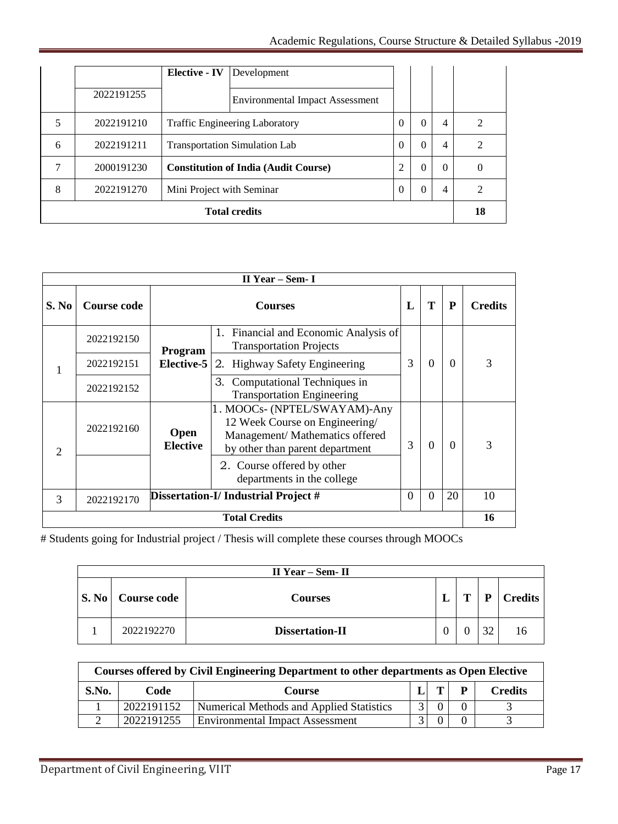|   |            | <b>Elective - IV</b>                        | Development                            |                |          |                |                  |
|---|------------|---------------------------------------------|----------------------------------------|----------------|----------|----------------|------------------|
|   | 2022191255 |                                             | <b>Environmental Impact Assessment</b> |                |          |                |                  |
| 5 | 2022191210 |                                             | <b>Traffic Engineering Laboratory</b>  | $\theta$       | 0        | 4              | $\overline{c}$   |
| 6 | 2022191211 | <b>Transportation Simulation Lab</b>        |                                        | $\theta$       | $\Omega$ | $\overline{4}$ | 2                |
|   | 2000191230 | <b>Constitution of India (Audit Course)</b> |                                        | $\overline{2}$ | $\Omega$ | $\Omega$       | $\left( \right)$ |
| 8 | 2022191270 | Mini Project with Seminar                   |                                        | $\theta$       | $\Omega$ | 4              | $\mathcal{D}$    |
|   |            |                                             | <b>Total credits</b>                   |                |          |                | 18               |

| II Year – Sem- I     |                    |                                |                                                                                                                                      |                |          |          |                |
|----------------------|--------------------|--------------------------------|--------------------------------------------------------------------------------------------------------------------------------------|----------------|----------|----------|----------------|
| S. No                | <b>Course code</b> |                                | <b>Courses</b>                                                                                                                       |                |          | P        | <b>Credits</b> |
|                      | 2022192150         | Program                        | Financial and Economic Analysis of<br>1.<br><b>Transportation Projects</b>                                                           |                |          |          |                |
| 1                    | 2022192151         | <b>Elective-5</b>              | 2. Highway Safety Engineering                                                                                                        | 3              | $\Omega$ | $\Omega$ | 3              |
|                      | 2022192152         |                                | Computational Techniques in<br>3.<br><b>Transportation Engineering</b>                                                               |                |          |          |                |
| $\overline{2}$       | 2022192160         | <b>Open</b><br><b>Elective</b> | 1. MOOCs- (NPTEL/SWAYAM)-Any<br>12 Week Course on Engineering/<br>Management/ Mathematics offered<br>by other than parent department | 3              | 0        | $\Omega$ | 3              |
|                      |                    |                                | 2. Course offered by other<br>departments in the college                                                                             |                |          |          |                |
| 3                    | 2022192170         |                                | Dissertation-I/ Industrial Project #                                                                                                 | $\overline{0}$ | $\theta$ | 20       | 10             |
| <b>Total Credits</b> |                    |                                |                                                                                                                                      |                | 16       |          |                |

# Students going for Industrial project / Thesis will complete these courses through MOOCs

| $II$ Year – Sem- $II$ |                          |                 |  |   |    |                |  |  |  |
|-----------------------|--------------------------|-----------------|--|---|----|----------------|--|--|--|
|                       | <b>S. No</b> Course code | Courses         |  | T | P  | <b>Credits</b> |  |  |  |
|                       | 2022192270               | Dissertation-II |  |   | 32 | 16             |  |  |  |

| Courses offered by Civil Engineering Department to other departments as Open Elective |            |                                          |  |   |                |                |  |  |  |
|---------------------------------------------------------------------------------------|------------|------------------------------------------|--|---|----------------|----------------|--|--|--|
| S.No.                                                                                 | Code       | <b>Course</b>                            |  | T | $\mathbf{P}$   | <b>Credits</b> |  |  |  |
|                                                                                       | 2022191152 | Numerical Methods and Applied Statistics |  |   |                |                |  |  |  |
|                                                                                       | 2022191255 | <b>Environmental Impact Assessment</b>   |  |   | $\overline{0}$ |                |  |  |  |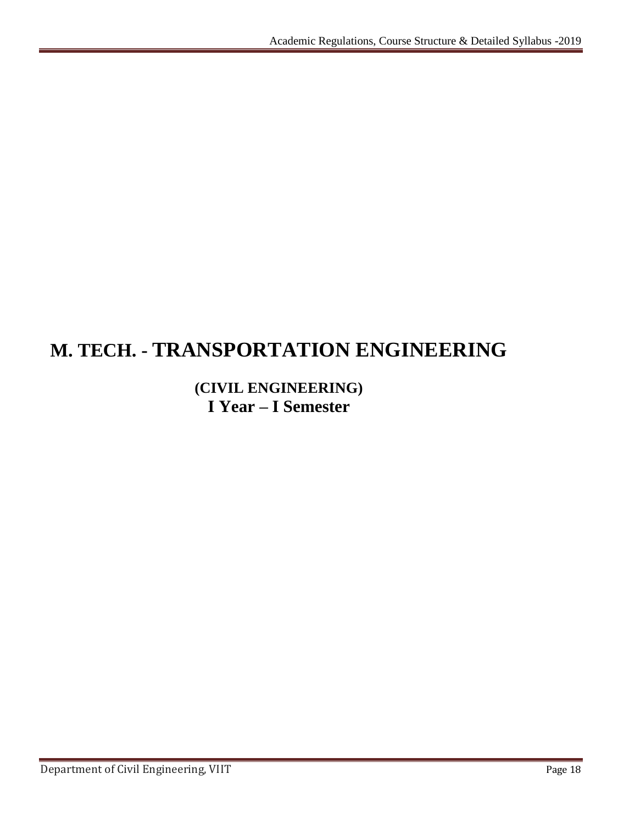# **M. TECH. - TRANSPORTATION ENGINEERING**

# **(CIVIL ENGINEERING) I Year – I Semester**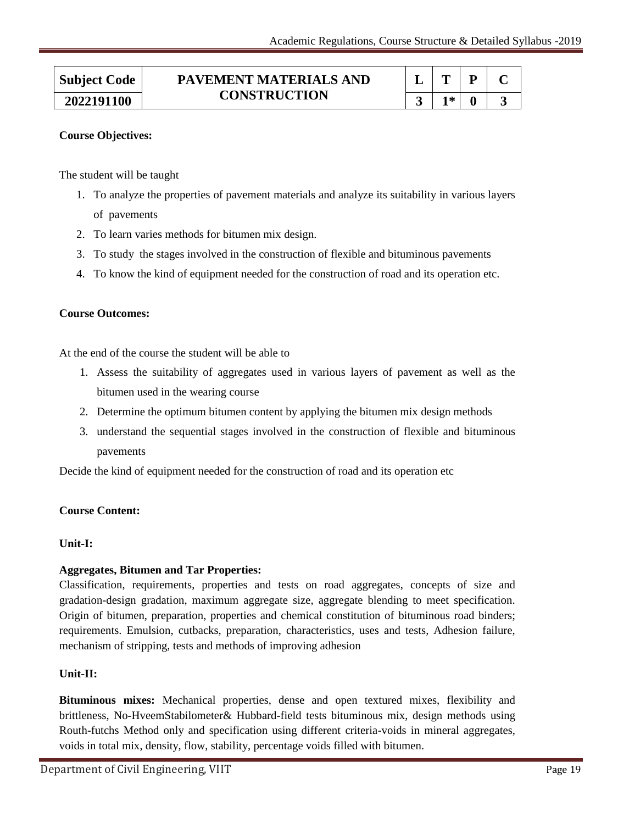| <b>Subject Code</b> | PAVEMENT MATERIALS AND |     |  |
|---------------------|------------------------|-----|--|
| 2022191100          | <b>CONSTRUCTION</b>    | 1米: |  |

The student will be taught

- 1. To analyze the properties of pavement materials and analyze its suitability in various layers of pavements
- 2. To learn varies methods for bitumen mix design.
- 3. To study the stages involved in the construction of flexible and bituminous pavements
- 4. To know the kind of equipment needed for the construction of road and its operation etc.

#### **Course Outcomes:**

At the end of the course the student will be able to

- 1. Assess the suitability of aggregates used in various layers of pavement as well as the bitumen used in the wearing course
- 2. Determine the optimum bitumen content by applying the bitumen mix design methods
- 3. understand the sequential stages involved in the construction of flexible and bituminous pavements

Decide the kind of equipment needed for the construction of road and its operation etc

#### **Course Content:**

#### **Unit-I:**

#### **Aggregates, Bitumen and Tar Properties:**

Classification, requirements, properties and tests on road aggregates, concepts of size and gradation-design gradation, maximum aggregate size, aggregate blending to meet specification. Origin of bitumen, preparation, properties and chemical constitution of bituminous road binders; requirements. Emulsion, cutbacks, preparation, characteristics, uses and tests, Adhesion failure, mechanism of stripping, tests and methods of improving adhesion

#### **Unit-II:**

**Bituminous mixes:** Mechanical properties, dense and open textured mixes, flexibility and brittleness, No-HveemStabilometer& Hubbard-field tests bituminous mix, design methods using Routh-futchs Method only and specification using different criteria-voids in mineral aggregates, voids in total mix, density, flow, stability, percentage voids filled with bitumen.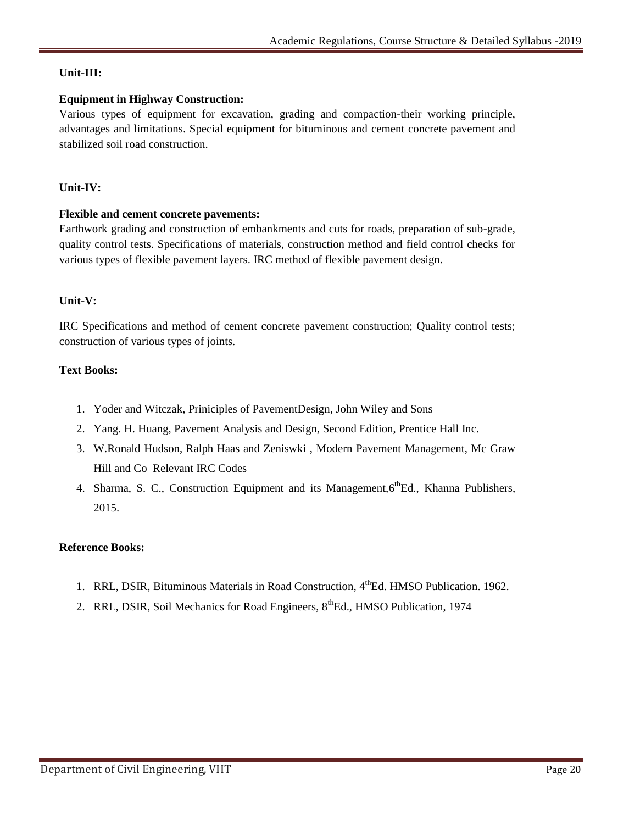# **Unit-III:**

## **Equipment in Highway Construction:**

Various types of equipment for excavation, grading and compaction-their working principle, advantages and limitations. Special equipment for bituminous and cement concrete pavement and stabilized soil road construction.

# **Unit-IV:**

#### **Flexible and cement concrete pavements:**

Earthwork grading and construction of embankments and cuts for roads, preparation of sub-grade, quality control tests. Specifications of materials, construction method and field control checks for various types of flexible pavement layers. IRC method of flexible pavement design.

#### **Unit-V:**

IRC Specifications and method of cement concrete pavement construction; Quality control tests; construction of various types of joints.

#### **Text Books:**

- 1. Yoder and Witczak, Priniciples of PavementDesign, John Wiley and Sons
- 2. Yang. H. Huang, Pavement Analysis and Design, Second Edition, Prentice Hall Inc.
- 3. W.Ronald Hudson, Ralph Haas and Zeniswki , Modern Pavement Management, Mc Graw Hill and Co Relevant IRC Codes
- 4. Sharma, S. C., Construction Equipment and its Management, 6<sup>th</sup>Ed., Khanna Publishers, 2015.

#### **Reference Books:**

- 1. RRL, DSIR, Bituminous Materials in Road Construction, 4<sup>th</sup>Ed. HMSO Publication. 1962.
- 2. RRL, DSIR, Soil Mechanics for Road Engineers,  $8<sup>th</sup>Ed$ , HMSO Publication, 1974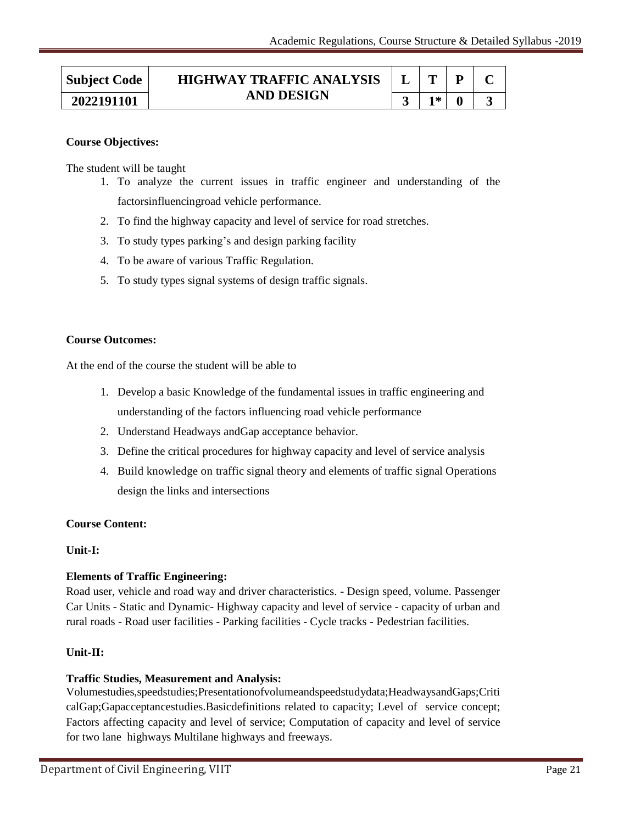| <b>Subject Code</b> | <b>HIGHWAY TRAFFIC ANALYSIS</b><br><b>AND DESIGN</b> |      |  |
|---------------------|------------------------------------------------------|------|--|
| 2022191101          |                                                      | $1*$ |  |

The student will be taught

- 1. To analyze the current issues in traffic engineer and understanding of the factorsinfluencingroad vehicle performance.
- 2. To find the highway capacity and level of service for road stretches.
- 3. To study types parking"s and design parking facility
- 4. To be aware of various Traffic Regulation.
- 5. To study types signal systems of design traffic signals.

#### **Course Outcomes:**

At the end of the course the student will be able to

- 1. Develop a basic Knowledge of the fundamental issues in traffic engineering and understanding of the factors influencing road vehicle performance
- 2. Understand Headways andGap acceptance behavior.
- 3. Define the critical procedures for highway capacity and level of service analysis
- 4. Build knowledge on traffic signal theory and elements of traffic signal Operations design the links and intersections

#### **Course Content:**

#### **Unit-I:**

# **Elements of Traffic Engineering:**

Road user, vehicle and road way and driver characteristics. - Design speed, volume. Passenger Car Units - Static and Dynamic- Highway capacity and level of service - capacity of urban and rural roads - Road user facilities - Parking facilities - Cycle tracks - Pedestrian facilities.

#### **Unit-II:**

#### **Traffic Studies, Measurement and Analysis:**

Volumestudies,speedstudies;Presentationofvolumeandspeedstudydata;HeadwaysandGaps;Criti calGap;Gapacceptancestudies.Basicdefinitions related to capacity; Level of service concept; Factors affecting capacity and level of service; Computation of capacity and level of service for two lane highways Multilane highways and freeways.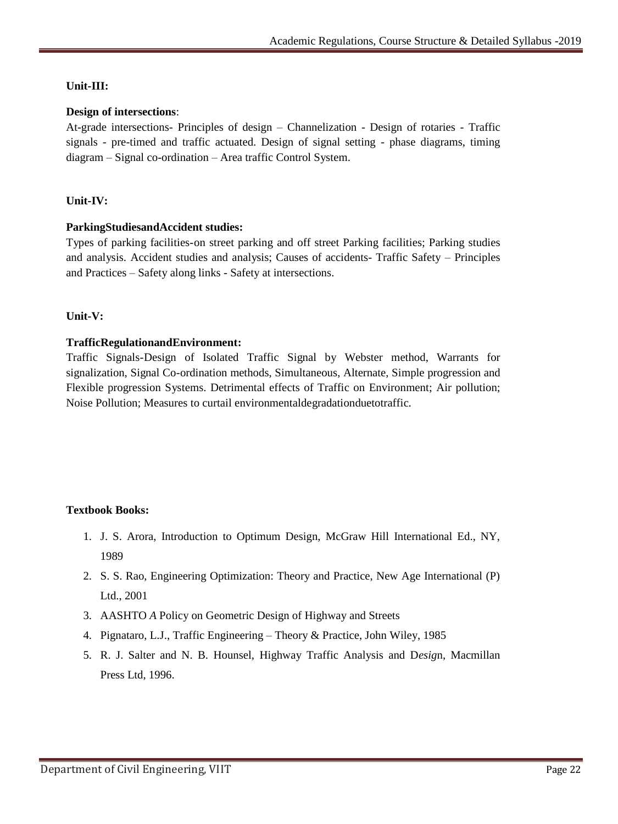# **Unit-III:**

# **Design of intersections**:

At-grade intersections- Principles of design – Channelization - Design of rotaries - Traffic signals - pre-timed and traffic actuated. Design of signal setting - phase diagrams, timing diagram – Signal co-ordination – Area traffic Control System.

# **Unit-IV:**

#### **ParkingStudiesandAccident studies:**

Types of parking facilities-on street parking and off street Parking facilities; Parking studies and analysis. Accident studies and analysis; Causes of accidents- Traffic Safety – Principles and Practices – Safety along links - Safety at intersections.

#### **Unit-V:**

#### **TrafficRegulationandEnvironment:**

Traffic Signals-Design of Isolated Traffic Signal by Webster method, Warrants for signalization, Signal Co-ordination methods, Simultaneous, Alternate, Simple progression and Flexible progression Systems. Detrimental effects of Traffic on Environment; Air pollution; Noise Pollution; Measures to curtail environmentaldegradationduetotraffic.

# **Textbook Books:**

- 1. J. S. Arora, Introduction to Optimum Design, McGraw Hill International Ed., NY, 1989
- 2. S. S. Rao, Engineering Optimization: Theory and Practice, New Age International (P) Ltd., 2001
- 3. AASHTO *A* Policy on Geometric Design of Highway and Streets
- 4. Pignataro, L.J., Traffic Engineering Theory & Practice, John Wiley, 1985
- 5. R. J. Salter and N. B. Hounsel, Highway Traffic Analysis and D*esig*n, Macmillan Press Ltd, 1996.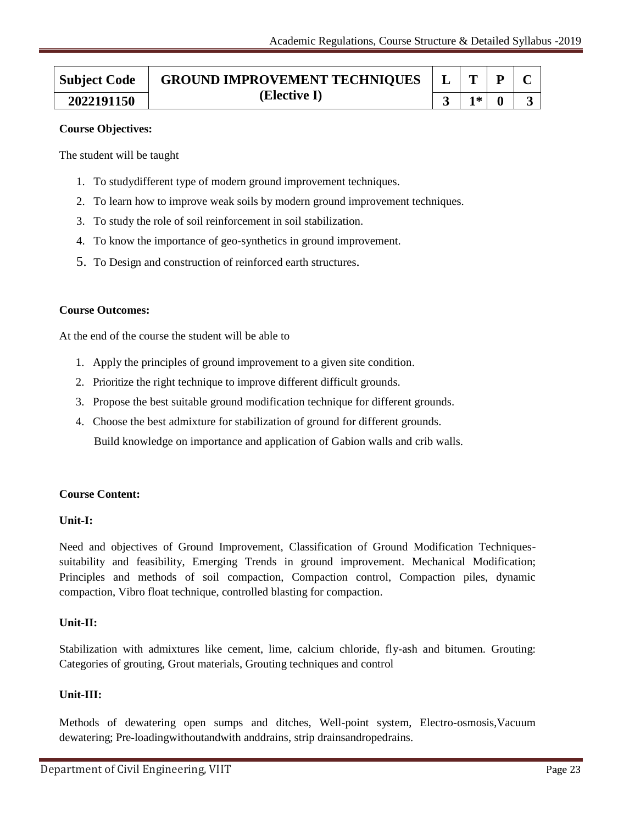| <b>Subject Code</b> | <b>GROUND IMPROVEMENT TECHNIQUES</b><br>(Elective I) | $\begin{array}{c c c c c c} \hline & \mathbf{L} & \mathbf{T} & \mathbf{P} & \mathbf{C} \end{array}$ |       |  |  |
|---------------------|------------------------------------------------------|-----------------------------------------------------------------------------------------------------|-------|--|--|
| 2022191150          |                                                      |                                                                                                     | $1*1$ |  |  |

The student will be taught

- 1. To studydifferent type of modern ground improvement techniques.
- 2. To learn how to improve weak soils by modern ground improvement techniques.
- 3. To study the role of soil reinforcement in soil stabilization.
- 4. To know the importance of geo-synthetics in ground improvement.
- 5. To Design and construction of reinforced earth structures.

#### **Course Outcomes:**

At the end of the course the student will be able to

- 1. Apply the principles of ground improvement to a given site condition.
- 2. Prioritize the right technique to improve different difficult grounds.
- 3. Propose the best suitable ground modification technique for different grounds.
- 4. Choose the best admixture for stabilization of ground for different grounds. Build knowledge on importance and application of Gabion walls and crib walls.

#### **Course Content:**

#### **Unit-I:**

Need and objectives of Ground Improvement, Classification of Ground Modification Techniquessuitability and feasibility, Emerging Trends in ground improvement. Mechanical Modification; Principles and methods of soil compaction, Compaction control, Compaction piles, dynamic compaction, Vibro float technique, controlled blasting for compaction.

#### **Unit-II:**

Stabilization with admixtures like cement, lime, calcium chloride, fly-ash and bitumen. Grouting: Categories of grouting, Grout materials, Grouting techniques and control

#### **Unit-III:**

Methods of dewatering open sumps and ditches, Well-point system, Electro-osmosis,Vacuum dewatering; Pre-loadingwithoutandwith anddrains, strip drainsandropedrains.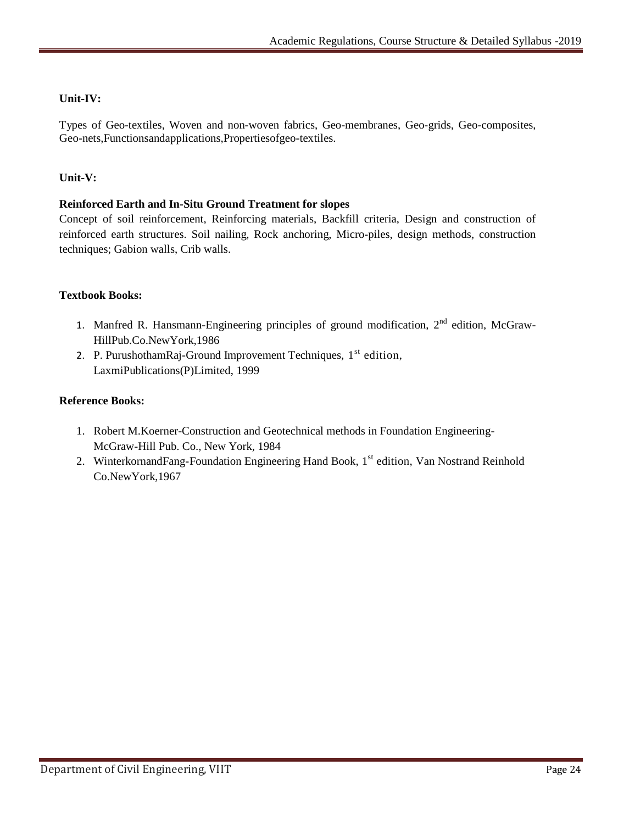# **Unit-IV:**

Types of Geo-textiles, Woven and non-woven fabrics, Geo-membranes, Geo-grids, Geo-composites, Geo-nets,Functionsandapplications,Propertiesofgeo-textiles.

# **Unit-V:**

# **Reinforced Earth and In-Situ Ground Treatment for slopes**

Concept of soil reinforcement, Reinforcing materials, Backfill criteria, Design and construction of reinforced earth structures. Soil nailing, Rock anchoring, Micro-piles, design methods, construction techniques; Gabion walls, Crib walls.

# **Textbook Books:**

- 1. Manfred R. Hansmann-Engineering principles of ground modification, 2<sup>nd</sup> edition, McGraw-HillPub.Co.NewYork,1986
- 2. P. PurushothamRaj-Ground Improvement Techniques,  $1<sup>st</sup>$  edition, LaxmiPublications(P)Limited, 1999

#### **Reference Books:**

- 1. Robert M.Koerner-Construction and Geotechnical methods in Foundation Engineering-McGraw-Hill Pub. Co., New York, 1984
- 2. WinterkornandFang-Foundation Engineering Hand Book, 1<sup>st</sup> edition, Van Nostrand Reinhold Co.NewYork,1967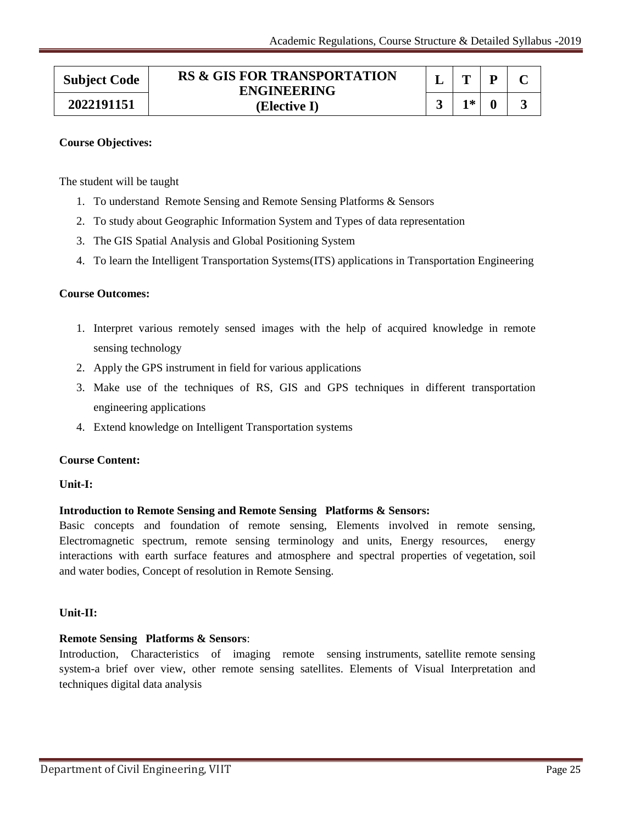| <b>Subject Code</b> | <b>RS &amp; GIS FOR TRANSPORTATION</b><br><b>ENGINEERING</b> | m   |  |
|---------------------|--------------------------------------------------------------|-----|--|
| 2022191151          | (Elective I)                                                 | 1 * |  |

The student will be taught

- 1. To understand Remote Sensing and Remote Sensing Platforms & Sensors
- 2. To study about Geographic Information System and Types of data representation
- 3. The GIS Spatial Analysis and Global Positioning System
- 4. To learn the Intelligent Transportation Systems(ITS) applications in Transportation Engineering

#### **Course Outcomes:**

- 1. Interpret various remotely sensed images with the help of acquired knowledge in remote sensing technology
- 2. Apply the GPS instrument in field for various applications
- 3. Make use of the techniques of RS, GIS and GPS techniques in different transportation engineering applications
- 4. Extend knowledge on Intelligent Transportation systems

#### **Course Content:**

#### **Unit-I:**

#### **Introduction to Remote Sensing and Remote Sensing Platforms & Sensors:**

Basic concepts and foundation of remote sensing, Elements involved in remote sensing, Electromagnetic spectrum, remote sensing terminology and units, Energy resources, energy interactions with earth surface features and atmosphere and spectral properties of vegetation, soil and water bodies, Concept of resolution in Remote Sensing.

#### **Unit-II:**

#### **Remote Sensing Platforms & Sensors**:

Introduction, Characteristics of imaging remote sensing instruments, satellite remote sensing system-a brief over view, other remote sensing satellites. Elements of Visual Interpretation and techniques digital data analysis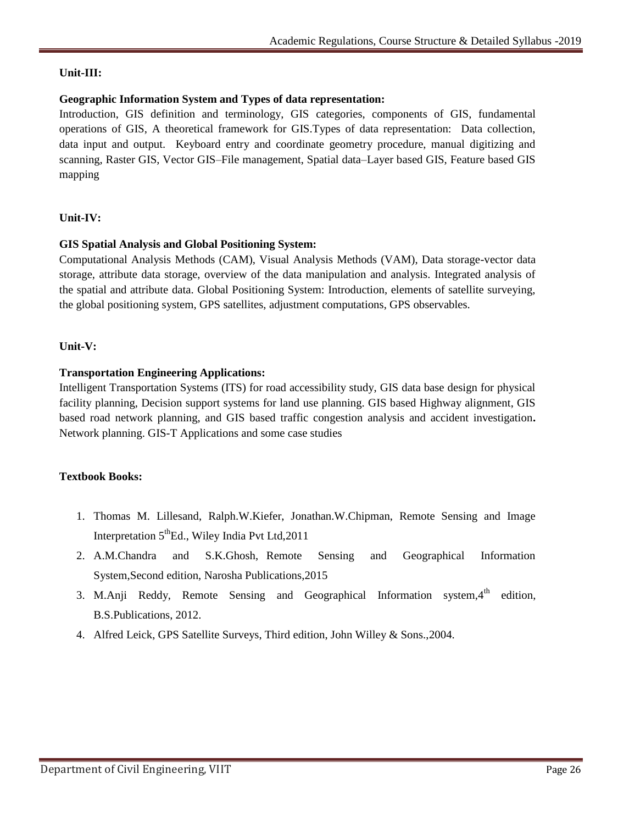# **Unit-III:**

# **Geographic Information System and Types of data representation:**

Introduction, GIS definition and terminology, GIS categories, components of GIS, fundamental operations of GIS, A theoretical framework for GIS.Types of data representation: Data collection, data input and output. Keyboard entry and coordinate geometry procedure, manual digitizing and scanning, Raster GIS, Vector GIS–File management, Spatial data–Layer based GIS, Feature based GIS mapping

# **Unit-IV:**

# **GIS Spatial Analysis and Global Positioning System:**

Computational Analysis Methods (CAM), Visual Analysis Methods (VAM), Data storage-vector data storage, attribute data storage, overview of the data manipulation and analysis. Integrated analysis of the spatial and attribute data. Global Positioning System: Introduction, elements of satellite surveying, the global positioning system, GPS satellites, adjustment computations, GPS observables.

# **Unit-V:**

# **Transportation Engineering Applications:**

Intelligent Transportation Systems (ITS) for road accessibility study, GIS data base design for physical facility planning, Decision support systems for land use planning. GIS based Highway alignment, GIS based road network planning, and GIS based traffic congestion analysis and accident investigation**.**  Network planning. GIS-T Applications and some case studies

# **Textbook Books:**

- 1. Thomas M. Lillesand, Ralph.W.Kiefer, Jonathan.W.Chipman, Remote Sensing and Image Interpretation  $5<sup>th</sup>Ed$ ., Wiley India Pvt Ltd, 2011
- 2. A.M.Chandra and S.K.Ghosh, Remote Sensing and Geographical Information System,Second edition, Narosha Publications,2015
- 3. M.Anji Reddy, Remote Sensing and Geographical Information system,  $4<sup>th</sup>$  edition, B.S.Publications, 2012.
- 4. Alfred Leick, GPS Satellite Surveys, Third edition, John Willey & Sons.,2004.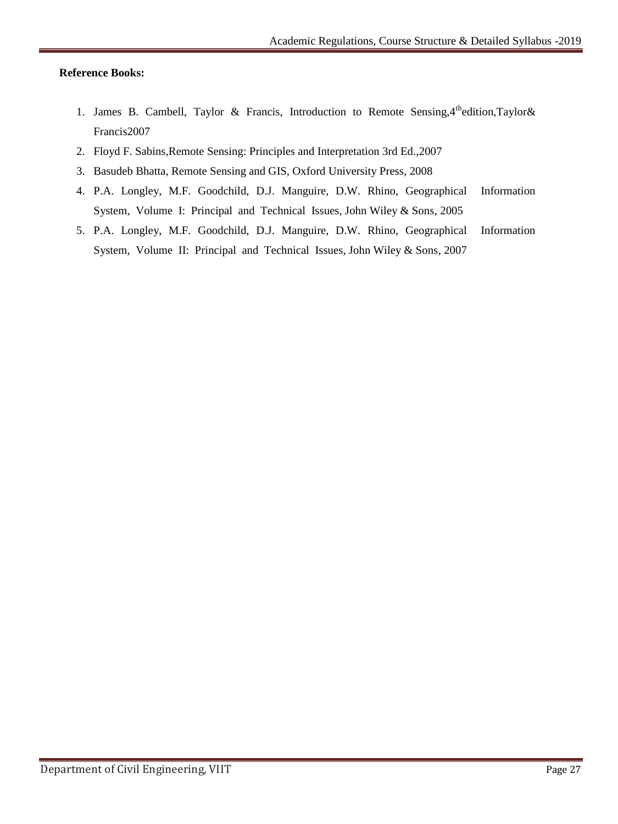#### **Reference Books:**

- 1. James B. Cambell, Taylor & Francis, Introduction to Remote Sensing,  $4^{\text{th}}$ edition, Taylor & Francis2007
- 2. Floyd F. Sabins,Remote Sensing: Principles and Interpretation 3rd Ed.,2007
- 3. Basudeb Bhatta, Remote Sensing and GIS, Oxford University Press, 2008
- 4. P.A. Longley, M.F. Goodchild, D.J. Manguire, D.W. Rhino, Geographical Information System, Volume I: Principal and Technical Issues, John Wiley & Sons, 2005
- 5. P.A. Longley, M.F. Goodchild, D.J. Manguire, D.W. Rhino, Geographical Information System, Volume II: Principal and Technical Issues, John Wiley & Sons, 2007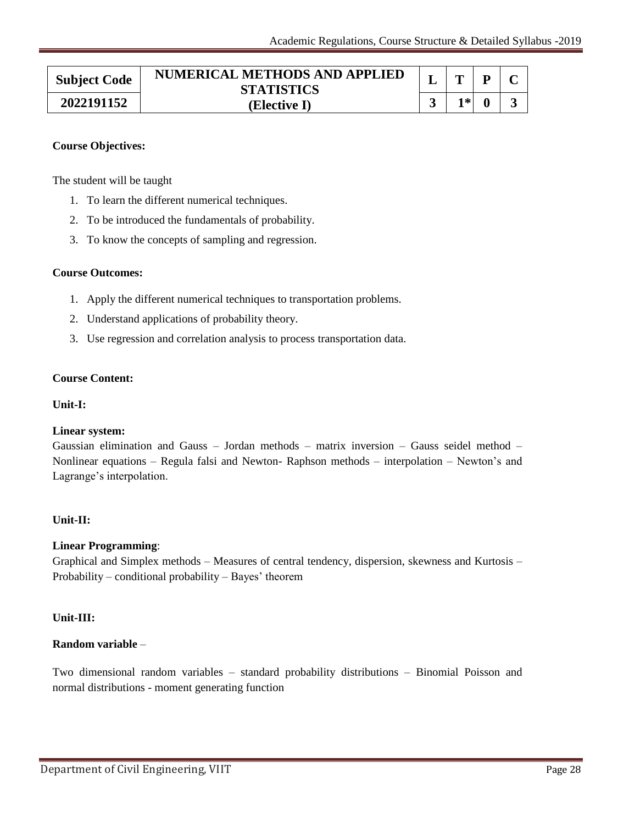| <b>Subject Code</b> | NUMERICAL METHODS AND APPLIED<br><b>STATISTICS</b> | m   |  |
|---------------------|----------------------------------------------------|-----|--|
| 2022191152          | (Elective I)                                       | ' * |  |

The student will be taught

- 1. To learn the different numerical techniques.
- 2. To be introduced the fundamentals of probability.
- 3. To know the concepts of sampling and regression.

#### **Course Outcomes:**

- 1. Apply the different numerical techniques to transportation problems.
- 2. Understand applications of probability theory.
- 3. Use regression and correlation analysis to process transportation data.

#### **Course Content:**

#### **Unit-I:**

#### **Linear system:**

Gaussian elimination and Gauss – Jordan methods – matrix inversion – Gauss seidel method – Nonlinear equations – Regula falsi and Newton- Raphson methods – interpolation – Newton"s and Lagrange's interpolation.

#### **Unit-II:**

#### **Linear Programming**:

Graphical and Simplex methods – Measures of central tendency, dispersion, skewness and Kurtosis – Probability – conditional probability – Bayes" theorem

#### **Unit-III:**

#### **Random variable** –

Two dimensional random variables – standard probability distributions – Binomial Poisson and normal distributions - moment generating function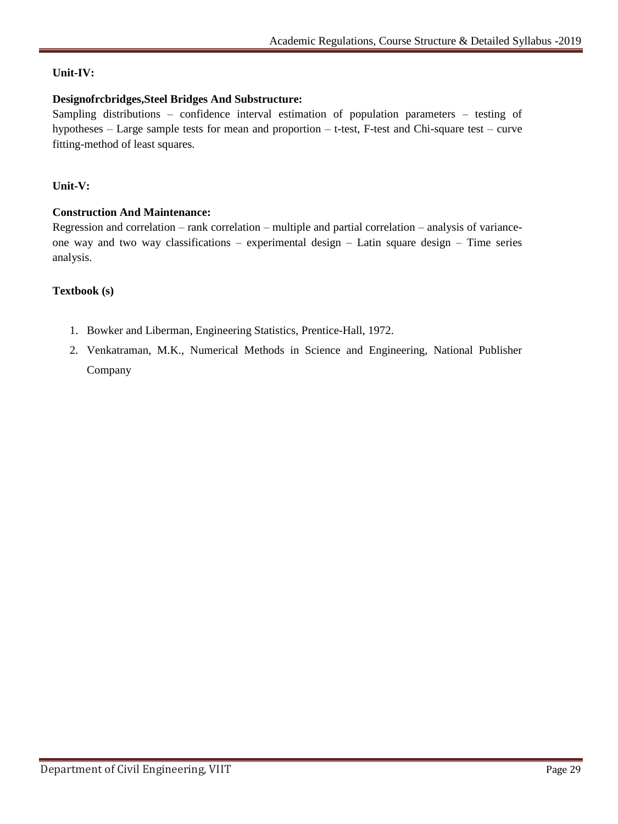# **Unit-IV:**

# **Designofrcbridges,Steel Bridges And Substructure:**

Sampling distributions – confidence interval estimation of population parameters – testing of hypotheses – Large sample tests for mean and proportion – t-test, F-test and Chi-square test – curve fitting-method of least squares.

# **Unit-V:**

# **Construction And Maintenance:**

Regression and correlation – rank correlation – multiple and partial correlation – analysis of varianceone way and two way classifications – experimental design – Latin square design – Time series analysis.

# **Textbook (s)**

- 1. Bowker and Liberman, Engineering Statistics, Prentice-Hall, 1972.
- 2. Venkatraman, M.K., Numerical Methods in Science and Engineering, National Publisher Company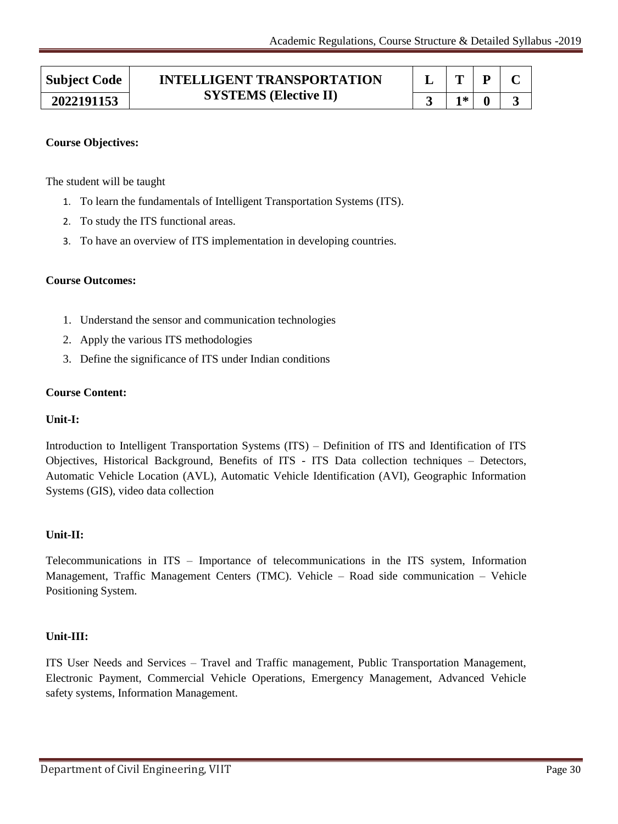| <b>Subject Code</b> | <b>INTELLIGENT TRANSPORTATION</b><br><b>SYSTEMS</b> (Elective II) | m  |  |  |
|---------------------|-------------------------------------------------------------------|----|--|--|
| 2022191153          |                                                                   | 1* |  |  |

The student will be taught

- 1. To learn the fundamentals of Intelligent Transportation Systems (ITS).
- 2. To study the ITS functional areas.
- 3. To have an overview of ITS implementation in developing countries.

#### **Course Outcomes:**

- 1. Understand the sensor and communication technologies
- 2. Apply the various ITS methodologies
- 3. Define the significance of ITS under Indian conditions

#### **Course Content:**

#### **Unit-I:**

Introduction to Intelligent Transportation Systems (ITS) – Definition of ITS and Identification of ITS Objectives, Historical Background, Benefits of ITS - ITS Data collection techniques – Detectors, Automatic Vehicle Location (AVL), Automatic Vehicle Identification (AVI), Geographic Information Systems (GIS), video data collection

#### **Unit-II:**

Telecommunications in ITS – Importance of telecommunications in the ITS system, Information Management, Traffic Management Centers (TMC). Vehicle – Road side communication – Vehicle Positioning System.

#### **Unit-III:**

ITS User Needs and Services – Travel and Traffic management, Public Transportation Management, Electronic Payment, Commercial Vehicle Operations, Emergency Management, Advanced Vehicle safety systems, Information Management.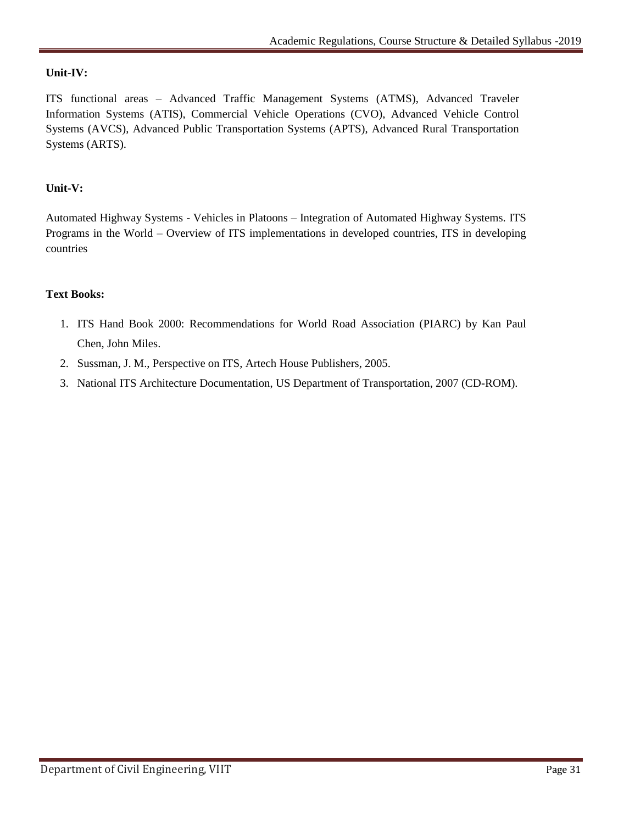# **Unit-IV:**

ITS functional areas – Advanced Traffic Management Systems (ATMS), Advanced Traveler Information Systems (ATIS), Commercial Vehicle Operations (CVO), Advanced Vehicle Control Systems (AVCS), Advanced Public Transportation Systems (APTS), Advanced Rural Transportation Systems (ARTS).

# **Unit-V:**

Automated Highway Systems - Vehicles in Platoons – Integration of Automated Highway Systems. ITS Programs in the World – Overview of ITS implementations in developed countries, ITS in developing countries

#### **Text Books:**

- 1. ITS Hand Book 2000: Recommendations for World Road Association (PIARC) by Kan Paul Chen, John Miles.
- 2. Sussman, J. M., Perspective on ITS, Artech House Publishers, 2005.
- 3. National ITS Architecture Documentation, US Department of Transportation, 2007 (CD-ROM).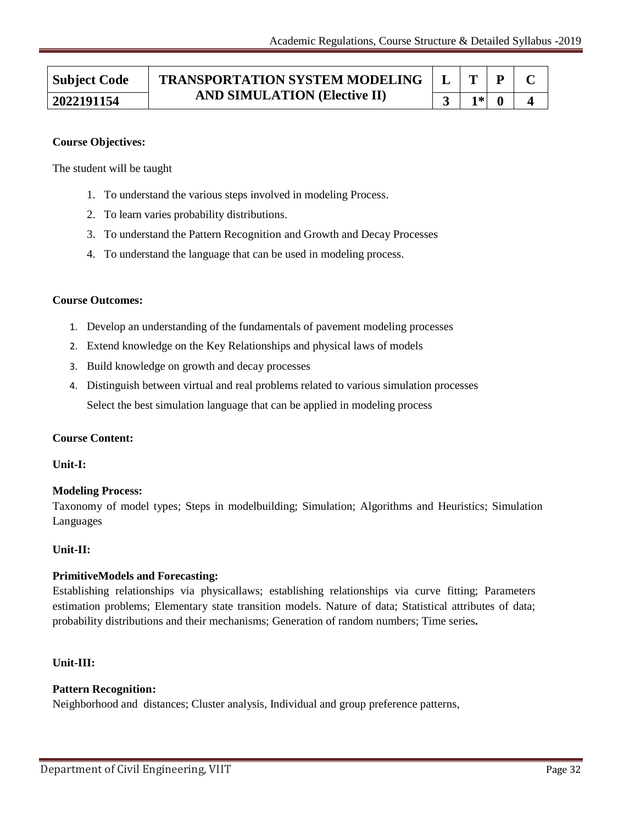#### **Subject Code TRANSPORTATION SYSTEM MODELING AND SIMULATION (Elective II) 2022191154 3 1\* 0 4 L T P C**

#### **Course Objectives:**

The student will be taught

- 1. To understand the various steps involved in modeling Process.
- 2. To learn varies probability distributions.
- 3. To understand the Pattern Recognition and Growth and Decay Processes
- 4. To understand the language that can be used in modeling process.

#### **Course Outcomes:**

- 1. Develop an understanding of the fundamentals of pavement modeling processes
- 2. Extend knowledge on the Key Relationships and physical laws of models
- 3. Build knowledge on growth and decay processes
- 4. Distinguish between virtual and real problems related to various simulation processes Select the best simulation language that can be applied in modeling process

#### **Course Content:**

#### **Unit-I:**

#### **Modeling Process:**

Taxonomy of model types; Steps in modelbuilding; Simulation; Algorithms and Heuristics; Simulation Languages

#### **Unit-II:**

#### **PrimitiveModels and Forecasting:**

Establishing relationships via physicallaws; establishing relationships via curve fitting; Parameters estimation problems; Elementary state transition models. Nature of data; Statistical attributes of data; probability distributions and their mechanisms; Generation of random numbers; Time series**.**

#### **Unit-III:**

#### **Pattern Recognition:**

Neighborhood and distances; Cluster analysis, Individual and group preference patterns,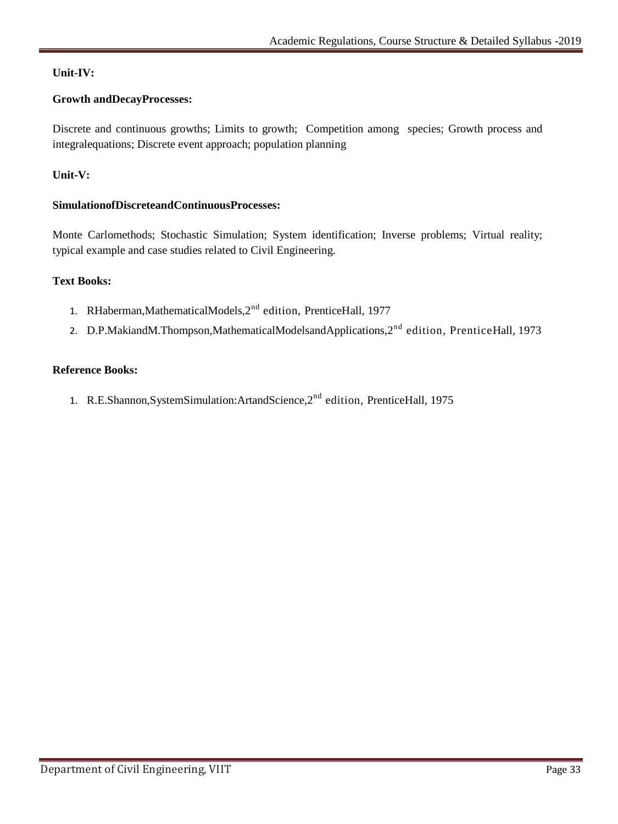# **Unit-IV:**

# **Growth andDecayProcesses:**

Discrete and continuous growths; Limits to growth; Competition among species; Growth process and integralequations; Discrete event approach; population planning

# **Unit-V:**

# **SimulationofDiscreteandContinuousProcesses:**

Monte Carlomethods; Stochastic Simulation; System identification; Inverse problems; Virtual reality; typical example and case studies related to Civil Engineering.

# **Text Books:**

- 1. RHaberman, Mathematical Models, 2<sup>nd</sup> edition, Prentice Hall, 1977
- 2. D.P.MakiandM.Thompson,MathematicalModelsandApplications,2<sup>nd</sup> edition, PrenticeHall, 1973

#### **Reference Books:**

1. R.E.Shannon, System Simulation: Artand Science, 2<sup>nd</sup> edition, Prentice Hall, 1975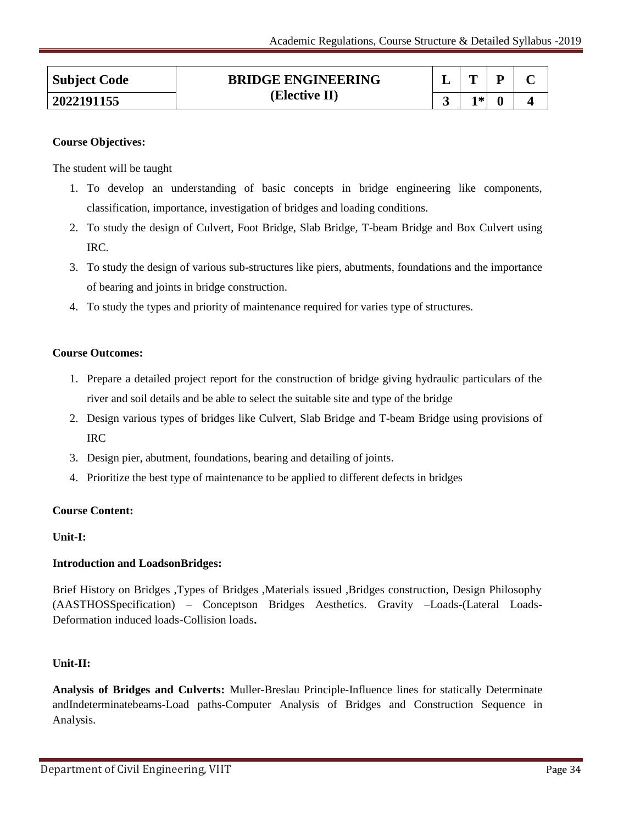| <b>Subject Code</b> | <b>BRIDGE ENGINEERING</b> |    | D |  |
|---------------------|---------------------------|----|---|--|
| 2022191155          | (Elective II)             | 1* |   |  |

The student will be taught

- 1. To develop an understanding of basic concepts in bridge engineering like components, classification, importance, investigation of bridges and loading conditions.
- 2. To study the design of Culvert, Foot Bridge, Slab Bridge, T-beam Bridge and Box Culvert using IRC.
- 3. To study the design of various sub-structures like piers, abutments, foundations and the importance of bearing and joints in bridge construction.
- 4. To study the types and priority of maintenance required for varies type of structures.

#### **Course Outcomes:**

- 1. Prepare a detailed project report for the construction of bridge giving hydraulic particulars of the river and soil details and be able to select the suitable site and type of the bridge
- 2. Design various types of bridges like Culvert, Slab Bridge and T-beam Bridge using provisions of IRC
- 3. Design pier, abutment, foundations, bearing and detailing of joints.
- 4. Prioritize the best type of maintenance to be applied to different defects in bridges

#### **Course Content:**

#### **Unit-I:**

# **Introduction and LoadsonBridges:**

Brief History on Bridges ,Types of Bridges ,Materials issued ,Bridges construction, Design Philosophy (AASTHOSSpecification) – Conceptson Bridges Aesthetics. Gravity –Loads-(Lateral Loads-Deformation induced loads-Collision loads**.**

#### **Unit-II:**

**Analysis of Bridges and Culverts:** Muller-Breslau Principle-Influence lines for statically Determinate andIndeterminatebeams-Load paths-Computer Analysis of Bridges and Construction Sequence in Analysis.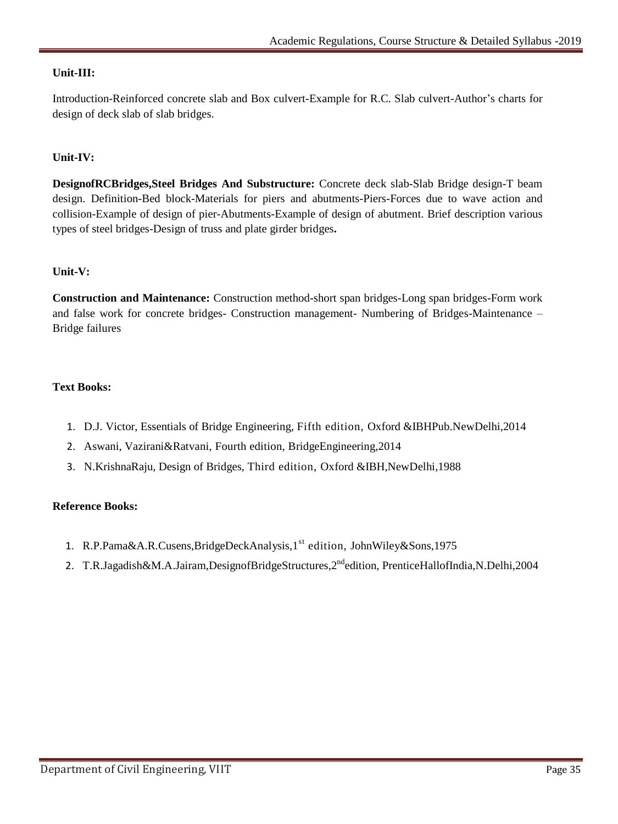# **Unit-III:**

Introduction-Reinforced concrete slab and Box culvert-Example for R.C. Slab culvert-Author's charts for design of deck slab of slab bridges.

# **Unit-IV:**

**DesignofRCBridges,Steel Bridges And Substructure:** Concrete deck slab-Slab Bridge design-T beam design. Definition-Bed block-Materials for piers and abutments-Piers-Forces due to wave action and collision-Example of design of pier-Abutments-Example of design of abutment. Brief description various types of steel bridges-Design of truss and plate girder bridges**.**

#### **Unit-V:**

**Construction and Maintenance:** Construction method-short span bridges-Long span bridges-Form work and false work for concrete bridges- Construction management- Numbering of Bridges-Maintenance – Bridge failures

#### **Text Books:**

- 1. D.J. Victor, Essentials of Bridge Engineering, Fifth edition, Oxford &IBHPub.NewDelhi,2014
- 2. Aswani, Vazirani&Ratvani, Fourth edition, BridgeEngineering,2014
- 3. N.KrishnaRaju, Design of Bridges, Third edition, Oxford &IBH,NewDelhi,1988

#### **Reference Books:**

- 1. R.P.Pama&A.R.Cusens, BridgeDeckAnalysis, 1<sup>st</sup> edition, John Wiley&Sons, 1975
- 2. T.R.Jagadish&M.A.Jairam,DesignofBridgeStructures,2<sup>nd</sup>edition, PrenticeHallofIndia,N.Delhi,2004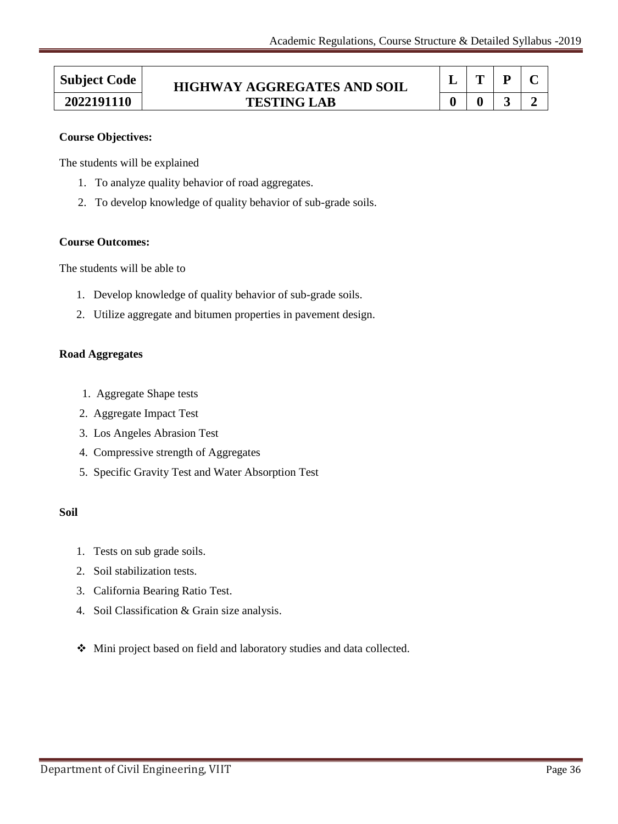$\overline{\phantom{0}}$ 

| <b>Subject Code</b> | <b>HIGHWAY AGGREGATES AND SOIL</b> |  |  |  |
|---------------------|------------------------------------|--|--|--|
| 2022191110          | <b>TESTING LAB</b>                 |  |  |  |

#### **Course Objectives:**

The students will be explained

- 1. To analyze quality behavior of road aggregates.
- 2. To develop knowledge of quality behavior of sub-grade soils.

#### **Course Outcomes:**

The students will be able to

- 1. Develop knowledge of quality behavior of sub-grade soils.
- 2. Utilize aggregate and bitumen properties in pavement design.

#### **Road Aggregates**

- 1. Aggregate Shape tests
- 2. Aggregate Impact Test
- 3. Los Angeles Abrasion Test
- 4. Compressive strength of Aggregates
- 5. Specific Gravity Test and Water Absorption Test

#### **Soil**

- 1. Tests on sub grade soils.
- 2. Soil stabilization tests.
- 3. California Bearing Ratio Test.
- 4. Soil Classification & Grain size analysis.
- Mini project based on field and laboratory studies and data collected.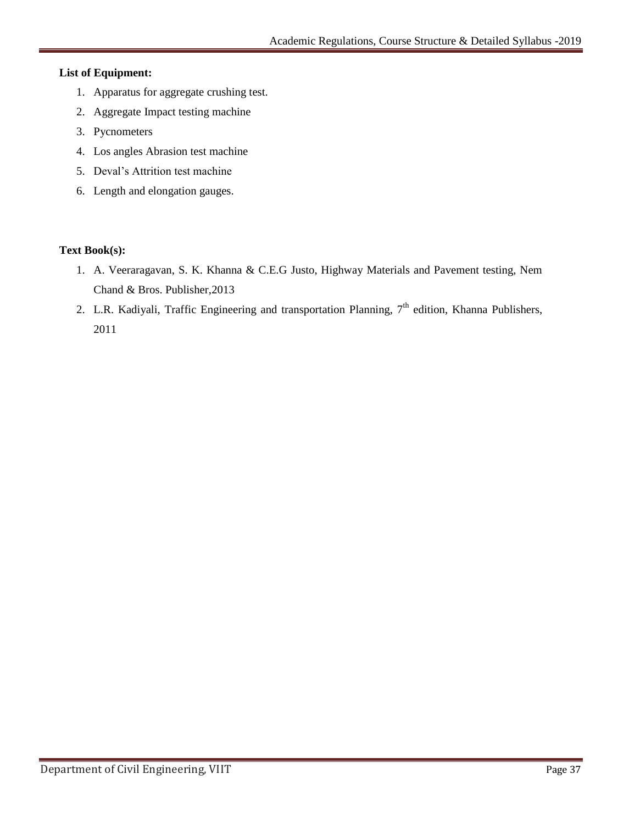# **List of Equipment:**

- 1. Apparatus for aggregate crushing test.
- 2. Aggregate Impact testing machine
- 3. Pycnometers
- 4. Los angles Abrasion test machine
- 5. Deval"s Attrition test machine
- 6. Length and elongation gauges.

# **Text Book(s):**

- 1. A. Veeraragavan, S. K. Khanna & C.E.G Justo, Highway Materials and Pavement testing, Nem Chand & Bros. Publisher,2013
- 2. L.R. Kadiyali, Traffic Engineering and transportation Planning, 7<sup>th</sup> edition, Khanna Publishers, 2011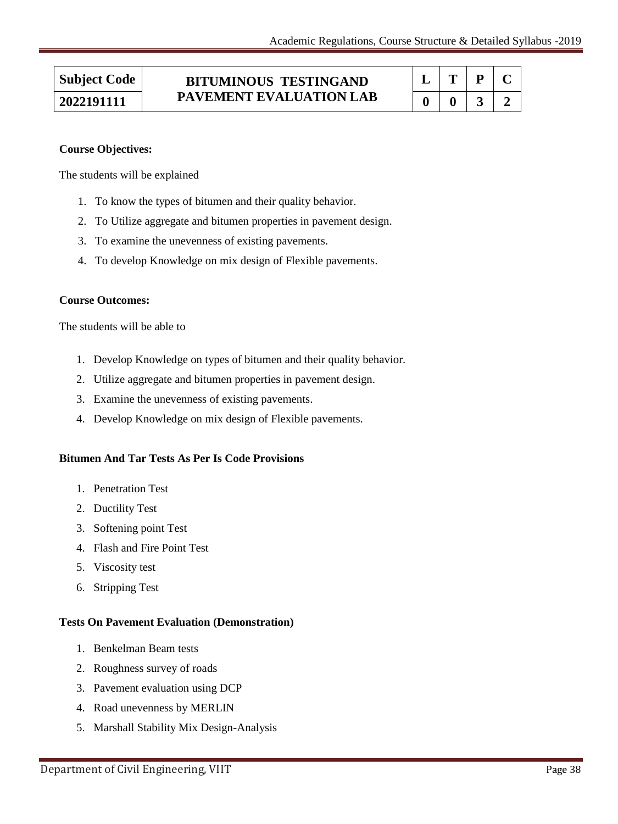# **Subject Code BITUMINOUS TESTINGAND PAVEMENT EVALUATION LAB 2022191111 0 0 3 2**

| l,           | $\mathbf{T}$ | P | ч. |
|--------------|--------------|---|----|
| $\mathbf{0}$ | o            |   |    |

# **Course Objectives:**

The students will be explained

- 1. To know the types of bitumen and their quality behavior.
- 2. To Utilize aggregate and bitumen properties in pavement design.
- 3. To examine the unevenness of existing pavements.
- 4. To develop Knowledge on mix design of Flexible pavements.

#### **Course Outcomes:**

The students will be able to

- 1. Develop Knowledge on types of bitumen and their quality behavior.
- 2. Utilize aggregate and bitumen properties in pavement design.
- 3. Examine the unevenness of existing pavements.
- 4. Develop Knowledge on mix design of Flexible pavements.

# **Bitumen And Tar Tests As Per Is Code Provisions**

- 1. Penetration Test
- 2. Ductility Test
- 3. Softening point Test
- 4. Flash and Fire Point Test
- 5. Viscosity test
- 6. Stripping Test

#### **Tests On Pavement Evaluation (Demonstration)**

- 1. Benkelman Beam tests
- 2. Roughness survey of roads
- 3. Pavement evaluation using DCP
- 4. Road unevenness by MERLIN
- 5. Marshall Stability Mix Design-Analysis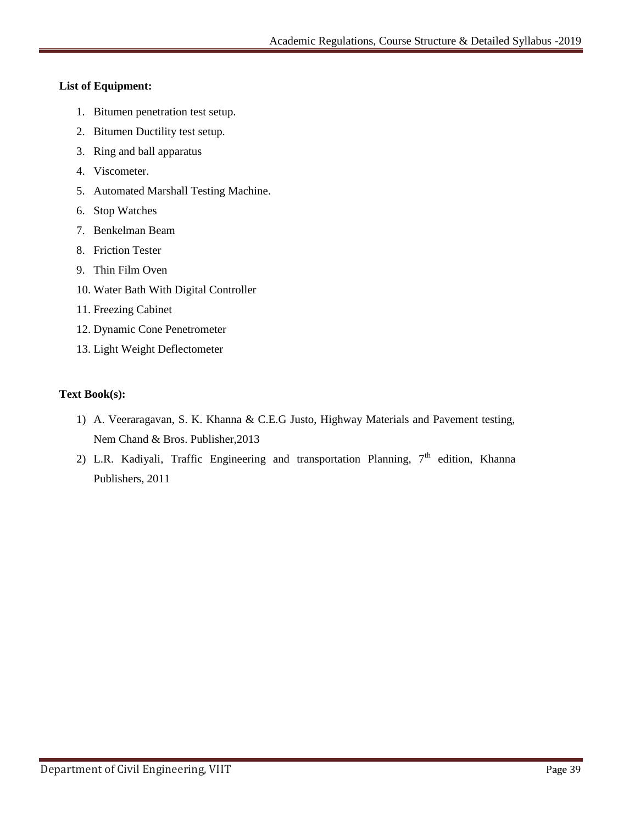# **List of Equipment:**

- 1. Bitumen penetration test setup.
- 2. Bitumen Ductility test setup.
- 3. Ring and ball apparatus
- 4. Viscometer.
- 5. Automated Marshall Testing Machine.
- 6. Stop Watches
- 7. Benkelman Beam
- 8. Friction Tester
- 9. Thin Film Oven
- 10. Water Bath With Digital Controller
- 11. Freezing Cabinet
- 12. Dynamic Cone Penetrometer
- 13. Light Weight Deflectometer

# **Text Book(s):**

- 1) A. Veeraragavan, S. K. Khanna & C.E.G Justo, Highway Materials and Pavement testing, Nem Chand & Bros. Publisher,2013
- 2) L.R. Kadiyali, Traffic Engineering and transportation Planning,  $7<sup>th</sup>$  edition, Khanna Publishers, 2011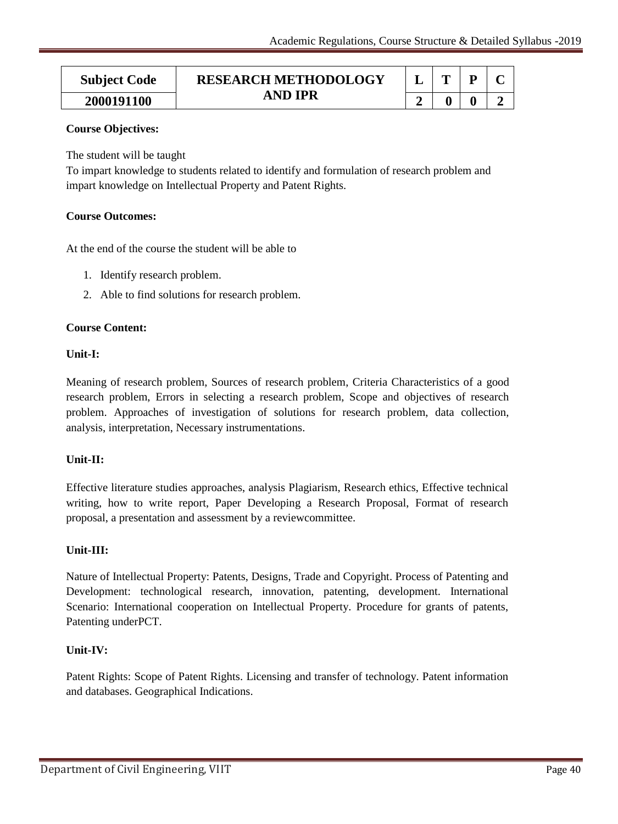| <b>Subject Code</b> | <b>RESEARCH METHODOLOGY</b><br><b>AND IPR</b> |  |  |
|---------------------|-----------------------------------------------|--|--|
| 2000191100          |                                               |  |  |

# **Course Objectives:**

The student will be taught

To impart knowledge to students related to identify and formulation of research problem and impart knowledge on Intellectual Property and Patent Rights.

# **Course Outcomes:**

At the end of the course the student will be able to

- 1. Identify research problem.
- 2. Able to find solutions for research problem.

# **Course Content:**

# **Unit-I:**

Meaning of research problem, Sources of research problem, Criteria Characteristics of a good research problem, Errors in selecting a research problem, Scope and objectives of research problem. Approaches of investigation of solutions for research problem, data collection, analysis, interpretation, Necessary instrumentations.

# **Unit-II:**

Effective literature studies approaches, analysis Plagiarism, Research ethics, Effective technical writing, how to write report, Paper Developing a Research Proposal, Format of research proposal, a presentation and assessment by a reviewcommittee.

# **Unit-III:**

Nature of Intellectual Property: Patents, Designs, Trade and Copyright. Process of Patenting and Development: technological research, innovation, patenting, development. International Scenario: International cooperation on Intellectual Property. Procedure for grants of patents, Patenting underPCT.

# **Unit-IV:**

Patent Rights: Scope of Patent Rights. Licensing and transfer of technology. Patent information and databases. Geographical Indications.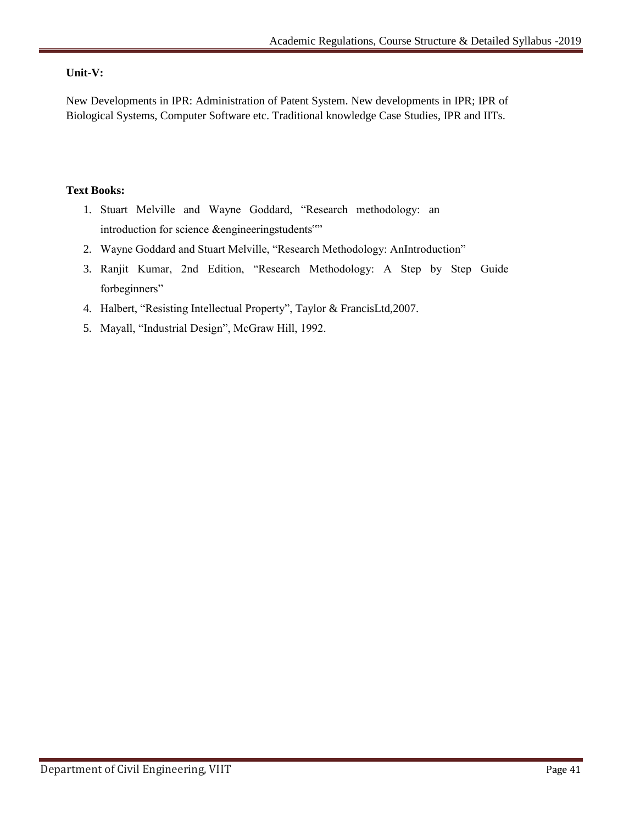# **Unit-V:**

New Developments in IPR: Administration of Patent System. New developments in IPR; IPR of Biological Systems, Computer Software etc. Traditional knowledge Case Studies, IPR and IITs.

# **Text Books:**

- 1. Stuart Melville and Wayne Goddard, "Research methodology: an introduction for science &engineeringstudents""
- 2. Wayne Goddard and Stuart Melville, "Research Methodology: AnIntroduction"
- 3. Ranjit Kumar, 2nd Edition, "Research Methodology: A Step by Step Guide forbeginners"
- 4. Halbert, "Resisting Intellectual Property", Taylor & FrancisLtd,2007.
- 5. Mayall, "Industrial Design", McGraw Hill, 1992.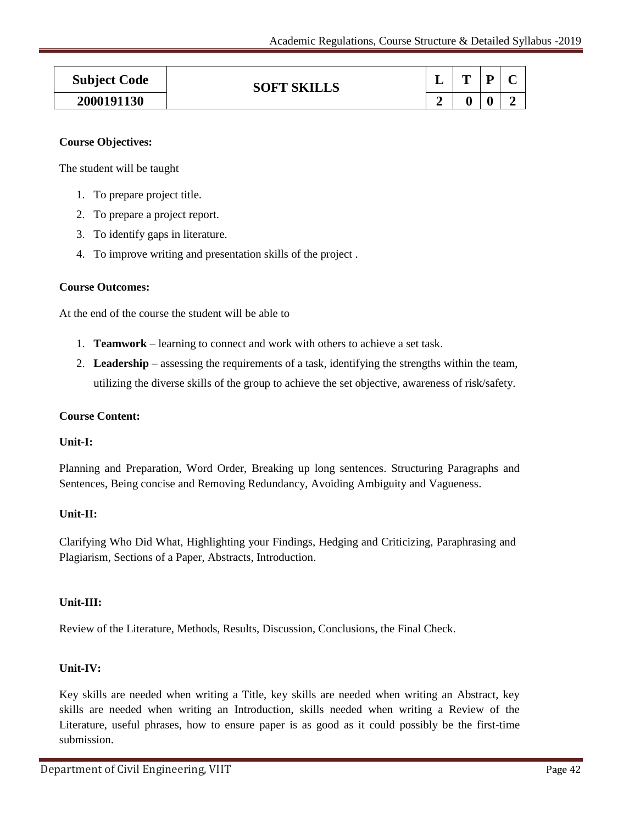| <b>Subject Code</b> | <b>SOFT SKILLS</b> |   | m |   | $\sim$ |
|---------------------|--------------------|---|---|---|--------|
| 2000191130          |                    | Α |   | 0 |        |

# **Course Objectives:**

The student will be taught

- 1. To prepare project title.
- 2. To prepare a project report.
- 3. To identify gaps in literature.
- 4. To improve writing and presentation skills of the project .

#### **Course Outcomes:**

At the end of the course the student will be able to

- 1. **Teamwork** learning to connect and work with others to achieve a set task.
- 2. **Leadership** assessing the requirements of a task, identifying the strengths within the team, utilizing the diverse skills of the group to achieve the set objective, awareness of risk/safety.

#### **Course Content:**

# **Unit-I:**

Planning and Preparation, Word Order, Breaking up long sentences. Structuring Paragraphs and Sentences, Being concise and Removing Redundancy, Avoiding Ambiguity and Vagueness.

# **Unit-II:**

Clarifying Who Did What, Highlighting your Findings, Hedging and Criticizing, Paraphrasing and Plagiarism, Sections of a Paper, Abstracts, Introduction.

# **Unit-III:**

Review of the Literature, Methods, Results, Discussion, Conclusions, the Final Check.

# **Unit-IV:**

Key skills are needed when writing a Title, key skills are needed when writing an Abstract, key skills are needed when writing an Introduction, skills needed when writing a Review of the Literature, useful phrases, how to ensure paper is as good as it could possibly be the first-time submission.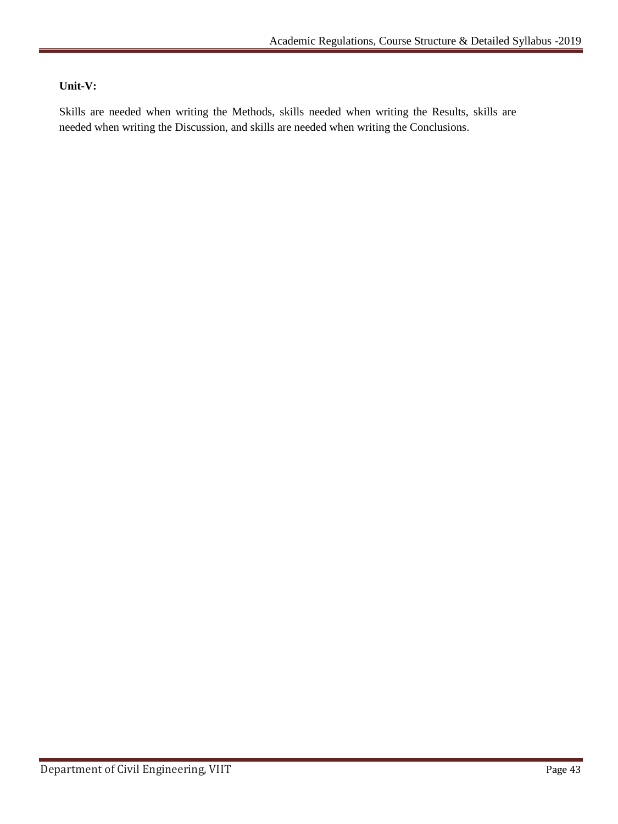# **Unit-V:**

Skills are needed when writing the Methods, skills needed when writing the Results, skills are needed when writing the Discussion, and skills are needed when writing the Conclusions.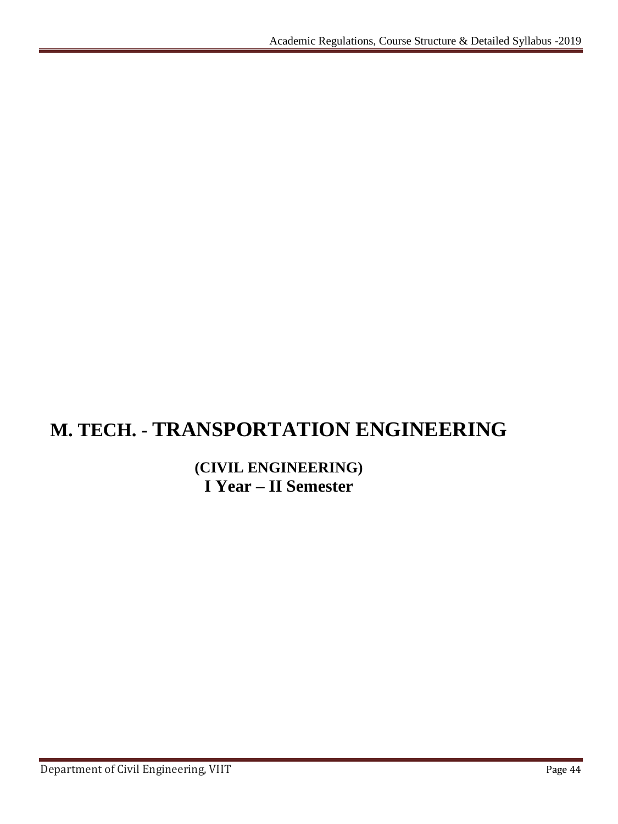# **M. TECH. - TRANSPORTATION ENGINEERING**

# **(CIVIL ENGINEERING) I Year – II Semester**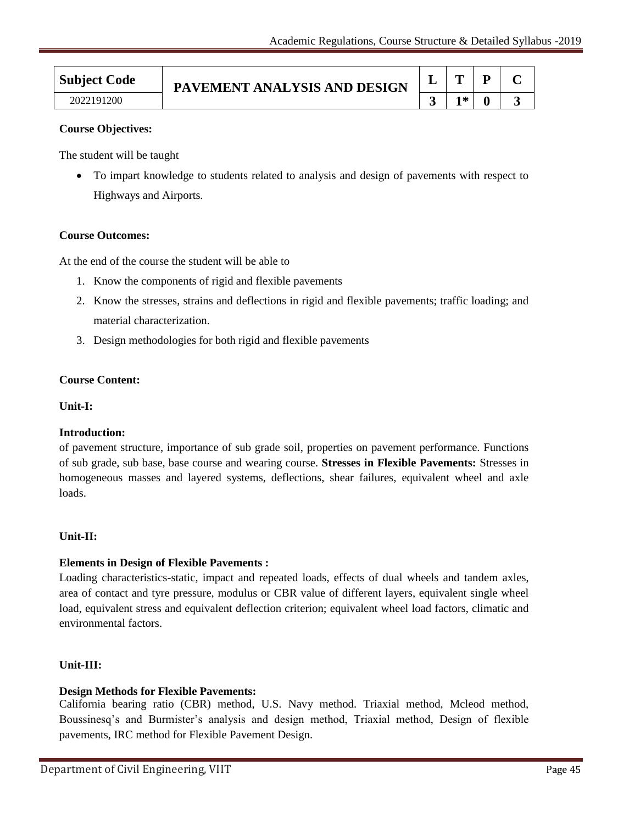| <b>Subject Code</b> | PAVEMENT ANALYSIS AND DESIGN |   |  |  |
|---------------------|------------------------------|---|--|--|
| 2022191200          |                              | ⋇ |  |  |

# **Course Objectives:**

The student will be taught

 To impart knowledge to students related to analysis and design of pavements with respect to Highways and Airports*.*

#### **Course Outcomes:**

At the end of the course the student will be able to

- 1. Know the components of rigid and flexible pavements
- 2. Know the stresses, strains and deflections in rigid and flexible pavements; traffic loading; and material characterization.
- 3. Design methodologies for both rigid and flexible pavements

#### **Course Content:**

#### **Unit-I:**

#### **Introduction:**

of pavement structure, importance of sub grade soil, properties on pavement performance. Functions of sub grade, sub base, base course and wearing course. **Stresses in Flexible Pavements:** Stresses in homogeneous masses and layered systems, deflections, shear failures, equivalent wheel and axle loads.

#### **Unit-II:**

#### **Elements in Design of Flexible Pavements :**

Loading characteristics-static, impact and repeated loads, effects of dual wheels and tandem axles, area of contact and tyre pressure, modulus or CBR value of different layers, equivalent single wheel load, equivalent stress and equivalent deflection criterion; equivalent wheel load factors, climatic and environmental factors.

#### **Unit-III:**

# **Design Methods for Flexible Pavements:**

California bearing ratio (CBR) method, U.S. Navy method. Triaxial method, Mcleod method, Boussinesq's and Burmister's analysis and design method, Triaxial method, Design of flexible pavements, IRC method for Flexible Pavement Design.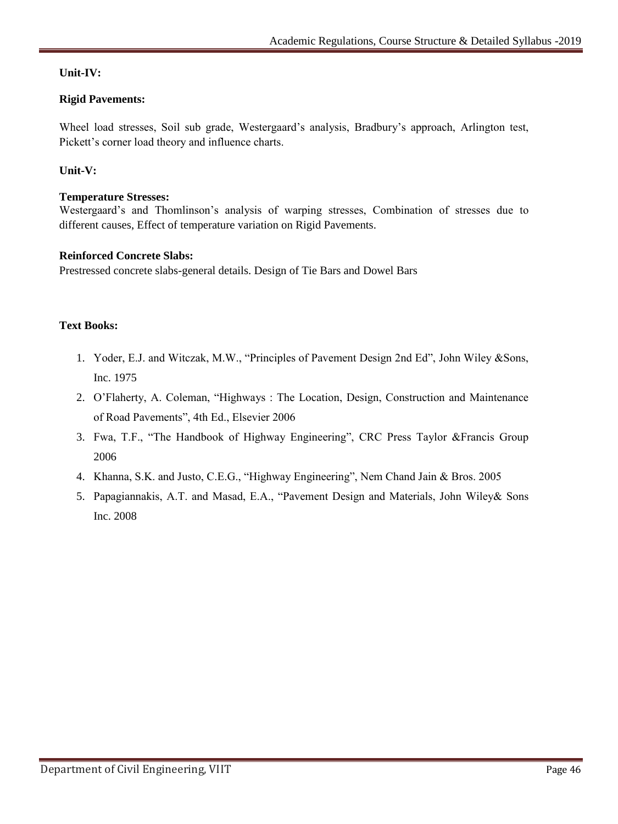# **Unit-IV:**

# **Rigid Pavements:**

Wheel load stresses, Soil sub grade, Westergaard's analysis, Bradbury's approach, Arlington test, Pickett's corner load theory and influence charts.

# **Unit-V:**

# **Temperature Stresses:**

Westergaard"s and Thomlinson"s analysis of warping stresses, Combination of stresses due to different causes, Effect of temperature variation on Rigid Pavements.

# **Reinforced Concrete Slabs:**

Prestressed concrete slabs-general details. Design of Tie Bars and Dowel Bars

# **Text Books:**

- 1. Yoder, E.J. and Witczak, M.W., "Principles of Pavement Design 2nd Ed", John Wiley &Sons, Inc. 1975
- 2. O"Flaherty, A. Coleman, "Highways : The Location, Design, Construction and Maintenance of Road Pavements", 4th Ed., Elsevier 2006
- 3. Fwa, T.F., "The Handbook of Highway Engineering", CRC Press Taylor &Francis Group 2006
- 4. Khanna, S.K. and Justo, C.E.G., "Highway Engineering", Nem Chand Jain & Bros. 2005
- 5. Papagiannakis, A.T. and Masad, E.A., "Pavement Design and Materials, John Wiley& Sons Inc. 2008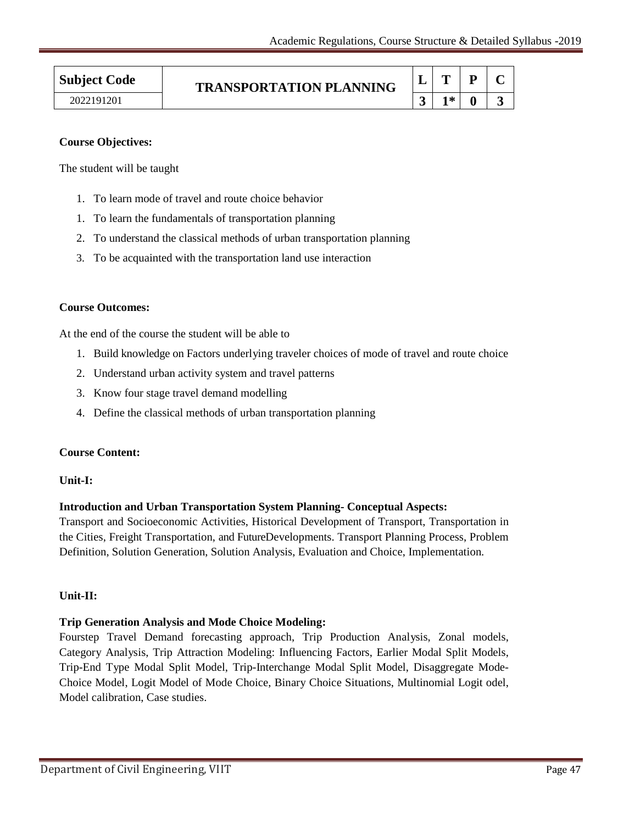# **Subject Code TRANSPORTATION PLANNING**

| <b>Subject Code</b> | <b>TRANSPORTATION PLANNING</b> |      | D |  |
|---------------------|--------------------------------|------|---|--|
| 2022191201          |                                | $1*$ |   |  |

# **Course Objectives:**

The student will be taught

- 1. To learn mode of travel and route choice behavior
- 1. To learn the fundamentals of transportation planning
- 2. To understand the classical methods of urban transportation planning
- 3. To be acquainted with the transportation land use interaction

# **Course Outcomes:**

At the end of the course the student will be able to

- 1. Build knowledge on Factors underlying traveler choices of mode of travel and route choice
- 2. Understand urban activity system and travel patterns
- 3. Know four stage travel demand modelling
- 4. Define the classical methods of urban transportation planning

# **Course Content:**

# **Unit-I:**

# **Introduction and Urban Transportation System Planning- Conceptual Aspects:**

Transport and Socioeconomic Activities, Historical Development of Transport, Transportation in the Cities, Freight Transportation, and FutureDevelopments. Transport Planning Process, Problem Definition, Solution Generation, Solution Analysis, Evaluation and Choice, Implementation.

# **Unit-II:**

# **Trip Generation Analysis and Mode Choice Modeling:**

Fourstep Travel Demand forecasting approach, Trip Production Analysis, Zonal models, Category Analysis, Trip Attraction Modeling: Influencing Factors, Earlier Modal Split Models, Trip-End Type Modal Split Model, Trip-Interchange Modal Split Model, Disaggregate Mode-Choice Model, Logit Model of Mode Choice, Binary Choice Situations, Multinomial Logit odel, Model calibration, Case studies.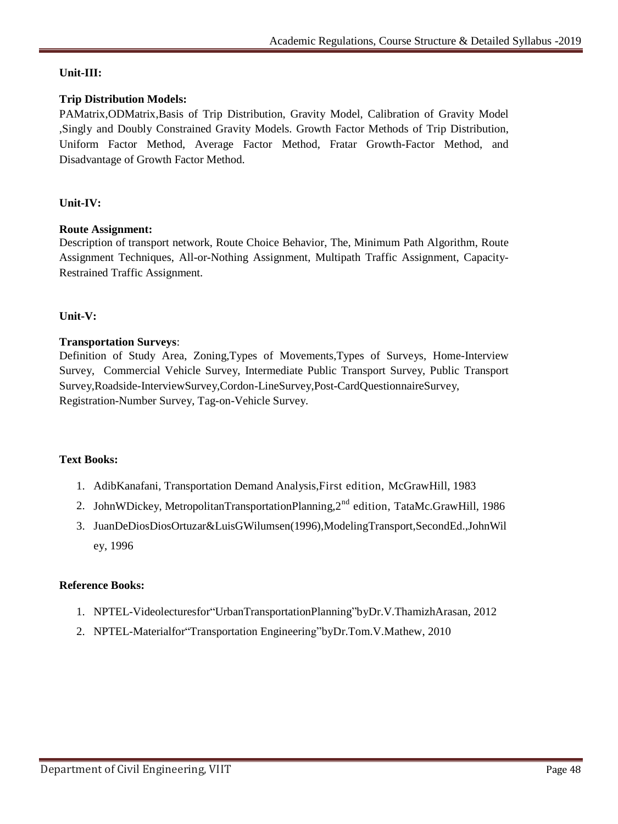# **Unit-III:**

# **Trip Distribution Models:**

PAMatrix,ODMatrix,Basis of Trip Distribution, Gravity Model, Calibration of Gravity Model ,Singly and Doubly Constrained Gravity Models. Growth Factor Methods of Trip Distribution, Uniform Factor Method, Average Factor Method, Fratar Growth-Factor Method, and Disadvantage of Growth Factor Method.

# **Unit-IV:**

# **Route Assignment:**

Description of transport network, Route Choice Behavior, The, Minimum Path Algorithm, Route Assignment Techniques, All-or-Nothing Assignment, Multipath Traffic Assignment, Capacity-Restrained Traffic Assignment.

# **Unit-V:**

# **Transportation Surveys**:

Definition of Study Area, Zoning,Types of Movements,Types of Surveys, Home-Interview Survey, Commercial Vehicle Survey, Intermediate Public Transport Survey, Public Transport Survey,Roadside-InterviewSurvey,Cordon-LineSurvey,Post-CardQuestionnaireSurvey, Registration-Number Survey, Tag-on-Vehicle Survey.

# **Text Books:**

- 1. AdibKanafani, Transportation Demand Analysis,First edition, McGrawHill, 1983
- 2. JohnWDickey, MetropolitanTransportationPlanning, 2<sup>nd</sup> edition, TataMc.GrawHill, 1986
- 3. JuanDeDiosDiosOrtuzar&LuisGWilumsen(1996),ModelingTransport,SecondEd.,JohnWil ey, 1996

# **Reference Books:**

- 1. NPTEL-Videolecturesfor"UrbanTransportationPlanning"byDr.V.ThamizhArasan, 2012
- 2. NPTEL-Materialfor"Transportation Engineering"byDr.Tom.V.Mathew, 2010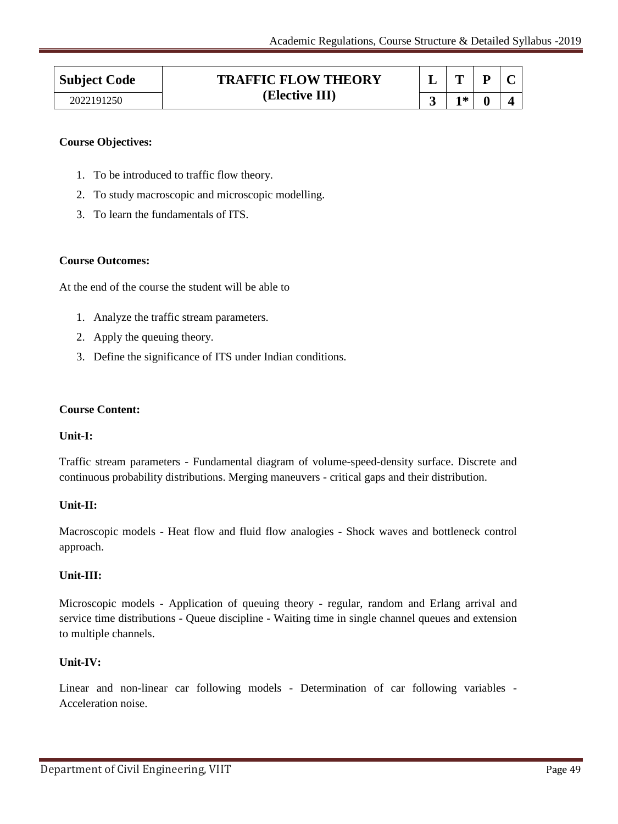| <b>Subject Code</b> | <b>TRAFFIC FLOW THEORY</b> |  | m  |   |  |
|---------------------|----------------------------|--|----|---|--|
| 2022191250          | (Elective III)             |  | 1* | 4 |  |

# **Course Objectives:**

- 1. To be introduced to traffic flow theory.
- 2. To study macroscopic and microscopic modelling.
- 3. To learn the fundamentals of ITS.

#### **Course Outcomes:**

At the end of the course the student will be able to

- 1. Analyze the traffic stream parameters.
- 2. Apply the queuing theory.
- 3. Define the significance of ITS under Indian conditions.

#### **Course Content:**

# **Unit-I:**

Traffic stream parameters - Fundamental diagram of volume-speed-density surface. Discrete and continuous probability distributions. Merging maneuvers - critical gaps and their distribution.

# **Unit-II:**

Macroscopic models - Heat flow and fluid flow analogies - Shock waves and bottleneck control approach.

# **Unit-III:**

Microscopic models - Application of queuing theory - regular, random and Erlang arrival and service time distributions - Queue discipline - Waiting time in single channel queues and extension to multiple channels.

# **Unit-IV:**

Linear and non-linear car following models - Determination of car following variables - Acceleration noise.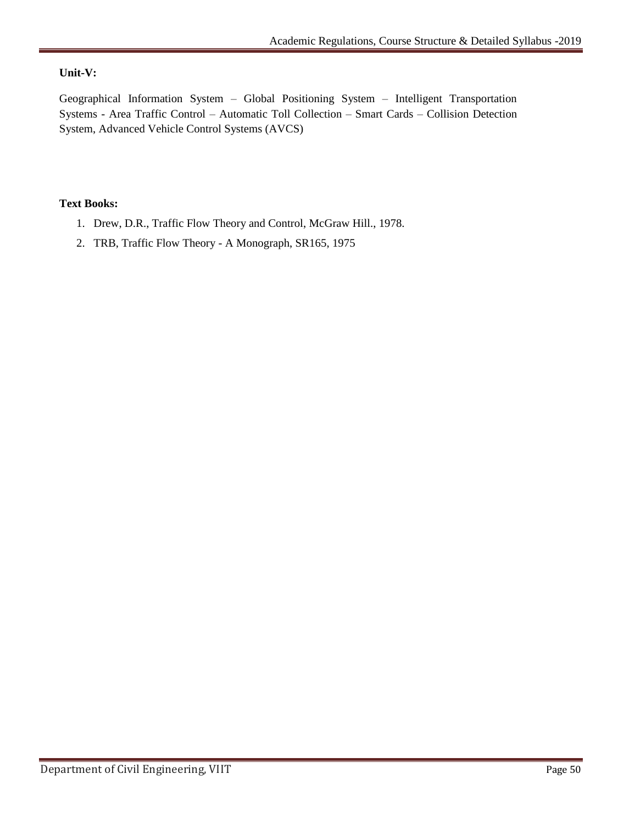# **Unit-V:**

Geographical Information System – Global Positioning System – Intelligent Transportation Systems - Area Traffic Control – Automatic Toll Collection – Smart Cards – Collision Detection System, Advanced Vehicle Control Systems (AVCS)

# **Text Books:**

- 1. Drew, D.R., Traffic Flow Theory and Control, McGraw Hill., 1978.
- 2. TRB, Traffic Flow Theory A Monograph, SR165, 1975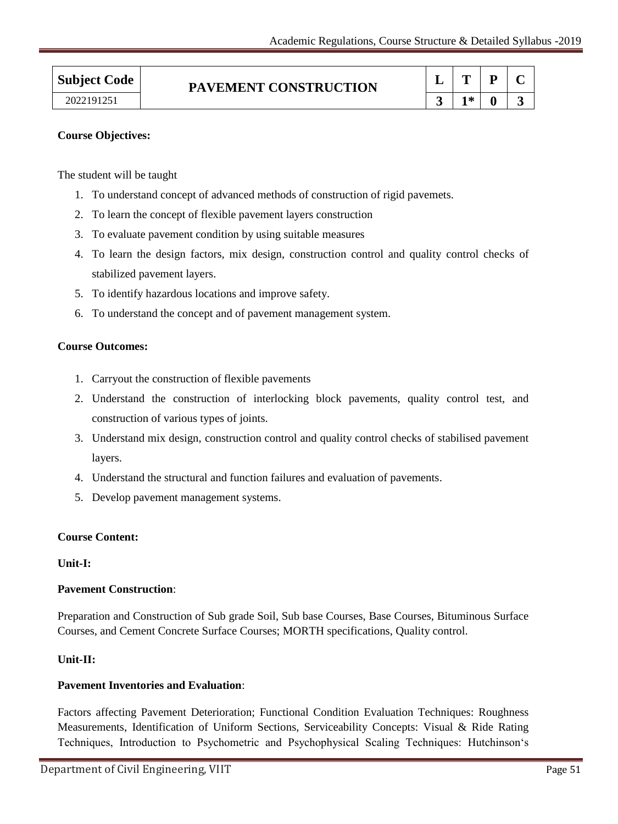| <b>Subject Code</b> | PAVEMENT CONSTRUCTION | m  | D |  |
|---------------------|-----------------------|----|---|--|
| 2022191251          |                       | 1* |   |  |

# **Course Objectives:**

The student will be taught

- 1. To understand concept of advanced methods of construction of rigid pavemets.
- 2. To learn the concept of flexible pavement layers construction
- 3. To evaluate pavement condition by using suitable measures
- 4. To learn the design factors, mix design, construction control and quality control checks of stabilized pavement layers.
- 5. To identify hazardous locations and improve safety.
- 6. To understand the concept and of pavement management system.

#### **Course Outcomes:**

- 1. Carryout the construction of flexible pavements
- 2. Understand the construction of interlocking block pavements, quality control test, and construction of various types of joints.
- 3. Understand mix design, construction control and quality control checks of stabilised pavement layers.
- 4. Understand the structural and function failures and evaluation of pavements.
- 5. Develop pavement management systems.

#### **Course Content:**

#### **Unit-I:**

#### **Pavement Construction**:

Preparation and Construction of Sub grade Soil, Sub base Courses, Base Courses, Bituminous Surface Courses, and Cement Concrete Surface Courses; MORTH specifications, Quality control.

#### **Unit-II:**

# **Pavement Inventories and Evaluation**:

Factors affecting Pavement Deterioration; Functional Condition Evaluation Techniques: Roughness Measurements, Identification of Uniform Sections, Serviceability Concepts: Visual & Ride Rating Techniques, Introduction to Psychometric and Psychophysical Scaling Techniques: Hutchinson"s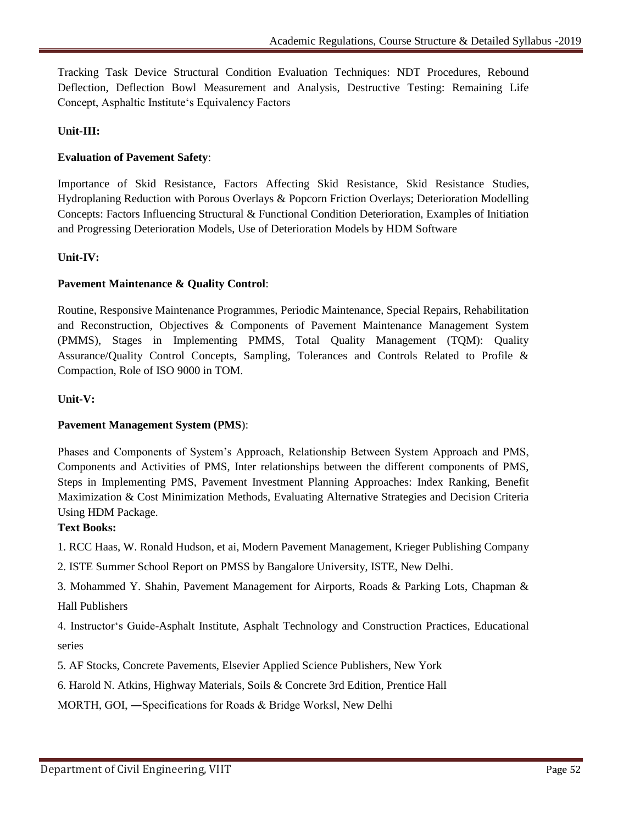Tracking Task Device Structural Condition Evaluation Techniques: NDT Procedures, Rebound Deflection, Deflection Bowl Measurement and Analysis, Destructive Testing: Remaining Life Concept, Asphaltic Institute"s Equivalency Factors

# **Unit-III:**

# **Evaluation of Pavement Safety**:

Importance of Skid Resistance, Factors Affecting Skid Resistance, Skid Resistance Studies, Hydroplaning Reduction with Porous Overlays & Popcorn Friction Overlays; Deterioration Modelling Concepts: Factors Influencing Structural & Functional Condition Deterioration, Examples of Initiation and Progressing Deterioration Models, Use of Deterioration Models by HDM Software

# **Unit-IV:**

# **Pavement Maintenance & Quality Control**:

Routine, Responsive Maintenance Programmes, Periodic Maintenance, Special Repairs, Rehabilitation and Reconstruction, Objectives & Components of Pavement Maintenance Management System (PMMS), Stages in Implementing PMMS, Total Quality Management (TQM): Quality Assurance/Quality Control Concepts, Sampling, Tolerances and Controls Related to Profile & Compaction, Role of ISO 9000 in TOM.

# **Unit-V:**

# **Pavement Management System (PMS**):

Phases and Components of System"s Approach, Relationship Between System Approach and PMS, Components and Activities of PMS, Inter relationships between the different components of PMS, Steps in Implementing PMS, Pavement Investment Planning Approaches: Index Ranking, Benefit Maximization & Cost Minimization Methods, Evaluating Alternative Strategies and Decision Criteria Using HDM Package.

# **Text Books:**

1. RCC Haas, W. Ronald Hudson, et ai, Modern Pavement Management, Krieger Publishing Company

- 2. ISTE Summer School Report on PMSS by Bangalore University, ISTE, New Delhi.
- 3. Mohammed Y. Shahin, Pavement Management for Airports, Roads & Parking Lots, Chapman & Hall Publishers

4. Instructor"s Guide-Asphalt Institute, Asphalt Technology and Construction Practices, Educational series

5. AF Stocks, Concrete Pavements, Elsevier Applied Science Publishers, New York

6. Harold N. Atkins, Highway Materials, Soils & Concrete 3rd Edition, Prentice Hall

MORTH, GOI, ―Specifications for Roads & Bridge Works‖, New Delhi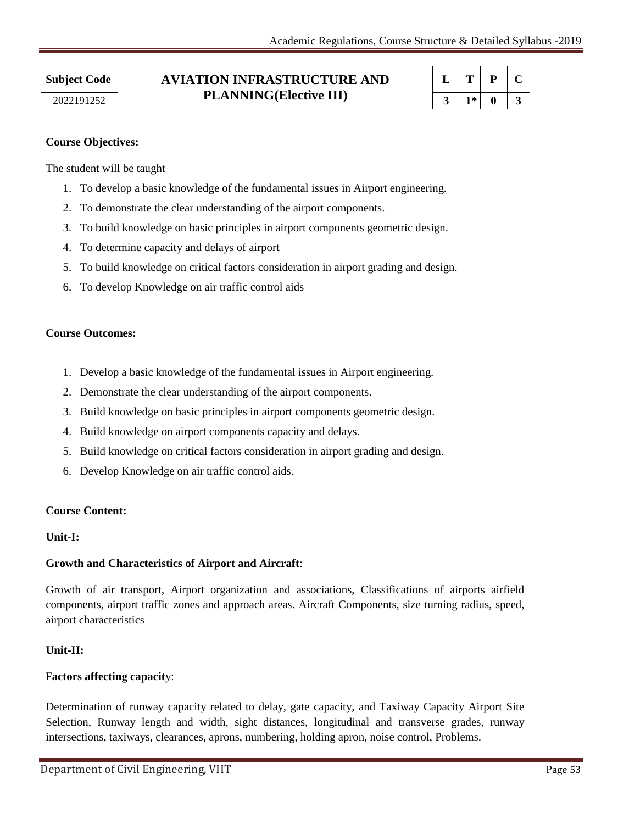# **Subject Code AVIATION INFRASTRUCTURE AND PLANNING(Elective III)** 2022191252 **3 1\* 0 3**

|   | υ |  |
|---|---|--|
| * |   |  |

# **Course Objectives:**

The student will be taught

- 1. To develop a basic knowledge of the fundamental issues in Airport engineering.
- 2. To demonstrate the clear understanding of the airport components.
- 3. To build knowledge on basic principles in airport components geometric design.
- 4. To determine capacity and delays of airport
- 5. To build knowledge on critical factors consideration in airport grading and design.
- 6. To develop Knowledge on air traffic control aids

# **Course Outcomes:**

- 1. Develop a basic knowledge of the fundamental issues in Airport engineering.
- 2. Demonstrate the clear understanding of the airport components.
- 3. Build knowledge on basic principles in airport components geometric design.
- 4. Build knowledge on airport components capacity and delays.
- 5. Build knowledge on critical factors consideration in airport grading and design.
- 6. Develop Knowledge on air traffic control aids.

# **Course Content:**

# **Unit-I:**

# **Growth and Characteristics of Airport and Aircraft**:

Growth of air transport, Airport organization and associations, Classifications of airports airfield components, airport traffic zones and approach areas. Aircraft Components, size turning radius, speed, airport characteristics

# **Unit-II:**

# F**actors affecting capacit**y:

Determination of runway capacity related to delay, gate capacity, and Taxiway Capacity Airport Site Selection, Runway length and width, sight distances, longitudinal and transverse grades, runway intersections, taxiways, clearances, aprons, numbering, holding apron, noise control, Problems.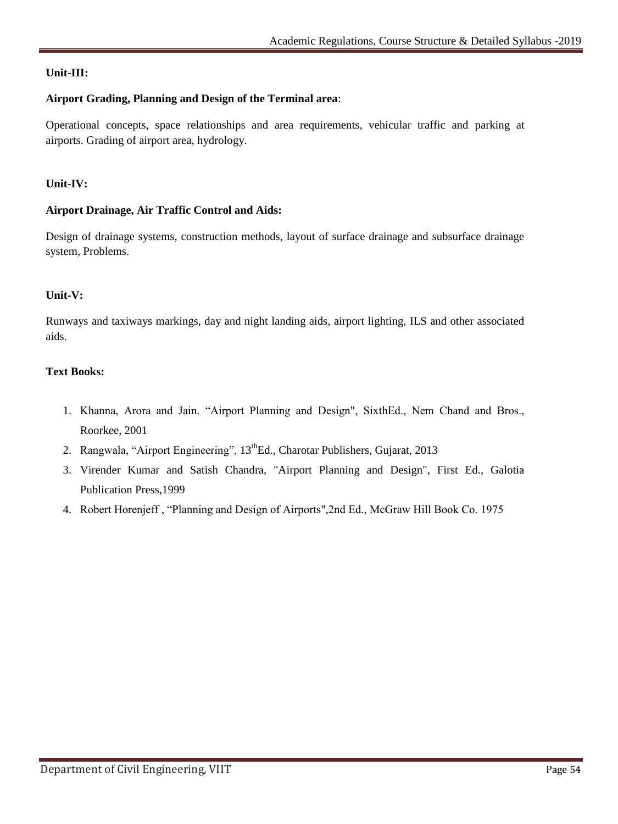# **Unit-III:**

# **Airport Grading, Planning and Design of the Terminal area**:

Operational concepts, space relationships and area requirements, vehicular traffic and parking at airports. Grading of airport area, hydrology.

# **Unit-IV:**

# **Airport Drainage, Air Traffic Control and Aids:**

Design of drainage systems, construction methods, layout of surface drainage and subsurface drainage system, Problems.

# **Unit-V:**

Runways and taxiways markings, day and night landing aids, airport lighting, ILS and other associated aids.

# **Text Books:**

- 1. Khanna, Arora and Jain. "Airport Planning and Design", SixthEd., Nem Chand and Bros., Roorkee, 2001
- 2. Rangwala, "Airport Engineering", 13<sup>th</sup>Ed., Charotar Publishers, Gujarat, 2013
- 3. Virender Kumar and Satish Chandra, "Airport Planning and Design", First Ed., Galotia Publication Press,1999
- 4. Robert Horenjeff , "Planning and Design of Airports",2nd Ed., McGraw Hill Book Co. 1975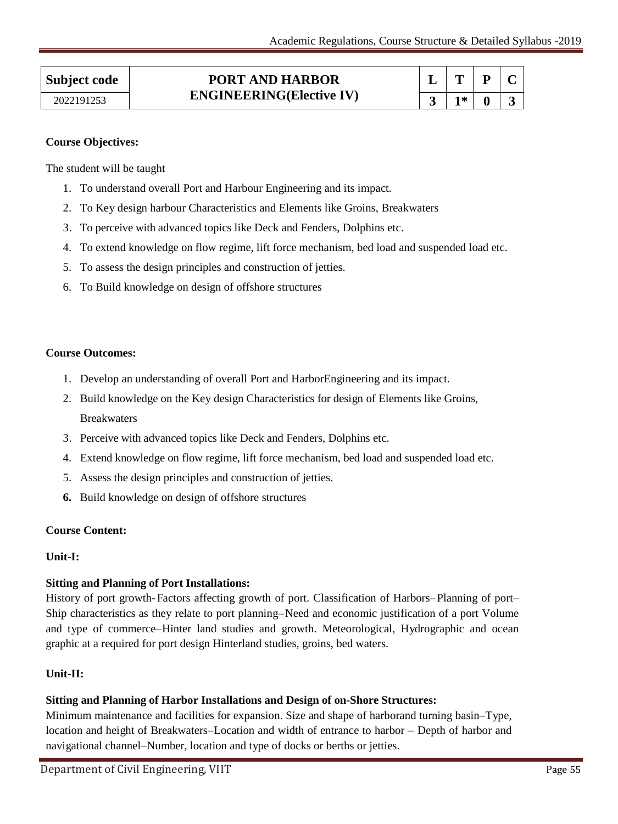| * |  |
|---|--|

# **Course Objectives:**

The student will be taught

- 1. To understand overall Port and Harbour Engineering and its impact.
- 2. To Key design harbour Characteristics and Elements like Groins, Breakwaters
- 3. To perceive with advanced topics like Deck and Fenders, Dolphins etc.
- 4. To extend knowledge on flow regime, lift force mechanism, bed load and suspended load etc.
- 5. To assess the design principles and construction of jetties.
- 6. To Build knowledge on design of offshore structures

# **Course Outcomes:**

- 1. Develop an understanding of overall Port and HarborEngineering and its impact.
- 2. Build knowledge on the Key design Characteristics for design of Elements like Groins, Breakwaters
- 3. Perceive with advanced topics like Deck and Fenders, Dolphins etc.
- 4. Extend knowledge on flow regime, lift force mechanism, bed load and suspended load etc.
- 5. Assess the design principles and construction of jetties.
- **6.** Build knowledge on design of offshore structures

# **Course Content:**

# **Unit-I:**

# **Sitting and Planning of Port Installations:**

History of port growth-Factors affecting growth of port. Classification of Harbors–Planning of port– Ship characteristics as they relate to port planning–Need and economic justification of a port Volume and type of commerce–Hinter land studies and growth. Meteorological, Hydrographic and ocean graphic at a required for port design Hinterland studies, groins, bed waters.

# **Unit-II:**

# **Sitting and Planning of Harbor Installations and Design of on-Shore Structures:**

Minimum maintenance and facilities for expansion. Size and shape of harborand turning basin–Type, location and height of Breakwaters–Location and width of entrance to harbor – Depth of harbor and navigational channel–Number, location and type of docks or berths or jetties.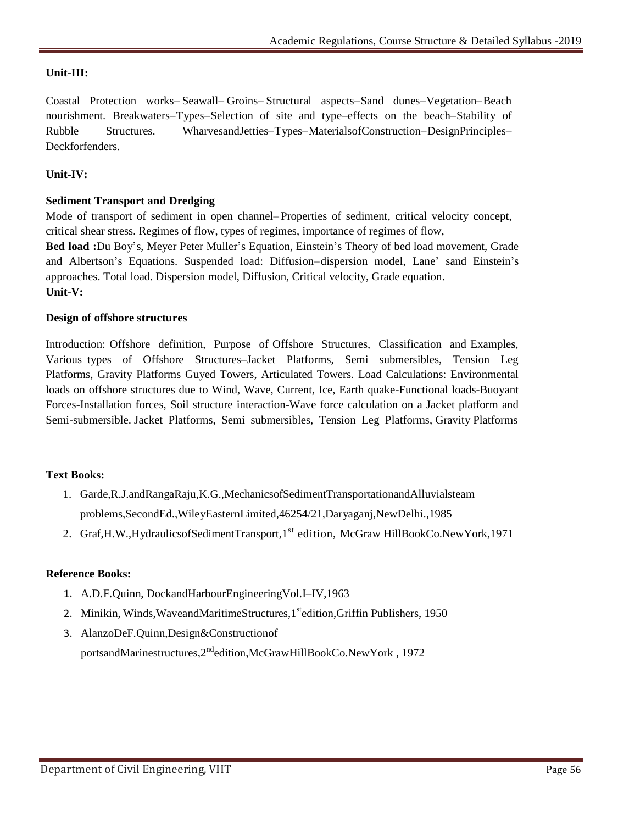# **Unit-III:**

Coastal Protection works– Seawall– Groins– Structural aspects–Sand dunes–Vegetation–Beach nourishment. Breakwaters–Types–Selection of site and type–effects on the beach–Stability of Rubble Structures. WharvesandJetties–Types–MaterialsofConstruction–DesignPrinciples– Deckforfenders.

# **Unit-IV:**

# **Sediment Transport and Dredging**

Mode of transport of sediment in open channel– Properties of sediment, critical velocity concept, critical shear stress. Regimes of flow, types of regimes, importance of regimes of flow,

Bed load :Du Boy's, Meyer Peter Muller's Equation, Einstein's Theory of bed load movement, Grade and Albertson"s Equations. Suspended load: Diffusion–dispersion model, Lane" sand Einstein"s approaches. Total load. Dispersion model, Diffusion, Critical velocity, Grade equation. **Unit-V:**

# **Design of offshore structures**

Introduction: Offshore definition, Purpose of Offshore Structures, Classification and Examples, Various types of Offshore Structures–Jacket Platforms, Semi submersibles, Tension Leg Platforms, Gravity Platforms Guyed Towers, Articulated Towers. Load Calculations: Environmental loads on offshore structures due to Wind, Wave, Current, Ice, Earth quake-Functional loads-Buoyant Forces-Installation forces, Soil structure interaction-Wave force calculation on a Jacket platform and Semi-submersible. Jacket Platforms, Semi submersibles, Tension Leg Platforms, Gravity Platforms

# **Text Books:**

- 1. Garde,R.J.andRangaRaju,K.G.,MechanicsofSedimentTransportationandAlluvialsteam problems,SecondEd.,WileyEasternLimited,46254/21,Daryaganj,NewDelhi.,1985
- 2. Graf, H.W., Hydraulics of Sediment Transport, 1<sup>st</sup> edition, McGraw Hill Book Co. New York, 1971

# **Reference Books:**

- 1. A.D.F.Quinn, DockandHarbourEngineeringVol.I–IV,1963
- 2. Minikin, Winds, Waveand Maritime Structures, 1<sup>st</sup>edition, Griffin Publishers, 1950
- 3. AlanzoDeF.Quinn,Design&Constructionof portsandMarinestructures,2<sup>nd</sup>edition,McGrawHillBookCo.NewYork, 1972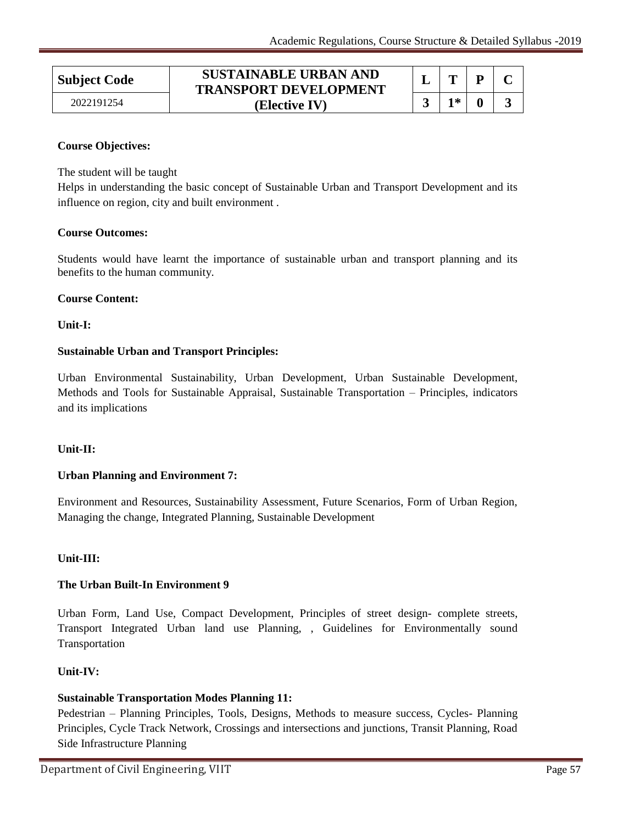# **Subject Code SUSTAINABLE URBAN AND TRANSPORT DEVELOPMENT (Elective IV)** 2022191254 **3 1\* 0 3**

|   | U |  |
|---|---|--|
| * |   |  |

# **Course Objectives:**

The student will be taught

Helps in understanding the basic concept of Sustainable Urban and Transport Development and its influence on region, city and built environment .

# **Course Outcomes:**

Students would have learnt the importance of sustainable urban and transport planning and its benefits to the human community.

# **Course Content:**

**Unit-I:**

# **Sustainable Urban and Transport Principles:**

Urban Environmental Sustainability, Urban Development, Urban Sustainable Development, Methods and Tools for Sustainable Appraisal, Sustainable Transportation – Principles, indicators and its implications

# **Unit-II:**

# **Urban Planning and Environment 7:**

Environment and Resources, Sustainability Assessment, Future Scenarios, Form of Urban Region, Managing the change, Integrated Planning, Sustainable Development

# **Unit-III:**

# **The Urban Built-In Environment 9**

Urban Form, Land Use, Compact Development, Principles of street design- complete streets, Transport Integrated Urban land use Planning, , Guidelines for Environmentally sound Transportation

# **Unit-IV:**

# **Sustainable Transportation Modes Planning 11:**

Pedestrian – Planning Principles, Tools, Designs, Methods to measure success, Cycles- Planning Principles, Cycle Track Network, Crossings and intersections and junctions, Transit Planning, Road Side Infrastructure Planning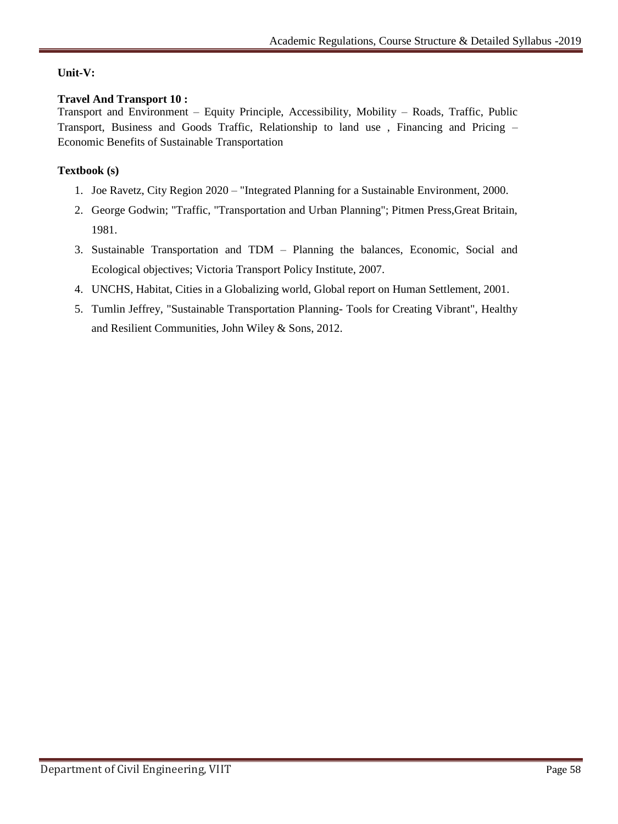# **Unit-V:**

# **Travel And Transport 10 :**

Transport and Environment – Equity Principle, Accessibility, Mobility – Roads, Traffic, Public Transport, Business and Goods Traffic, Relationship to land use , Financing and Pricing – Economic Benefits of Sustainable Transportation

# **Textbook (s)**

- 1. Joe Ravetz, City Region 2020 "Integrated Planning for a Sustainable Environment, 2000.
- 2. George Godwin; "Traffic, "Transportation and Urban Planning"; Pitmen Press,Great Britain, 1981.
- 3. Sustainable Transportation and TDM Planning the balances, Economic, Social and Ecological objectives; Victoria Transport Policy Institute, 2007.
- 4. UNCHS, Habitat, Cities in a Globalizing world, Global report on Human Settlement, 2001.
- 5. Tumlin Jeffrey, "Sustainable Transportation Planning- Tools for Creating Vibrant", Healthy and Resilient Communities, John Wiley & Sons, 2012.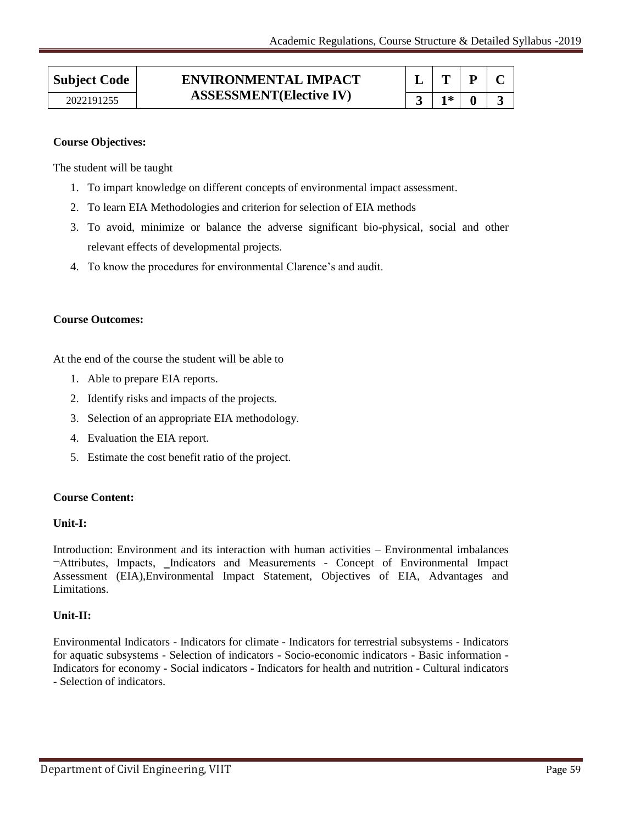| 1* |  |
|----|--|

# **Course Objectives:**

The student will be taught

- 1. To impart knowledge on different concepts of environmental impact assessment.
- 2. To learn EIA Methodologies and criterion for selection of EIA methods
- 3. To avoid, minimize or balance the adverse significant bio-physical, social and other relevant effects of developmental projects.
- 4. To know the procedures for environmental Clarence"s and audit.

# **Course Outcomes:**

At the end of the course the student will be able to

- 1. Able to prepare EIA reports.
- 2. Identify risks and impacts of the projects.
- 3. Selection of an appropriate EIA methodology.
- 4. Evaluation the EIA report.
- 5. Estimate the cost benefit ratio of the project.

# **Course Content:**

# **Unit-I:**

Introduction: Environment and its interaction with human activities – Environmental imbalances  $\neg$ Attributes, Impacts, Indicators and Measurements - Concept of Environmental Impact Assessment (EIA),Environmental Impact Statement, Objectives of EIA, Advantages and Limitations.

# **Unit-II:**

Environmental Indicators - Indicators for climate - Indicators for terrestrial subsystems - Indicators for aquatic subsystems - Selection of indicators - Socio-economic indicators - Basic information - Indicators for economy - Social indicators - Indicators for health and nutrition - Cultural indicators - Selection of indicators.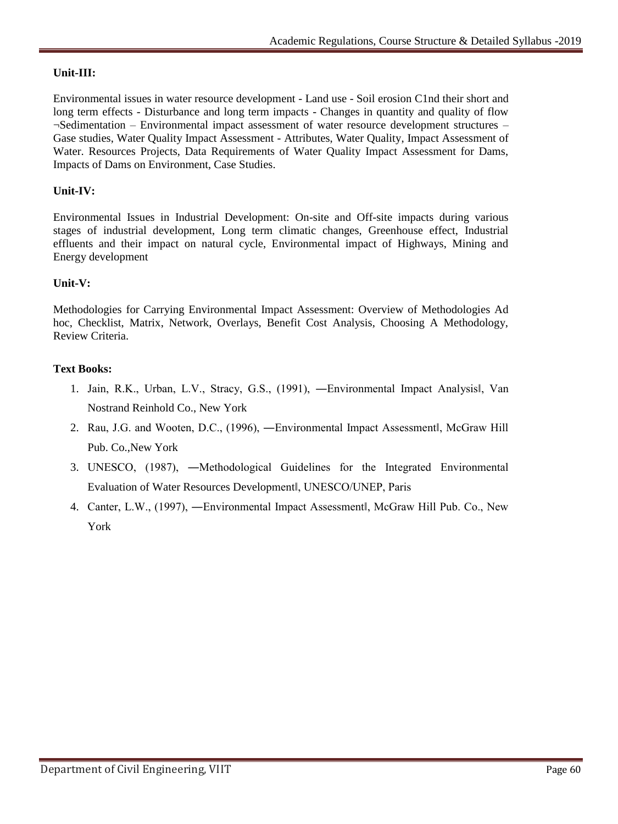# **Unit-III:**

Environmental issues in water resource development - Land use - Soil erosion C1nd their short and long term effects - Disturbance and long term impacts - Changes in quantity and quality of flow ¬Sedimentation – Environmental impact assessment of water resource development structures – Gase studies, Water Quality Impact Assessment - Attributes, Water Quality, Impact Assessment of Water. Resources Projects, Data Requirements of Water Quality Impact Assessment for Dams, Impacts of Dams on Environment, Case Studies.

# **Unit-IV:**

Environmental Issues in Industrial Development: On-site and Off-site impacts during various stages of industrial development, Long term climatic changes, Greenhouse effect, Industrial effluents and their impact on natural cycle, Environmental impact of Highways, Mining and Energy development

# **Unit-V:**

Methodologies for Carrying Environmental Impact Assessment: Overview of Methodologies Ad hoc, Checklist, Matrix, Network, Overlays, Benefit Cost Analysis, Choosing A Methodology, Review Criteria.

# **Text Books:**

- 1. Jain, R.K., Urban, L.V., Stracy, G.S., (1991), ―Environmental Impact Analysis‖, Van Nostrand Reinhold Co., New York
- 2. Rau, J.G. and Wooten, D.C., (1996), ―Environmental Impact Assessment‖, McGraw Hill Pub. Co.,New York
- 3. UNESCO, (1987), ―Methodological Guidelines for the Integrated Environmental Evaluation of Water Resources Development‖, UNESCO/UNEP, Paris
- 4. Canter, L.W., (1997), ―Environmental Impact Assessment‖, McGraw Hill Pub. Co., New York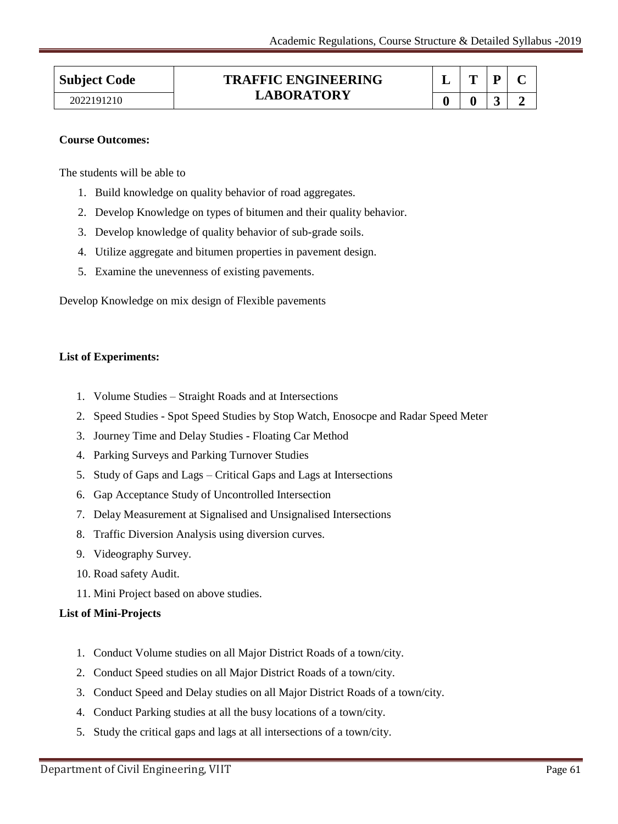#### **Subject Code TRAFFIC ENGINEERING LABORATORY**  2022191210 **1.450KAIOKI 1.45 1.45 1.450KAIOKI 1.5 1.5 1.5 1.5 1.5 1.5 1.5 1.5 1.5 1.5 1.5 1.5 1.5 1.5 1.5 1.5 1.5 1.5 1.5 1.5 1.5 1.5 1.5 1.5 1.5 1.5 1.5 1.5**

|   |   | Р | $\blacksquare$ |
|---|---|---|----------------|
| o | Ð | 3 | D              |

# **Course Outcomes:**

The students will be able to

- 1. Build knowledge on quality behavior of road aggregates.
- 2. Develop Knowledge on types of bitumen and their quality behavior.
- 3. Develop knowledge of quality behavior of sub-grade soils.
- 4. Utilize aggregate and bitumen properties in pavement design.
- 5. Examine the unevenness of existing pavements.

Develop Knowledge on mix design of Flexible pavements

# **List of Experiments:**

- 1. Volume Studies Straight Roads and at Intersections
- 2. Speed Studies Spot Speed Studies by Stop Watch, Enosocpe and Radar Speed Meter
- 3. Journey Time and Delay Studies Floating Car Method
- 4. Parking Surveys and Parking Turnover Studies
- 5. Study of Gaps and Lags Critical Gaps and Lags at Intersections
- 6. Gap Acceptance Study of Uncontrolled Intersection
- 7. Delay Measurement at Signalised and Unsignalised Intersections
- 8. Traffic Diversion Analysis using diversion curves.
- 9. Videography Survey.
- 10. Road safety Audit.
- 11. Mini Project based on above studies.

# **List of Mini-Projects**

- 1. Conduct Volume studies on all Major District Roads of a town/city.
- 2. Conduct Speed studies on all Major District Roads of a town/city.
- 3. Conduct Speed and Delay studies on all Major District Roads of a town/city.
- 4. Conduct Parking studies at all the busy locations of a town/city.
- 5. Study the critical gaps and lags at all intersections of a town/city.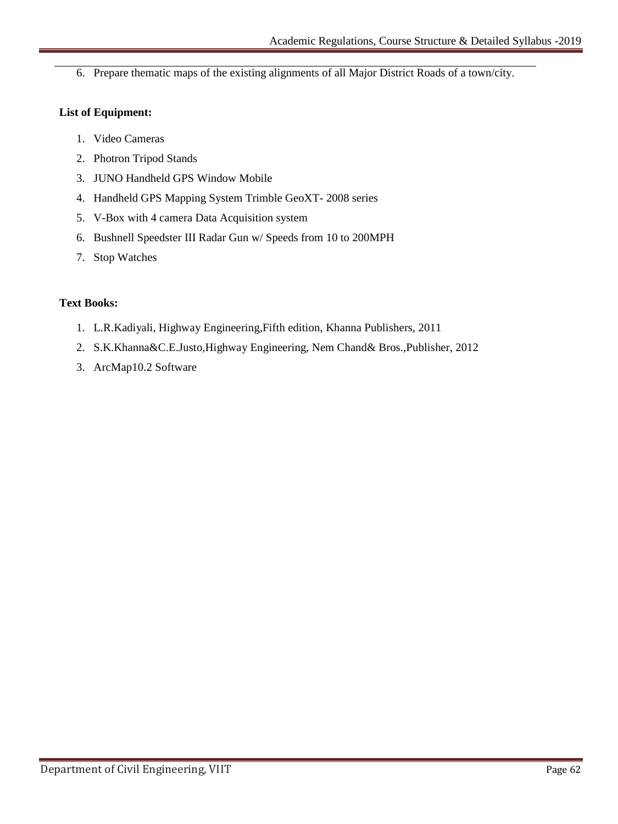6. Prepare thematic maps of the existing alignments of all Major District Roads of a town/city.

# **List of Equipment:**

- 1. Video Cameras
- 2. Photron Tripod Stands
- 3. JUNO Handheld GPS Window Mobile
- 4. Handheld GPS Mapping System Trimble GeoXT- 2008 series
- 5. V-Box with 4 camera Data Acquisition system
- 6. Bushnell Speedster III Radar Gun w/ Speeds from 10 to 200MPH
- 7. Stop Watches

# **Text Books:**

- 1. L.R.Kadiyali, Highway Engineering,Fifth edition, Khanna Publishers, 2011
- 2. S.K.Khanna&C.E.Justo,Highway Engineering, Nem Chand& Bros.,Publisher, 2012
- 3. ArcMap10.2 Software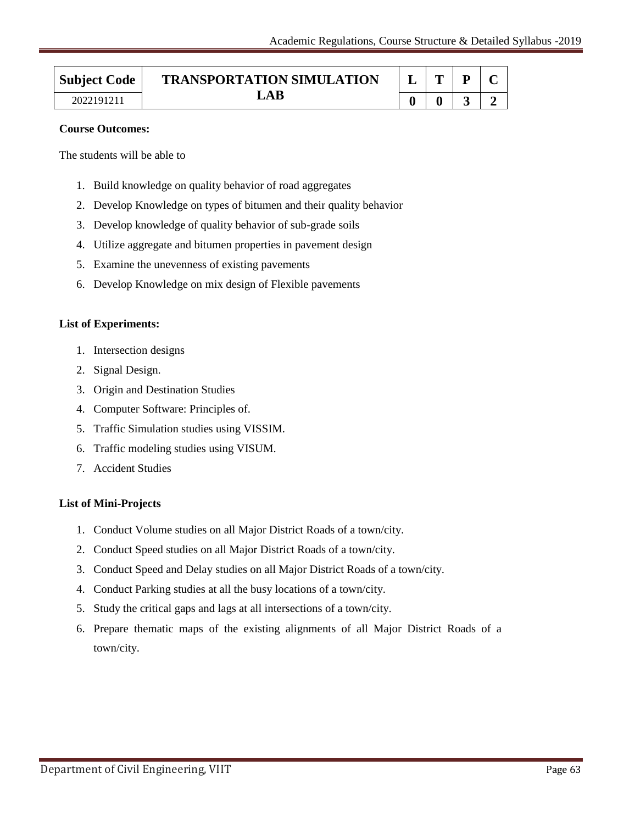| <b>Subject Code</b> | <b>TRANSPORTATION SIMULATION</b> |  |                          |  |
|---------------------|----------------------------------|--|--------------------------|--|
| 2022191211          | $\mathbf{A} \mathbf{R}$          |  | $\overline{\phantom{a}}$ |  |

#### **Course Outcomes:**

The students will be able to

- 1. Build knowledge on quality behavior of road aggregates
- 2. Develop Knowledge on types of bitumen and their quality behavior
- 3. Develop knowledge of quality behavior of sub-grade soils
- 4. Utilize aggregate and bitumen properties in pavement design
- 5. Examine the unevenness of existing pavements
- 6. Develop Knowledge on mix design of Flexible pavements

# **List of Experiments:**

- 1. Intersection designs
- 2. Signal Design.
- 3. Origin and Destination Studies
- 4. Computer Software: Principles of.
- 5. Traffic Simulation studies using VISSIM.
- 6. Traffic modeling studies using VISUM.
- 7. Accident Studies

# **List of Mini-Projects**

- 1. Conduct Volume studies on all Major District Roads of a town/city.
- 2. Conduct Speed studies on all Major District Roads of a town/city.
- 3. Conduct Speed and Delay studies on all Major District Roads of a town/city.
- 4. Conduct Parking studies at all the busy locations of a town/city.
- 5. Study the critical gaps and lags at all intersections of a town/city.
- 6. Prepare thematic maps of the existing alignments of all Major District Roads of a town/city.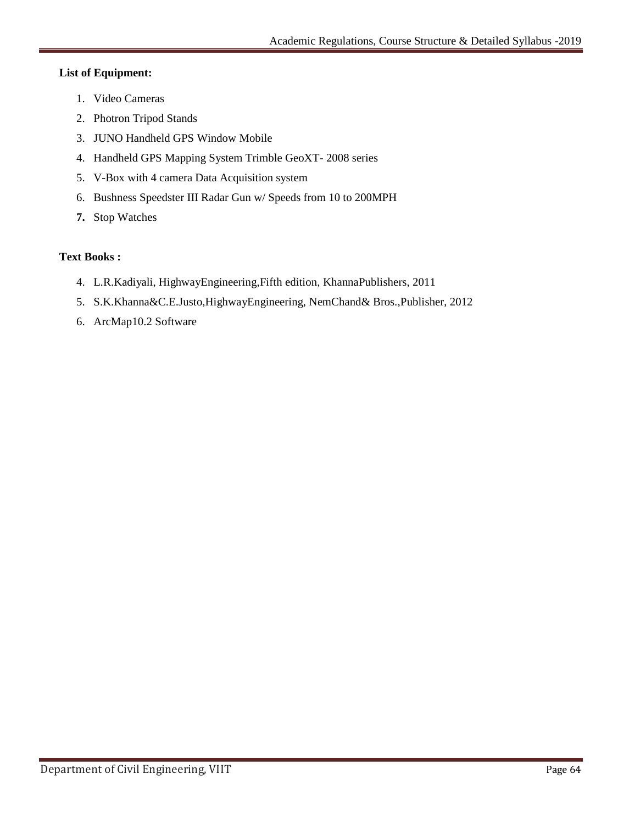# **List of Equipment:**

- 1. Video Cameras
- 2. Photron Tripod Stands
- 3. JUNO Handheld GPS Window Mobile
- 4. Handheld GPS Mapping System Trimble GeoXT- 2008 series
- 5. V-Box with 4 camera Data Acquisition system
- 6. Bushness Speedster III Radar Gun w/ Speeds from 10 to 200MPH
- **7.** Stop Watches

# **Text Books :**

- 4. L.R.Kadiyali, HighwayEngineering,Fifth edition, KhannaPublishers, 2011
- 5. S.K.Khanna&C.E.Justo,HighwayEngineering, NemChand& Bros.,Publisher, 2012
- 6. ArcMap10.2 Software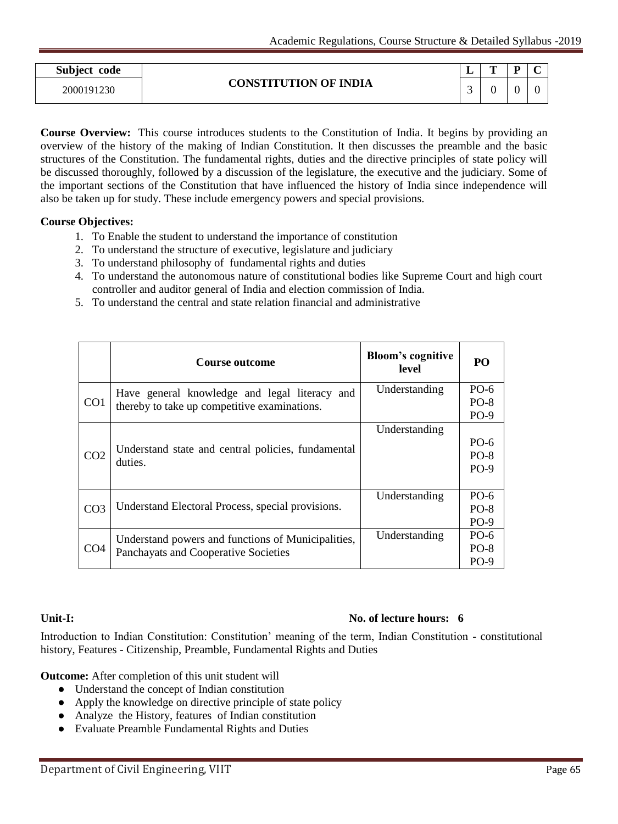| Subject code |                              | ш. | m | $\sim$<br>∼ |
|--------------|------------------------------|----|---|-------------|
| 2000191230   | <b>CONSTITUTION OF INDIA</b> | ~  |   |             |

**Course Overview:** This course introduces students to the Constitution of India. It begins by providing an overview of the history of the making of Indian Constitution. It then discusses the preamble and the basic structures of the Constitution. The fundamental rights, duties and the directive principles of state policy will be discussed thoroughly, followed by a discussion of the legislature, the executive and the judiciary. Some of the important sections of the Constitution that have influenced the history of India since independence will also be taken up for study. These include emergency powers and special provisions.

# **Course Objectives:**

- 1. To Enable the student to understand the importance of constitution
- 2. To understand the structure of executive, legislature and judiciary
- 3. To understand philosophy of fundamental rights and duties
- 4. To understand the autonomous nature of constitutional bodies like Supreme Court and high court controller and auditor general of India and election commission of India.
- 5. To understand the central and state relation financial and administrative

|                 | Course outcome                                     | <b>Bloom's cognitive</b><br>level | PO               |
|-----------------|----------------------------------------------------|-----------------------------------|------------------|
| CO <sub>1</sub> | Have general knowledge and legal literacy and      | Understanding                     | $PO-6$<br>$PO-8$ |
|                 | thereby to take up competitive examinations.       |                                   | $PO-9$           |
|                 |                                                    | Understanding                     |                  |
|                 | Understand state and central policies, fundamental |                                   | $PO-6$           |
| CO <sub>2</sub> | duties.                                            |                                   | $PO-8$           |
|                 |                                                    |                                   | $PO-9$           |
|                 |                                                    |                                   |                  |
|                 |                                                    | Understanding                     | $PO-6$           |
| CO <sub>3</sub> | Understand Electoral Process, special provisions.  |                                   | $PO-8$           |
|                 |                                                    |                                   | $PO-9$           |
|                 | Understand powers and functions of Municipalities, | Understanding                     | $PO-6$           |
| CO <sub>4</sub> | Panchayats and Cooperative Societies               |                                   | $PO-8$           |
|                 |                                                    |                                   | $PO-9$           |

# **Unit-I: No. of lecture hours: 6**

Introduction to Indian Constitution: Constitution" meaning of the term, Indian Constitution - constitutional history, Features - Citizenship, Preamble, Fundamental Rights and Duties

**Outcome:** After completion of this unit student will

- Understand the concept of Indian constitution
- Apply the knowledge on directive principle of state policy
- Analyze the History, features of Indian constitution
- Evaluate Preamble Fundamental Rights and Duties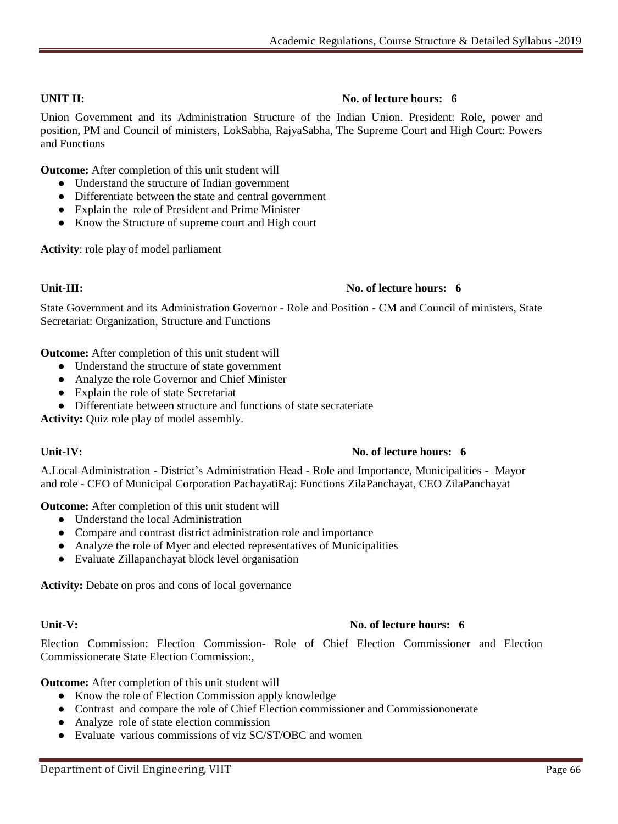# **UNIT II:** No. of lecture hours: 6

Union Government and its Administration Structure of the Indian Union. President: Role, power and position, PM and Council of ministers, LokSabha, RajyaSabha, The Supreme Court and High Court: Powers and Functions

**Outcome:** After completion of this unit student will

- Understand the structure of Indian government
- Differentiate between the state and central government
- Explain the role of President and Prime Minister
- Know the Structure of supreme court and High court

**Activity**: role play of model parliament

# **Unit-III:** No. of lecture hours: 6

State Government and its Administration Governor - Role and Position - CM and Council of ministers, State Secretariat: Organization, Structure and Functions

**Outcome:** After completion of this unit student will

- Understand the structure of state government
- Analyze the role Governor and Chief Minister
- Explain the role of state Secretariat
- Differentiate between structure and functions of state secrateriate

**Activity:** Quiz role play of model assembly.

# **Unit-IV:** No. of lecture hours: 6

A.Local Administration - District"s Administration Head - Role and Importance, Municipalities - Mayor and role - CEO of Municipal Corporation PachayatiRaj: Functions ZilaPanchayat, CEO ZilaPanchayat

**Outcome:** After completion of this unit student will

- Understand the local Administration
- Compare and contrast district administration role and importance
- Analyze the role of Myer and elected representatives of Municipalities
- Evaluate Zillapanchayat block level organisation

**Activity:** Debate on pros and cons of local governance

# **Unit-V: No. of lecture hours: 6**

Election Commission: Election Commission- Role of Chief Election Commissioner and Election Commissionerate State Election Commission:,

**Outcome:** After completion of this unit student will

- Know the role of Election Commission apply knowledge
- Contrast and compare the role of Chief Election commissioner and Commissiononerate
- Analyze role of state election commission
- Evaluate various commissions of viz SC/ST/OBC and women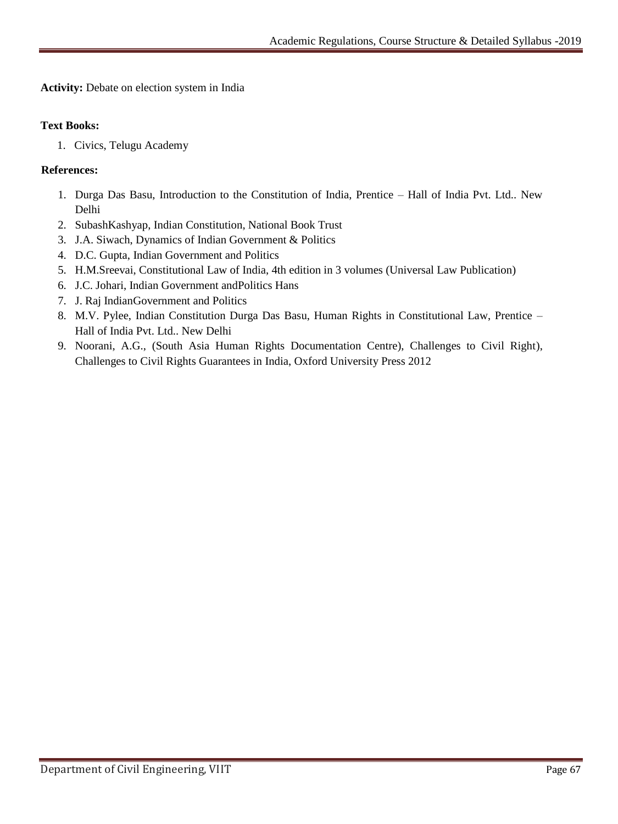**Activity:** Debate on election system in India

# **Text Books:**

1. Civics, Telugu Academy

# **References:**

- 1. Durga Das Basu, Introduction to the Constitution of India, Prentice Hall of India Pvt. Ltd.. New Delhi
- 2. SubashKashyap, Indian Constitution, National Book Trust
- 3. J.A. Siwach, Dynamics of Indian Government & Politics
- 4. D.C. Gupta, Indian Government and Politics
- 5. H.M.Sreevai, Constitutional Law of India, 4th edition in 3 volumes (Universal Law Publication)
- 6. J.C. Johari, Indian Government andPolitics Hans
- 7. J. Raj IndianGovernment and Politics
- 8. M.V. Pylee, Indian Constitution Durga Das Basu, Human Rights in Constitutional Law, Prentice Hall of India Pvt. Ltd.. New Delhi
- 9. Noorani, A.G., (South Asia Human Rights Documentation Centre), Challenges to Civil Right), Challenges to Civil Rights Guarantees in India, Oxford University Press 2012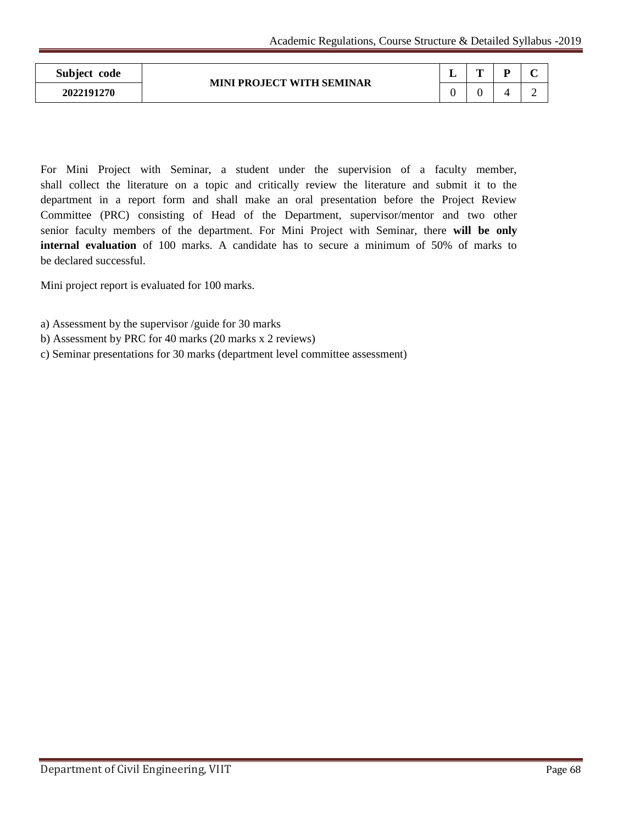| Subject code | <b>MINI PROJECT WITH SEMINAR</b> | - | m | D. | $\sim$ |
|--------------|----------------------------------|---|---|----|--------|
| 2022191270   |                                  |   |   |    |        |

For Mini Project with Seminar, a student under the supervision of a faculty member, shall collect the literature on a topic and critically review the literature and submit it to the department in a report form and shall make an oral presentation before the Project Review Committee (PRC) consisting of Head of the Department, supervisor/mentor and two other senior faculty members of the department. For Mini Project with Seminar, there **will be only internal evaluation** of 100 marks. A candidate has to secure a minimum of 50% of marks to be declared successful.

Mini project report is evaluated for 100 marks.

- a) Assessment by the supervisor /guide for 30 marks
- b) Assessment by PRC for 40 marks (20 marks x 2 reviews)
- c) Seminar presentations for 30 marks (department level committee assessment)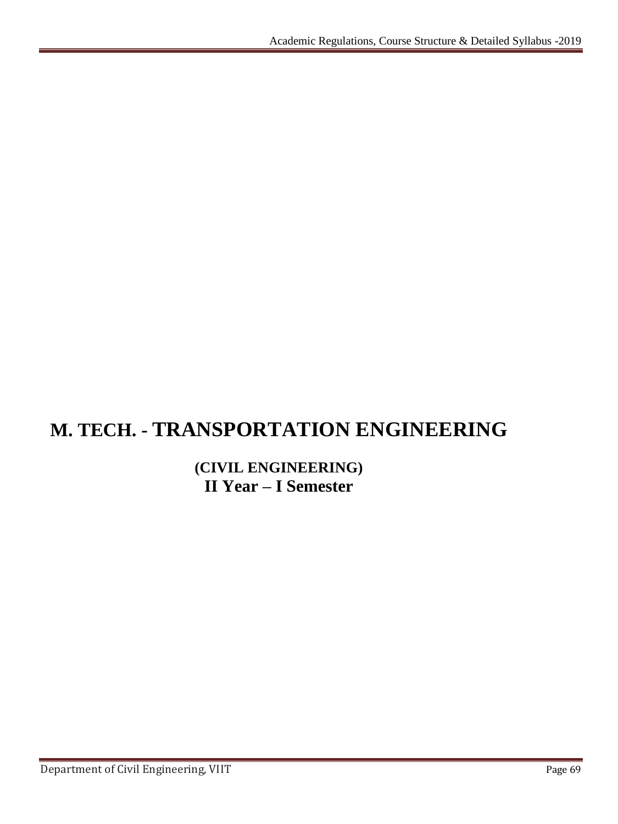# **M. TECH. - TRANSPORTATION ENGINEERING**

# **(CIVIL ENGINEERING) II Year – I Semester**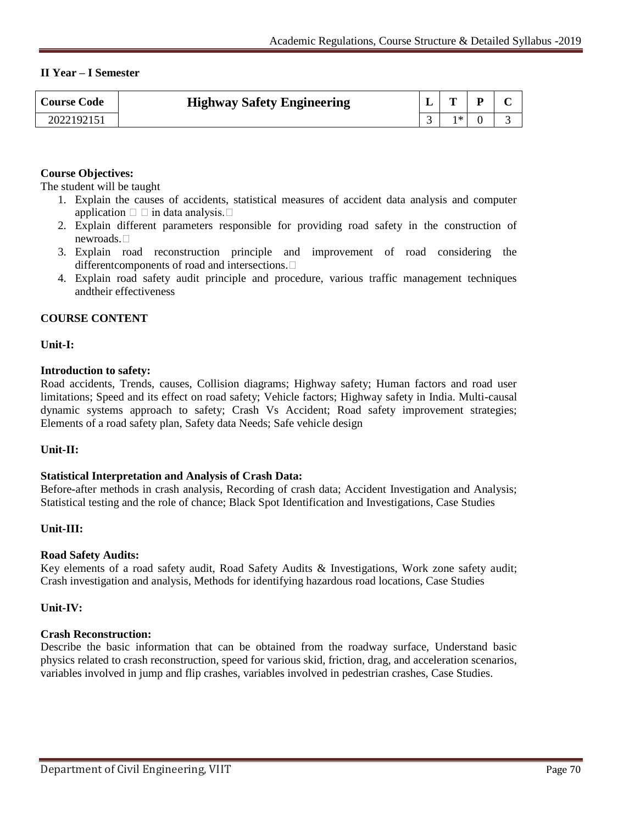# **II Year – I Semester**

| <b>Course Code</b> | <b>Highway Safety Engineering</b> | ≖ | m  | - | $\sqrt{ }$ |
|--------------------|-----------------------------------|---|----|---|------------|
| 202219215          |                                   |   | ∣≭ |   |            |

# **Course Objectives:**

The student will be taught

- 1. Explain the causes of accidents, statistical measures of accident data analysis and computer application  $\Box$  in data analysis.  $\Box$
- 2. Explain different parameters responsible for providing road safety in the construction of newroads.
- 3. Explain road reconstruction principle and improvement of road considering the differentcomponents of road and intersections.
- 4. Explain road safety audit principle and procedure, various traffic management techniques andtheir effectiveness

#### **COURSE CONTENT**

**Unit-I:**

#### **Introduction to safety:**

Road accidents, Trends, causes, Collision diagrams; Highway safety; Human factors and road user limitations; Speed and its effect on road safety; Vehicle factors; Highway safety in India. Multi-causal dynamic systems approach to safety; Crash Vs Accident; Road safety improvement strategies; Elements of a road safety plan, Safety data Needs; Safe vehicle design

#### **Unit-II:**

#### **Statistical Interpretation and Analysis of Crash Data:**

Before-after methods in crash analysis, Recording of crash data; Accident Investigation and Analysis; Statistical testing and the role of chance; Black Spot Identification and Investigations, Case Studies

# **Unit-III:**

#### **Road Safety Audits:**

Key elements of a road safety audit, Road Safety Audits & Investigations, Work zone safety audit; Crash investigation and analysis, Methods for identifying hazardous road locations, Case Studies

#### **Unit-IV:**

#### **Crash Reconstruction:**

Describe the basic information that can be obtained from the roadway surface, Understand basic physics related to crash reconstruction, speed for various skid, friction, drag, and acceleration scenarios, variables involved in jump and flip crashes, variables involved in pedestrian crashes, Case Studies.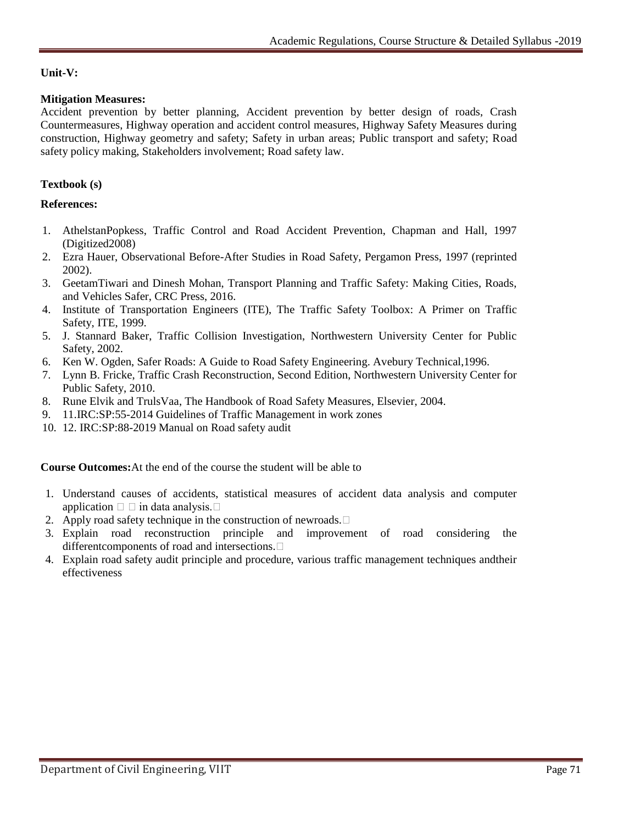# **Unit-V:**

# **Mitigation Measures:**

Accident prevention by better planning, Accident prevention by better design of roads, Crash Countermeasures, Highway operation and accident control measures, Highway Safety Measures during construction, Highway geometry and safety; Safety in urban areas; Public transport and safety; Road safety policy making, Stakeholders involvement; Road safety law.

# **Textbook (s)**

# **References:**

- 1. AthelstanPopkess, Traffic Control and Road Accident Prevention, Chapman and Hall, 1997 (Digitized2008)
- 2. Ezra Hauer, Observational Before-After Studies in Road Safety, Pergamon Press, 1997 (reprinted 2002).
- 3. GeetamTiwari and Dinesh Mohan, Transport Planning and Traffic Safety: Making Cities, Roads, and Vehicles Safer, CRC Press, 2016.
- 4. Institute of Transportation Engineers (ITE), The Traffic Safety Toolbox: A Primer on Traffic Safety, ITE, 1999.
- 5. J. Stannard Baker, Traffic Collision Investigation, Northwestern University Center for Public Safety, 2002.
- 6. Ken W. Ogden, Safer Roads: A Guide to Road Safety Engineering. Avebury Technical,1996.
- 7. Lynn B. Fricke, Traffic Crash Reconstruction, Second Edition, Northwestern University Center for Public Safety, 2010.
- 8. Rune Elvik and TrulsVaa, The Handbook of Road Safety Measures, Elsevier, 2004.
- 9. 11.IRC:SP:55-2014 Guidelines of Traffic Management in work zones
- 10. 12. IRC:SP:88-2019 Manual on Road safety audit

**Course Outcomes:**At the end of the course the student will be able to

- 1. Understand causes of accidents, statistical measures of accident data analysis and computer application  $\Box$  in data analysis.  $\Box$
- 2. Apply road safety technique in the construction of newroads.  $\Box$
- 3. Explain road reconstruction principle and improvement of road considering the differentcomponents of road and intersections.
- 4. Explain road safety audit principle and procedure, various traffic management techniques andtheir effectiveness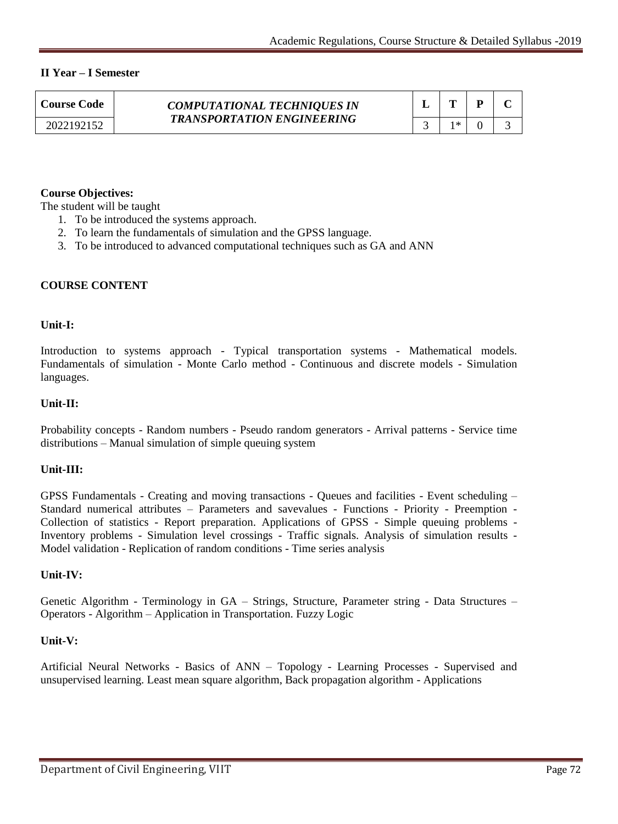# **II Year – I Semester**

| <b>Course Code</b> | <b>COMPUTATIONAL TECHNIQUES IN</b><br><b>TRANSPORTATION ENGINEERING</b> |     |  |
|--------------------|-------------------------------------------------------------------------|-----|--|
| 2022192152         |                                                                         | ∣∗k |  |

# **Course Objectives:**

The student will be taught

- 1. To be introduced the systems approach.
- 2. To learn the fundamentals of simulation and the GPSS language.
- 3. To be introduced to advanced computational techniques such as GA and ANN

# **COURSE CONTENT**

# **Unit-I:**

Introduction to systems approach - Typical transportation systems - Mathematical models. Fundamentals of simulation - Monte Carlo method - Continuous and discrete models - Simulation languages.

# **Unit-II:**

Probability concepts - Random numbers - Pseudo random generators - Arrival patterns - Service time distributions – Manual simulation of simple queuing system

# **Unit-III:**

GPSS Fundamentals - Creating and moving transactions - Queues and facilities - Event scheduling – Standard numerical attributes – Parameters and savevalues - Functions - Priority - Preemption - Collection of statistics - Report preparation. Applications of GPSS - Simple queuing problems - Inventory problems - Simulation level crossings - Traffic signals. Analysis of simulation results - Model validation - Replication of random conditions - Time series analysis

# **Unit-IV:**

Genetic Algorithm - Terminology in GA – Strings, Structure, Parameter string - Data Structures – Operators - Algorithm – Application in Transportation. Fuzzy Logic

# **Unit-V:**

Artificial Neural Networks - Basics of ANN – Topology - Learning Processes - Supervised and unsupervised learning. Least mean square algorithm, Back propagation algorithm - Applications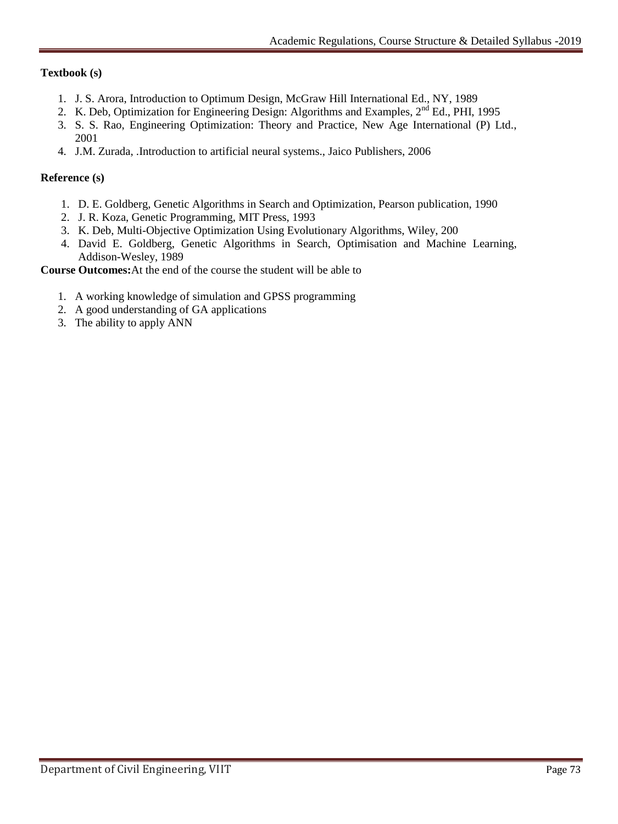## **Textbook (s)**

- 1. J. S. Arora, Introduction to Optimum Design, McGraw Hill International Ed., NY, 1989
- 2. K. Deb, Optimization for Engineering Design: Algorithms and Examples,  $2^{nd}$  Ed., PHI, 1995
- 3. S. S. Rao, Engineering Optimization: Theory and Practice, New Age International (P) Ltd., 2001
- 4. J.M. Zurada, .Introduction to artificial neural systems., Jaico Publishers, 2006

#### **Reference (s)**

- 1. D. E. Goldberg, Genetic Algorithms in Search and Optimization, Pearson publication, 1990
- 2. J. R. Koza, Genetic Programming, MIT Press, 1993
- 3. K. Deb, Multi-Objective Optimization Using Evolutionary Algorithms, Wiley, 200
- 4. David E. Goldberg, Genetic Algorithms in Search, Optimisation and Machine Learning, Addison-Wesley, 1989

**Course Outcomes:**At the end of the course the student will be able to

- 1. A working knowledge of simulation and GPSS programming
- 2. A good understanding of GA applications
- 3. The ability to apply ANN